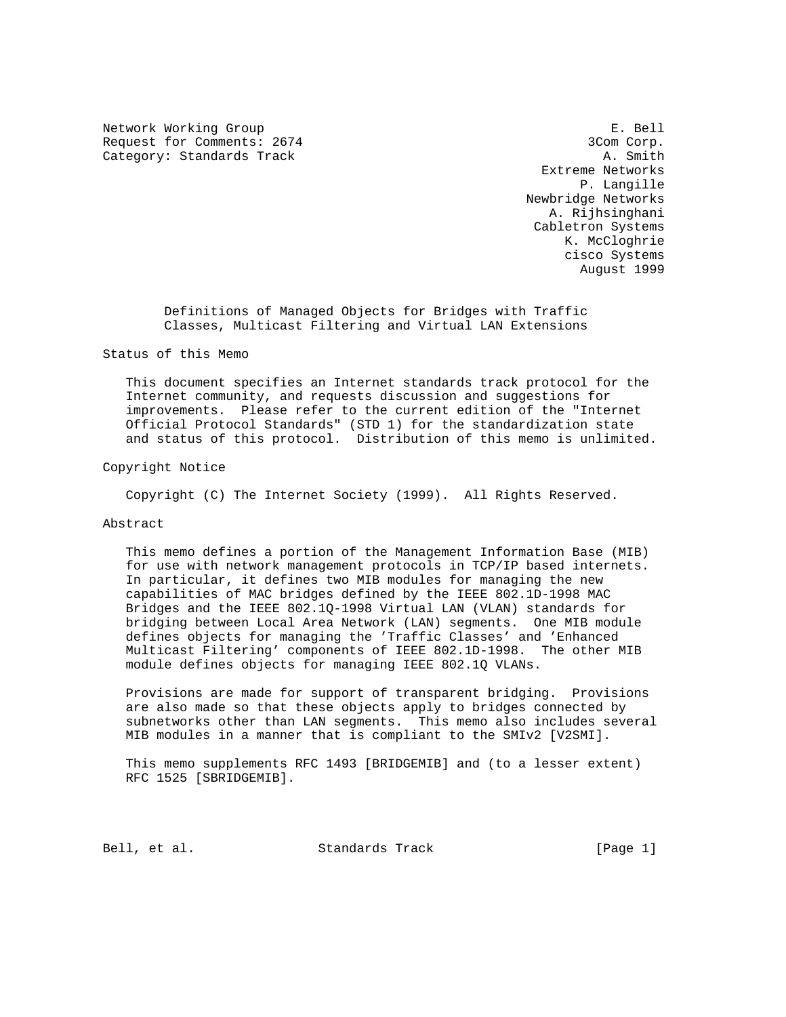Network Working Group entitled and the set of the set of the set of the set of the set of the set of the set of the set of the set of the set of the set of the set of the set of the set of the set of the set of the set of Request for Comments: 2674 3Com Corp. Category: Standards Track A. Smith

 Extreme Networks P. Langille Newbridge Networks A. Rijhsinghani Cabletron Systems K. McCloghrie cisco Systems August 1999

 Definitions of Managed Objects for Bridges with Traffic Classes, Multicast Filtering and Virtual LAN Extensions

### Status of this Memo

 This document specifies an Internet standards track protocol for the Internet community, and requests discussion and suggestions for improvements. Please refer to the current edition of the "Internet Official Protocol Standards" (STD 1) for the standardization state and status of this protocol. Distribution of this memo is unlimited.

#### Copyright Notice

Copyright (C) The Internet Society (1999). All Rights Reserved.

### Abstract

 This memo defines a portion of the Management Information Base (MIB) for use with network management protocols in TCP/IP based internets. In particular, it defines two MIB modules for managing the new capabilities of MAC bridges defined by the IEEE 802.1D-1998 MAC Bridges and the IEEE 802.1Q-1998 Virtual LAN (VLAN) standards for bridging between Local Area Network (LAN) segments. One MIB module defines objects for managing the 'Traffic Classes' and 'Enhanced Multicast Filtering' components of IEEE 802.1D-1998. The other MIB module defines objects for managing IEEE 802.1Q VLANs.

 Provisions are made for support of transparent bridging. Provisions are also made so that these objects apply to bridges connected by subnetworks other than LAN segments. This memo also includes several MIB modules in a manner that is compliant to the SMIv2 [V2SMI].

 This memo supplements RFC 1493 [BRIDGEMIB] and (to a lesser extent) RFC 1525 [SBRIDGEMIB].

Bell, et al. Standards Track [Page 1]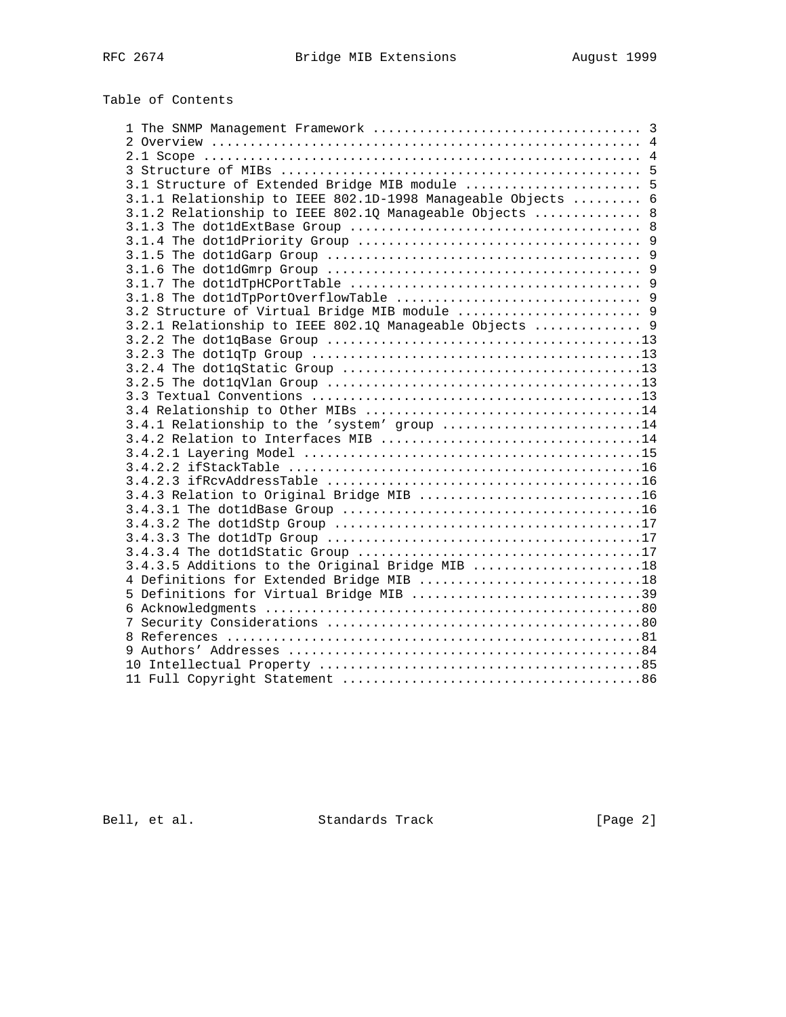# Table of Contents

| 3.1 Structure of Extended Bridge MIB module  5               |  |
|--------------------------------------------------------------|--|
| 3.1.1 Relationship to IEEE 802.1D-1998 Manageable Objects  6 |  |
| 3.1.2 Relationship to IEEE 802.10 Manageable Objects  8      |  |
|                                                              |  |
|                                                              |  |
|                                                              |  |
|                                                              |  |
|                                                              |  |
|                                                              |  |
| 3.2 Structure of Virtual Bridge MIB module  9                |  |
| 3.2.1 Relationship to IEEE 802.10 Manageable Objects  9      |  |
|                                                              |  |
|                                                              |  |
|                                                              |  |
|                                                              |  |
|                                                              |  |
|                                                              |  |
| 3.4.1 Relationship to the 'system' group 14                  |  |
|                                                              |  |
|                                                              |  |
|                                                              |  |
|                                                              |  |
| 3.4.3 Relation to Original Bridge MIB 16                     |  |
|                                                              |  |
|                                                              |  |
|                                                              |  |
|                                                              |  |
| 3.4.3.5 Additions to the Original Bridge MIB 18              |  |
| 4 Definitions for Extended Bridge MIB 18                     |  |
| 5 Definitions for Virtual Bridge MIB 39                      |  |
|                                                              |  |
|                                                              |  |
|                                                              |  |
|                                                              |  |
|                                                              |  |
|                                                              |  |

Bell, et al. Standards Track [Page 2]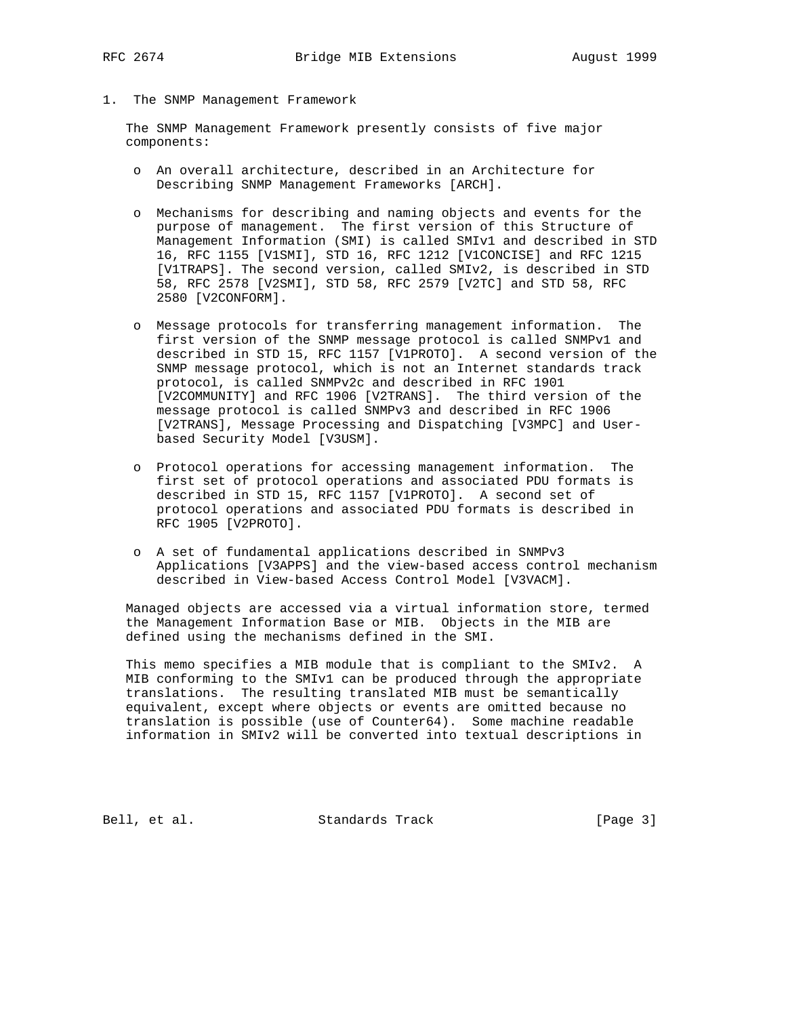1. The SNMP Management Framework

 The SNMP Management Framework presently consists of five major components:

- o An overall architecture, described in an Architecture for Describing SNMP Management Frameworks [ARCH].
- o Mechanisms for describing and naming objects and events for the purpose of management. The first version of this Structure of Management Information (SMI) is called SMIv1 and described in STD 16, RFC 1155 [V1SMI], STD 16, RFC 1212 [V1CONCISE] and RFC 1215 [V1TRAPS]. The second version, called SMIv2, is described in STD 58, RFC 2578 [V2SMI], STD 58, RFC 2579 [V2TC] and STD 58, RFC 2580 [V2CONFORM].
- o Message protocols for transferring management information. The first version of the SNMP message protocol is called SNMPv1 and described in STD 15, RFC 1157 [V1PROTO]. A second version of the SNMP message protocol, which is not an Internet standards track protocol, is called SNMPv2c and described in RFC 1901 [V2COMMUNITY] and RFC 1906 [V2TRANS]. The third version of the message protocol is called SNMPv3 and described in RFC 1906 [V2TRANS], Message Processing and Dispatching [V3MPC] and User based Security Model [V3USM].
- o Protocol operations for accessing management information. The first set of protocol operations and associated PDU formats is described in STD 15, RFC 1157 [V1PROTO]. A second set of protocol operations and associated PDU formats is described in RFC 1905 [V2PROTO].
- o A set of fundamental applications described in SNMPv3 Applications [V3APPS] and the view-based access control mechanism described in View-based Access Control Model [V3VACM].

 Managed objects are accessed via a virtual information store, termed the Management Information Base or MIB. Objects in the MIB are defined using the mechanisms defined in the SMI.

 This memo specifies a MIB module that is compliant to the SMIv2. A MIB conforming to the SMIv1 can be produced through the appropriate translations. The resulting translated MIB must be semantically equivalent, except where objects or events are omitted because no translation is possible (use of Counter64). Some machine readable information in SMIv2 will be converted into textual descriptions in

Bell, et al. Standards Track [Page 3]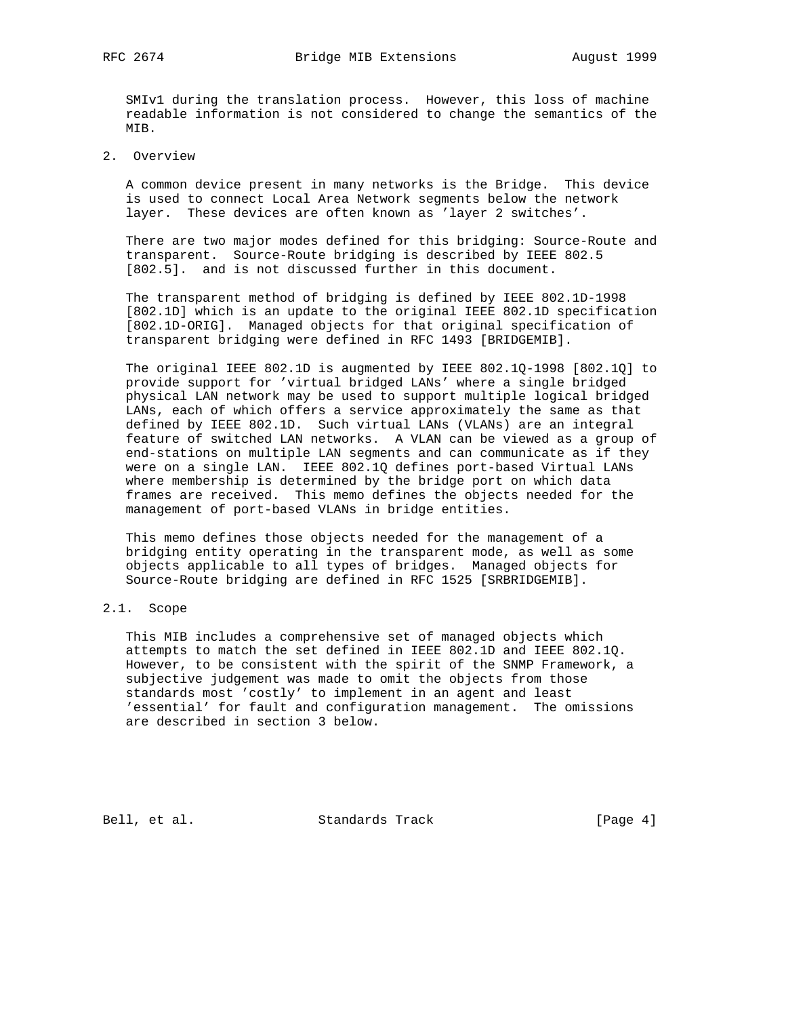SMIv1 during the translation process. However, this loss of machine readable information is not considered to change the semantics of the MIB.

2. Overview

 A common device present in many networks is the Bridge. This device is used to connect Local Area Network segments below the network layer. These devices are often known as 'layer 2 switches'.

 There are two major modes defined for this bridging: Source-Route and transparent. Source-Route bridging is described by IEEE 802.5 [802.5]. and is not discussed further in this document.

 The transparent method of bridging is defined by IEEE 802.1D-1998 [802.1D] which is an update to the original IEEE 802.1D specification [802.1D-ORIG]. Managed objects for that original specification of transparent bridging were defined in RFC 1493 [BRIDGEMIB].

 The original IEEE 802.1D is augmented by IEEE 802.1Q-1998 [802.1Q] to provide support for 'virtual bridged LANs' where a single bridged physical LAN network may be used to support multiple logical bridged LANs, each of which offers a service approximately the same as that defined by IEEE 802.1D. Such virtual LANs (VLANs) are an integral feature of switched LAN networks. A VLAN can be viewed as a group of end-stations on multiple LAN segments and can communicate as if they were on a single LAN. IEEE 802.1Q defines port-based Virtual LANs where membership is determined by the bridge port on which data frames are received. This memo defines the objects needed for the management of port-based VLANs in bridge entities.

 This memo defines those objects needed for the management of a bridging entity operating in the transparent mode, as well as some objects applicable to all types of bridges. Managed objects for Source-Route bridging are defined in RFC 1525 [SRBRIDGEMIB].

# 2.1. Scope

 This MIB includes a comprehensive set of managed objects which attempts to match the set defined in IEEE 802.1D and IEEE 802.1Q. However, to be consistent with the spirit of the SNMP Framework, a subjective judgement was made to omit the objects from those standards most 'costly' to implement in an agent and least 'essential' for fault and configuration management. The omissions are described in section 3 below.

Bell, et al. Standards Track [Page 4]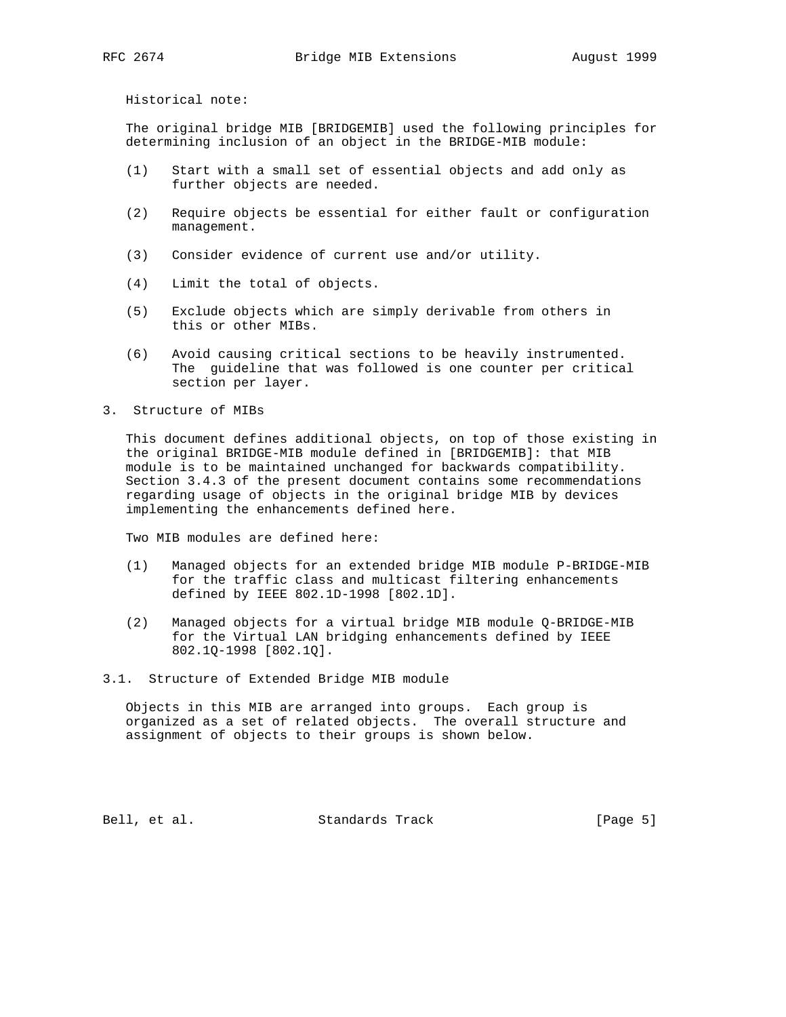Historical note:

 The original bridge MIB [BRIDGEMIB] used the following principles for determining inclusion of an object in the BRIDGE-MIB module:

- (1) Start with a small set of essential objects and add only as further objects are needed.
- (2) Require objects be essential for either fault or configuration management.
- (3) Consider evidence of current use and/or utility.
- (4) Limit the total of objects.
- (5) Exclude objects which are simply derivable from others in this or other MIBs.
- (6) Avoid causing critical sections to be heavily instrumented. The guideline that was followed is one counter per critical section per layer.
- 3. Structure of MIBs

 This document defines additional objects, on top of those existing in the original BRIDGE-MIB module defined in [BRIDGEMIB]: that MIB module is to be maintained unchanged for backwards compatibility. Section 3.4.3 of the present document contains some recommendations regarding usage of objects in the original bridge MIB by devices implementing the enhancements defined here.

Two MIB modules are defined here:

- (1) Managed objects for an extended bridge MIB module P-BRIDGE-MIB for the traffic class and multicast filtering enhancements defined by IEEE 802.1D-1998 [802.1D].
- (2) Managed objects for a virtual bridge MIB module Q-BRIDGE-MIB for the Virtual LAN bridging enhancements defined by IEEE 802.1Q-1998 [802.1Q].
- 3.1. Structure of Extended Bridge MIB module

 Objects in this MIB are arranged into groups. Each group is organized as a set of related objects. The overall structure and assignment of objects to their groups is shown below.

Bell, et al. Standards Track [Page 5]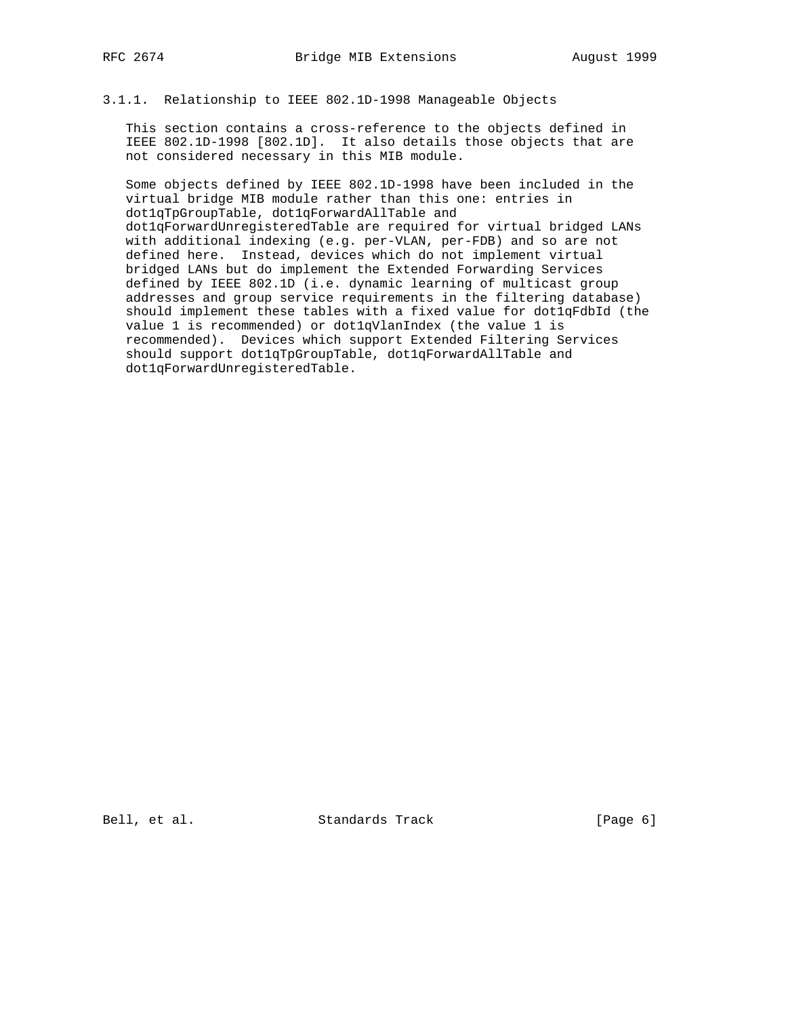# 3.1.1. Relationship to IEEE 802.1D-1998 Manageable Objects

 This section contains a cross-reference to the objects defined in IEEE 802.1D-1998 [802.1D]. It also details those objects that are not considered necessary in this MIB module.

 Some objects defined by IEEE 802.1D-1998 have been included in the virtual bridge MIB module rather than this one: entries in dot1qTpGroupTable, dot1qForwardAllTable and dot1qForwardUnregisteredTable are required for virtual bridged LANs with additional indexing (e.g. per-VLAN, per-FDB) and so are not defined here. Instead, devices which do not implement virtual bridged LANs but do implement the Extended Forwarding Services defined by IEEE 802.1D (i.e. dynamic learning of multicast group addresses and group service requirements in the filtering database) should implement these tables with a fixed value for dot1qFdbId (the value 1 is recommended) or dot1qVlanIndex (the value 1 is recommended). Devices which support Extended Filtering Services should support dot1qTpGroupTable, dot1qForwardAllTable and dot1qForwardUnregisteredTable.

Bell, et al. Standards Track [Page 6]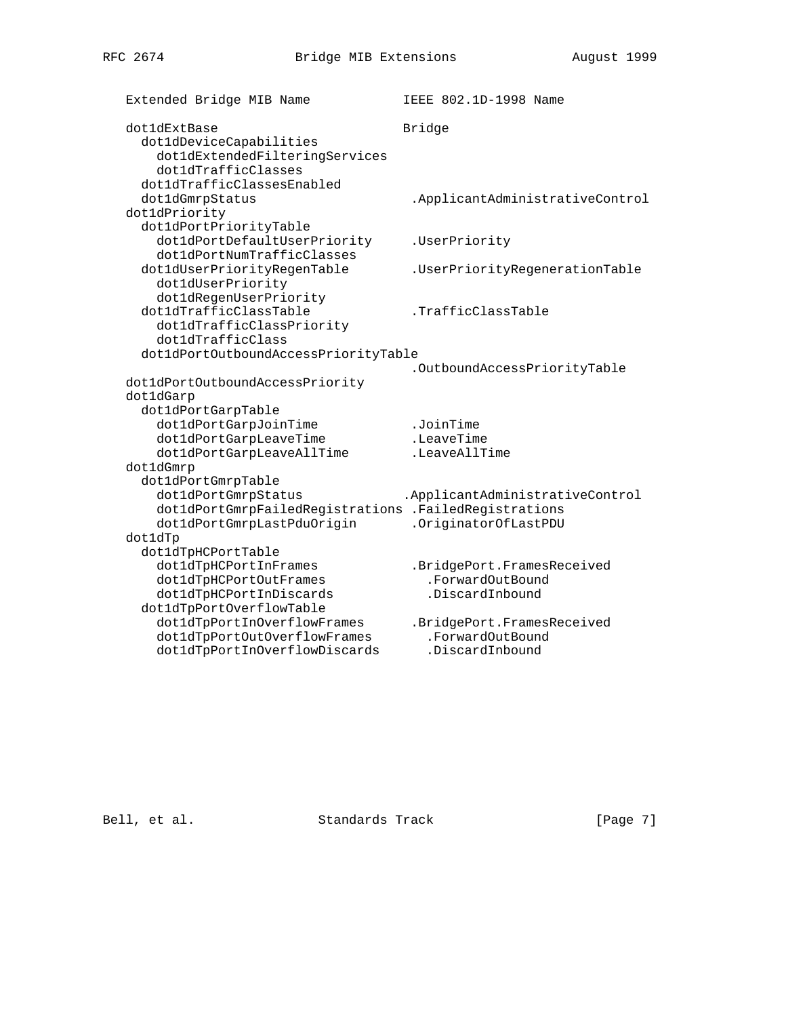Extended Bridge MIB Name **IEEE 802.1D-1998** Name dot1dExtBase Bridge dot1dDeviceCapabilities dot1dExtendedFilteringServices dot1dTrafficClasses dot1dTrafficClassesEnabled dot1dGmrpStatus .ApplicantAdministrativeControl dot1dPriority dot1dPortPriorityTable dot1dPortDefaultUserPriority .UserPriority dot1dPortNumTrafficClasses dot1dUserPriorityRegenTable .UserPriorityRegenerationTable dot1dUserPriority dot1dRegenUserPriority dot1dTrafficClassTable .TrafficClassTable dot1dTrafficClassPriority dot1dTrafficClass dot1dPortOutboundAccessPriorityTable .OutboundAccessPriorityTable dot1dPortOutboundAccessPriority dot1dGarp dot1dPortGarpTable dot1dPortGarpJoinTime .JoinTime<br>dot1dPortGarpLeaveTime .LeaveTime<br>dot1dPortGarpLeaveTille dot1dPortGarpLeaveTime .LeaveTime dot1dPortGarpLeaveAllTime .LeaveAllTime dot1dGmrp dot1dPortGmrpTable dot1dPortGmrpStatus .ApplicantAdministrativeControl dot1dPortGmrpFailedRegistrations .FailedRegistrations dot1dPortGmrpLastPduOrigin .OriginatorOfLastPDU dot1dTp dot1dTpHCPortTable dot1dTpHCPortInFrames .BridgePort.FramesReceived dot1dTpHCPortOutFrames .ForwardOutBound dot1dTpHCPortInDiscards .DiscardInbound dot1dTpPortOverflowTable dot1dTpPortInOverflowFrames .BridgePort.FramesReceived dot1dTpPortOutOverflowFrames .ForwardOutBound

Bell, et al. Standards Track [Page 7]

dot1dTpPortInOverflowDiscards .DiscardInbound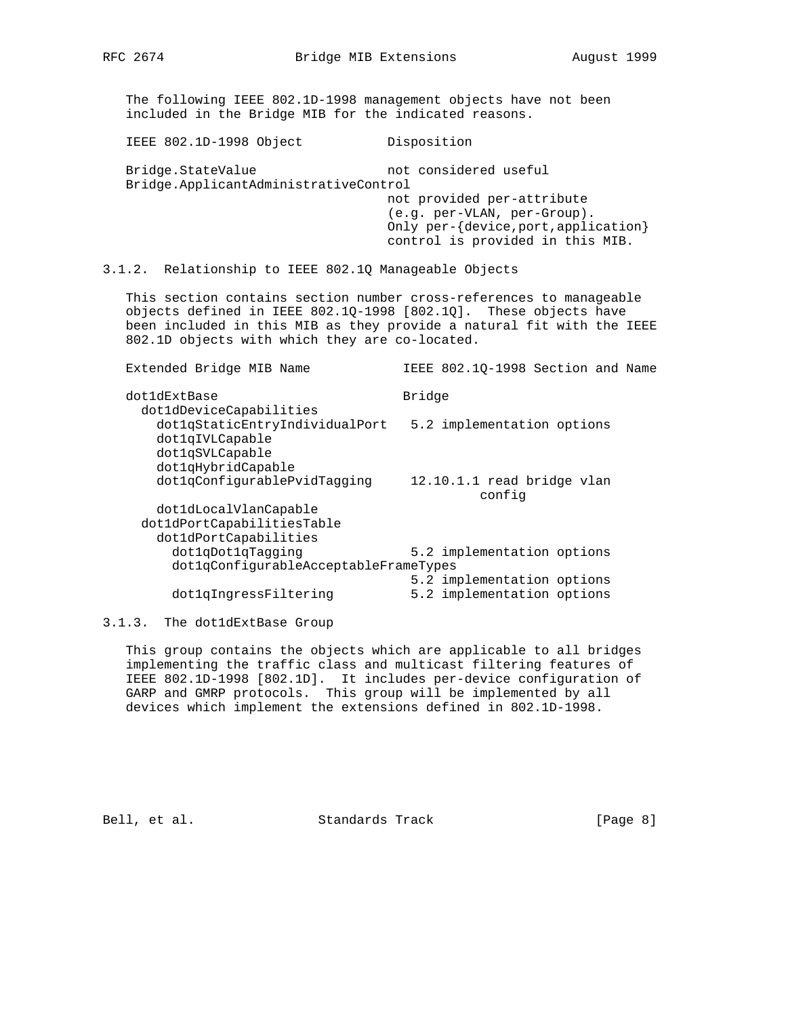The following IEEE 802.1D-1998 management objects have not been included in the Bridge MIB for the indicated reasons.

 IEEE 802.1D-1998 Object Disposition Bridge.StateValue not considered useful Bridge.ApplicantAdministrativeControl not provided per-attribute (e.g. per-VLAN, per-Group). Only per-{device,port,application} control is provided in this MIB.

# 3.1.2. Relationship to IEEE 802.1Q Manageable Objects

 This section contains section number cross-references to manageable objects defined in IEEE 802.1Q-1998 [802.1Q]. These objects have been included in this MIB as they provide a natural fit with the IEEE 802.1D objects with which they are co-located.

 Extended Bridge MIB Name IEEE 802.1Q-1998 Section and Name dot1dExtBase Bridge dot1dDeviceCapabilities dot1qStaticEntryIndividualPort 5.2 implementation options dot1qIVLCapable dot1qSVLCapable dot1qHybridCapable dot1qConfigurablePvidTagging 12.10.1.1 read bridge vlan config dot1dLocalVlanCapable dot1dPortCapabilitiesTable dot1dPortCapabilities dot1qDot1qTagging 5.2 implementation options dot1qConfigurableAcceptableFrameTypes 5.2 implementation options dot1qIngressFiltering 5.2 implementation options

#### 3.1.3. The dot1dExtBase Group

 This group contains the objects which are applicable to all bridges implementing the traffic class and multicast filtering features of IEEE 802.1D-1998 [802.1D]. It includes per-device configuration of GARP and GMRP protocols. This group will be implemented by all devices which implement the extensions defined in 802.1D-1998.

Bell, et al. Standards Track [Page 8]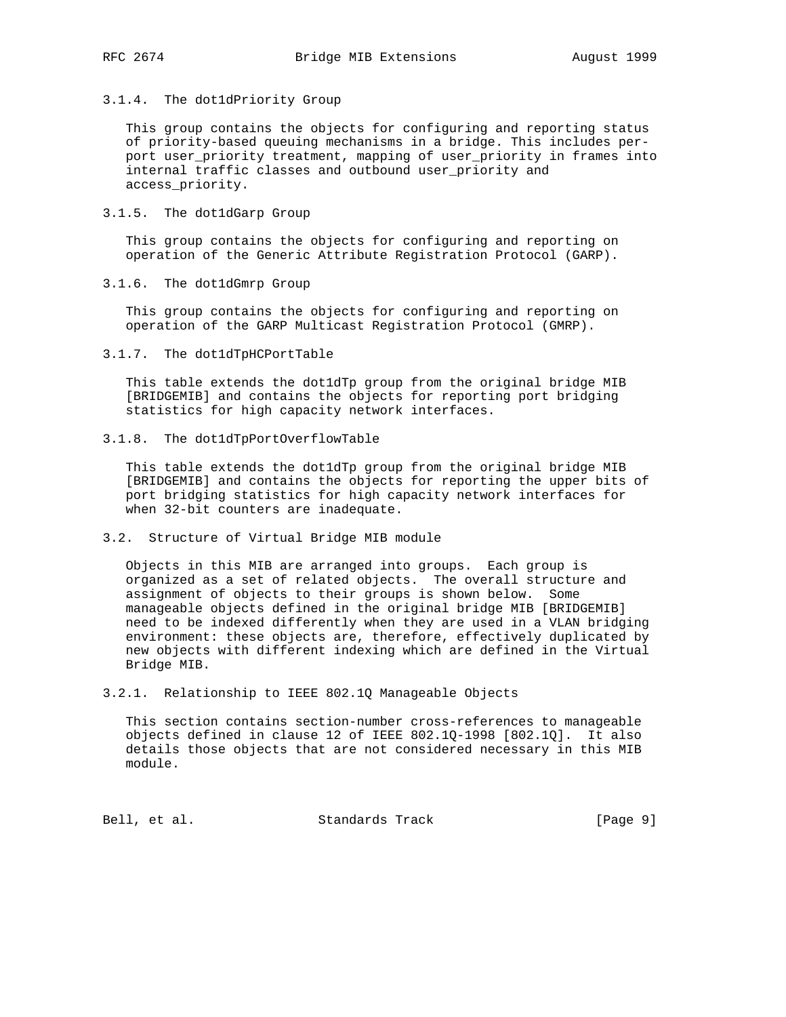3.1.4. The dot1dPriority Group

 This group contains the objects for configuring and reporting status of priority-based queuing mechanisms in a bridge. This includes per port user\_priority treatment, mapping of user\_priority in frames into internal traffic classes and outbound user\_priority and access\_priority.

3.1.5. The dot1dGarp Group

 This group contains the objects for configuring and reporting on operation of the Generic Attribute Registration Protocol (GARP).

3.1.6. The dot1dGmrp Group

 This group contains the objects for configuring and reporting on operation of the GARP Multicast Registration Protocol (GMRP).

3.1.7. The dot1dTpHCPortTable

 This table extends the dot1dTp group from the original bridge MIB [BRIDGEMIB] and contains the objects for reporting port bridging statistics for high capacity network interfaces.

3.1.8. The dot1dTpPortOverflowTable

 This table extends the dot1dTp group from the original bridge MIB [BRIDGEMIB] and contains the objects for reporting the upper bits of port bridging statistics for high capacity network interfaces for when 32-bit counters are inadequate.

3.2. Structure of Virtual Bridge MIB module

 Objects in this MIB are arranged into groups. Each group is organized as a set of related objects. The overall structure and assignment of objects to their groups is shown below. Some manageable objects defined in the original bridge MIB [BRIDGEMIB] need to be indexed differently when they are used in a VLAN bridging environment: these objects are, therefore, effectively duplicated by new objects with different indexing which are defined in the Virtual Bridge MIB.

3.2.1. Relationship to IEEE 802.1Q Manageable Objects

 This section contains section-number cross-references to manageable objects defined in clause 12 of IEEE 802.1Q-1998 [802.1Q]. It also details those objects that are not considered necessary in this MIB module.

Bell, et al. Standards Track [Page 9]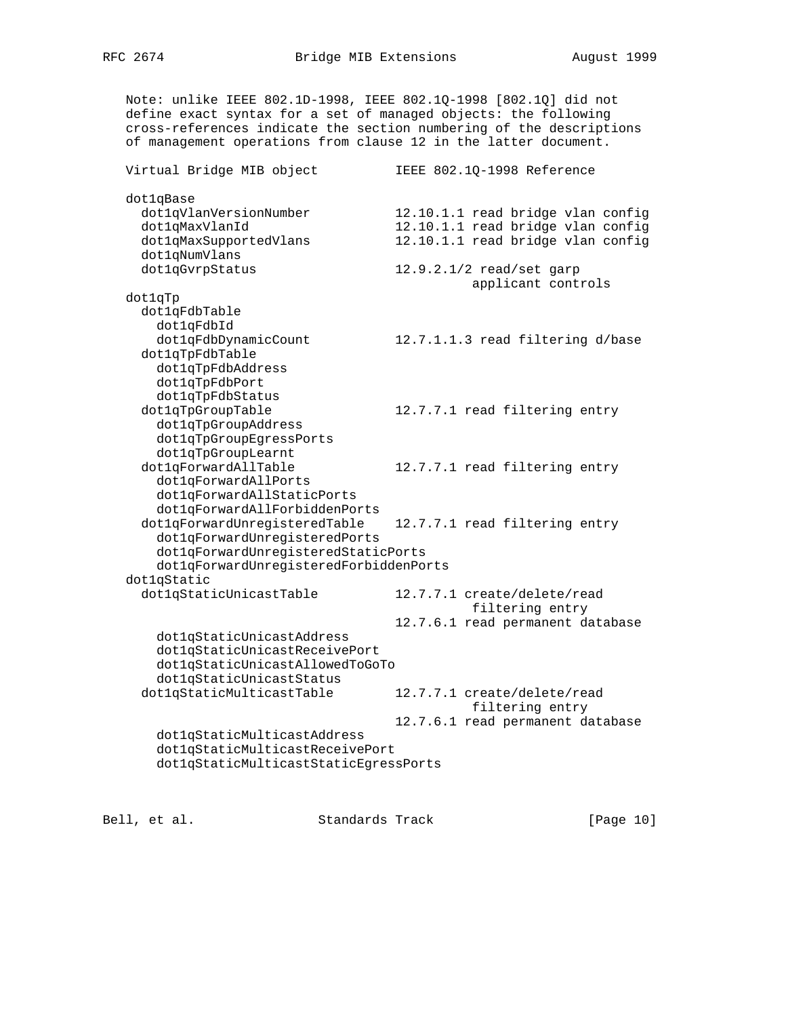Note: unlike IEEE 802.1D-1998, IEEE 802.1Q-1998 [802.1Q] did not define exact syntax for a set of managed objects: the following cross-references indicate the section numbering of the descriptions of management operations from clause 12 in the latter document. Virtual Bridge MIB object IEEE 802.1Q-1998 Reference dot1qBase dot1qVlanVersionNumber 12.10.1.1 read bridge vlan config dot1qMaxVlanId 12.10.1.1 read bridge vlan config<br>dot1qMaxSupportedVlans 12.10.1.1 read bridge vlan config dottivities and the set of the 12.10.1.1 read bridge vlan config dot1qNumVlans dot1qGvrpStatus 12.9.2.1/2 read/set garp applicant controls dot1qTp dot1qFdbTable dot1qFdbId dot1qFdbDynamicCount 12.7.1.1.3 read filtering d/base dot1qTpFdbTable dot1qTpFdbAddress dot1qTpFdbPort dot1qTpFdbStatus dot1qTpGroupTable 12.7.7.1 read filtering entry dot1qTpGroupAddress dot1qTpGroupEgressPorts dot1qTpGroupLearnt dot1qForwardAllTable 12.7.7.1 read filtering entry dot1qForwardAllPorts dot1qForwardAllStaticPorts dot1qForwardAllForbiddenPorts dot1qForwardUnregisteredTable 12.7.7.1 read filtering entry dot1qForwardUnregisteredPorts dot1qForwardUnregisteredStaticPorts dot1qForwardUnregisteredForbiddenPorts dot1qStatic dot1qStaticUnicastTable 12.7.7.1 create/delete/read filtering entry 12.7.6.1 read permanent database dot1qStaticUnicastAddress dot1qStaticUnicastReceivePort dot1qStaticUnicastAllowedToGoTo dot1qStaticUnicastStatus dot1qStaticMulticastTable 12.7.7.1 create/delete/read filtering entry 12.7.6.1 read permanent database dot1qStaticMulticastAddress dot1qStaticMulticastReceivePort dot1qStaticMulticastStaticEgressPorts

Bell, et al. Standards Track [Page 10]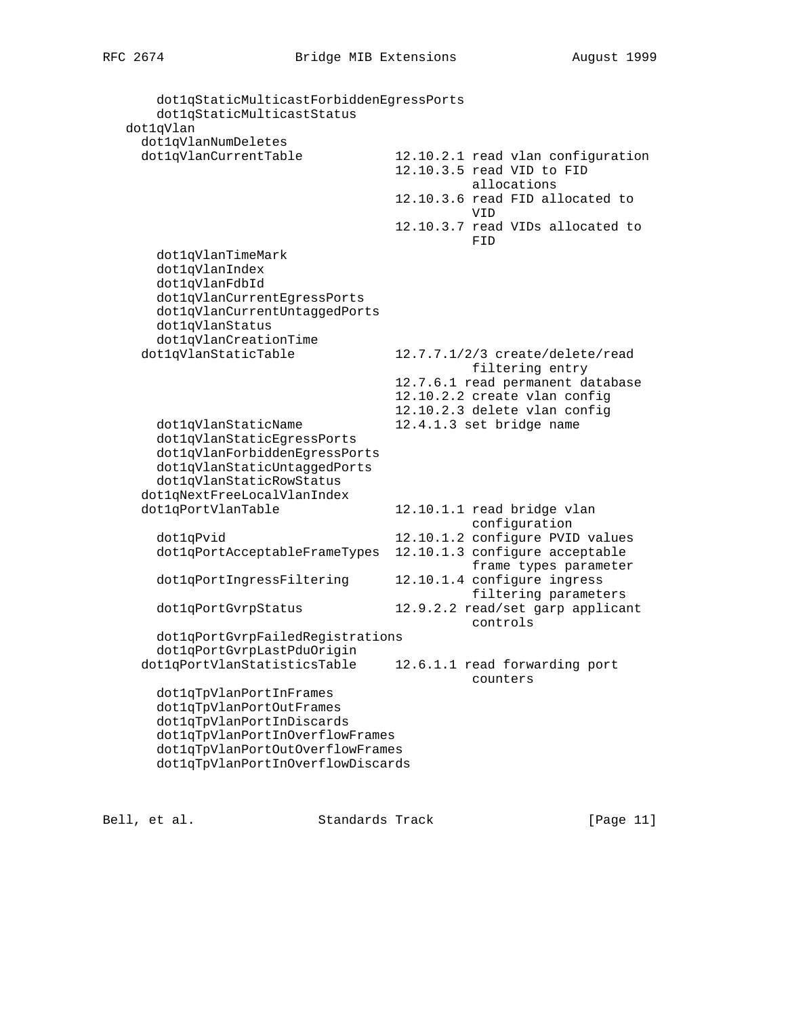dot1qStaticMulticastForbiddenEgressPorts dot1qStaticMulticastStatus dot1qVlan dot1qVlanNumDeletes dot1qVlanCurrentTable 12.10.2.1 read vlan configuration 12.10.3.5 read VID to FID allocations 12.10.3.6 read FID allocated to VID 12.10.3.7 read VIDs allocated to **FID**  dot1qVlanTimeMark dot1qVlanIndex dot1qVlanFdbId dot1qVlanCurrentEgressPorts dot1qVlanCurrentUntaggedPorts dot1qVlanStatus dot1qVlanCreationTime dot1qVlanStaticTable 12.7.7.1/2/3 create/delete/read filtering entry 12.7.6.1 read permanent database 12.10.2.2 create vlan config 12.10.2.3 delete vlan config dot1qVlanStaticName 12.4.1.3 set bridge name dot1qVlanStaticEgressPorts dot1qVlanForbiddenEgressPorts dot1qVlanStaticUntaggedPorts dot1qVlanStaticRowStatus dot1qNextFreeLocalVlanIndex dot1qPortVlanTable 12.10.1.1 read bridge vlan configuration dot1qPvid 12.10.1.2 configure PVID values dot1qPortAcceptableFrameTypes 12.10.1.3 configure acceptable frame types parameter dot1qPortIngressFiltering 12.10.1.4 configure ingress filtering parameters dot1qPortGvrpStatus 12.9.2.2 read/set garp applicant controls dot1qPortGvrpFailedRegistrations dot1qPortGvrpLastPduOrigin dot1qPortVlanStatisticsTable 12.6.1.1 read forwarding port counters dot1qTpVlanPortInFrames dot1qTpVlanPortOutFrames dot1qTpVlanPortInDiscards dot1qTpVlanPortInOverflowFrames dot1qTpVlanPortOutOverflowFrames dot1qTpVlanPortInOverflowDiscards

Bell, et al. Standards Track [Page 11]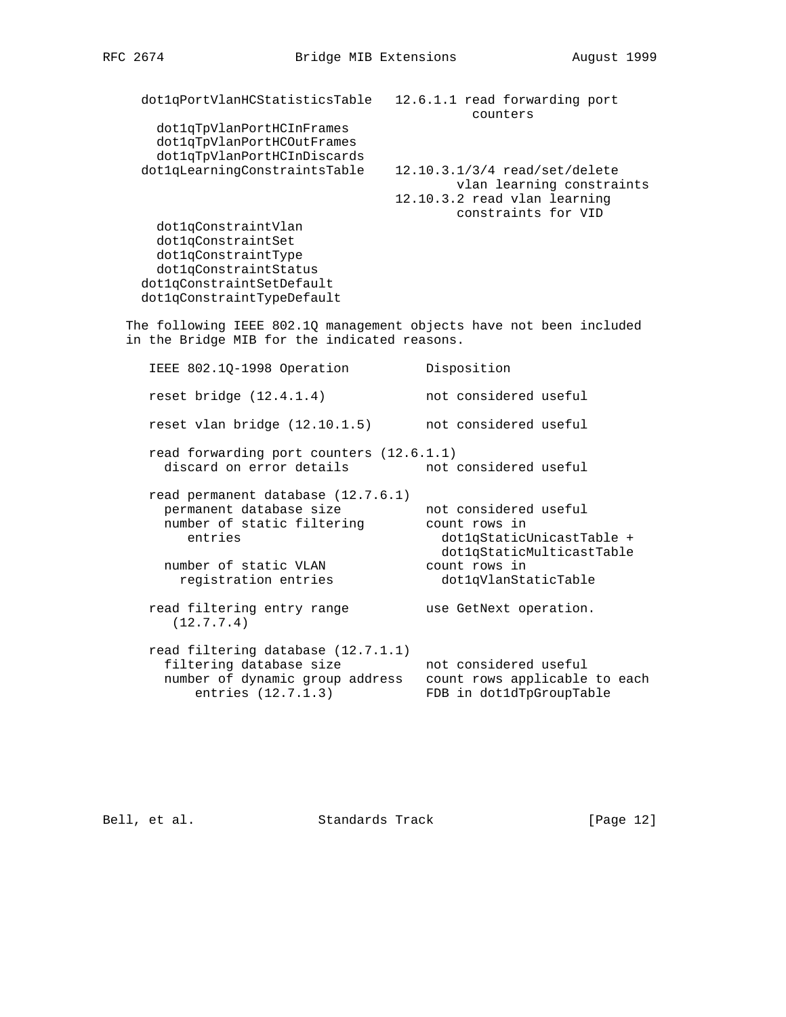dot1qPortVlanHCStatisticsTable 12.6.1.1 read forwarding port

counters

 dot1qTpVlanPortHCInFrames dot1qTpVlanPortHCOutFrames dot1qTpVlanPortHCInDiscards dot1qLearningConstraintsTable 12.10.3.1/3/4 read/set/delete

 vlan learning constraints 12.10.3.2 read vlan learning constraints for VID

 dot1qConstraintVlan dot1qConstraintSet dot1qConstraintType dot1qConstraintStatus dot1qConstraintSetDefault dot1qConstraintTypeDefault

 The following IEEE 802.1Q management objects have not been included in the Bridge MIB for the indicated reasons.

| IEEE 802.10-1998 Operation                                                                                             | Disposition                                                                                      |
|------------------------------------------------------------------------------------------------------------------------|--------------------------------------------------------------------------------------------------|
| reset bridge $(12.4.1.4)$                                                                                              | not considered useful                                                                            |
| reset vlan bridge (12.10.1.5)                                                                                          | not considered useful                                                                            |
| read forwarding port counters (12.6.1.1)<br>discard on error details                                                   | not considered useful                                                                            |
| read permanent database (12.7.6.1)<br>permanent database size<br>number of static filtering<br>entries                 | not considered useful<br>count rows in<br>dot1qStaticUnicastTable +<br>dotlqStaticMulticastTable |
| number of static VLAN<br>registration entries                                                                          | count rows in<br>dot1qVlanStaticTable                                                            |
| read filtering entry range<br>(12.7.7.4)                                                                               | use GetNext operation.                                                                           |
| read filtering database (12.7.1.1)<br>filtering database size<br>number of dynamic group address<br>entries (12.7.1.3) | not considered useful<br>count rows applicable to each<br>FDB in dot1dTpGroupTable               |

Bell, et al. Standards Track [Page 12]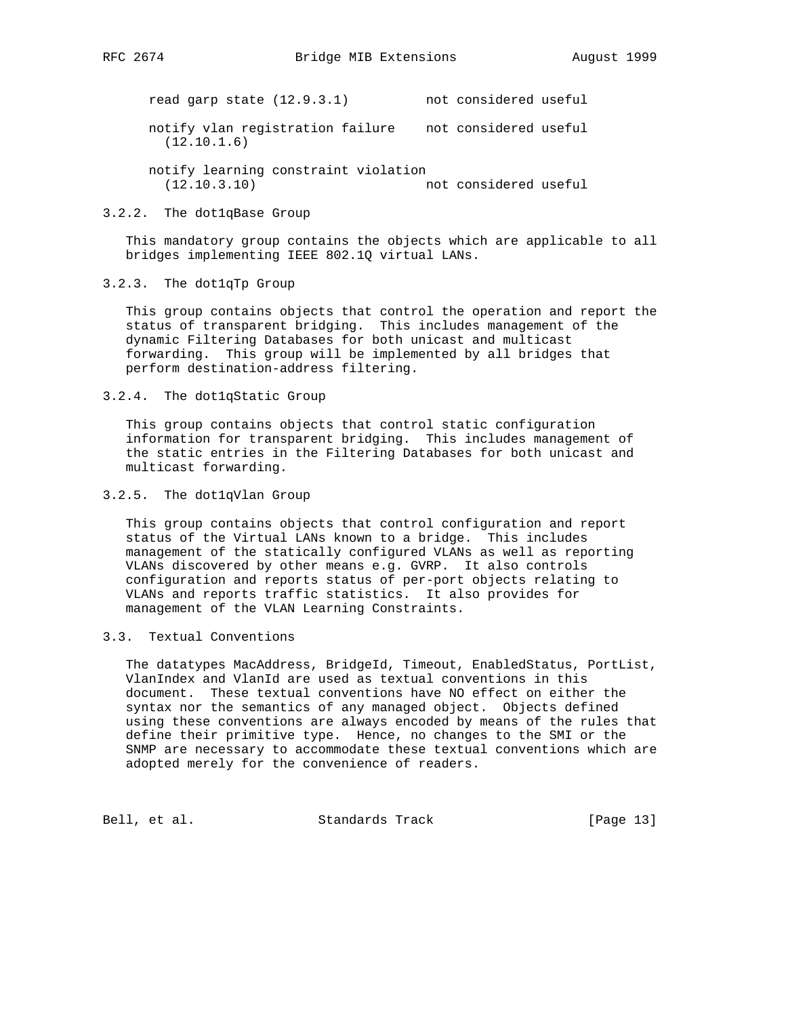read garp state (12.9.3.1) not considered useful

 notify vlan registration failure not considered useful (12.10.1.6)

 notify learning constraint violation (12.10.3.10) not considered useful

# 3.2.2. The dot1qBase Group

 This mandatory group contains the objects which are applicable to all bridges implementing IEEE 802.1Q virtual LANs.

# 3.2.3. The dot1qTp Group

 This group contains objects that control the operation and report the status of transparent bridging. This includes management of the dynamic Filtering Databases for both unicast and multicast forwarding. This group will be implemented by all bridges that perform destination-address filtering.

#### 3.2.4. The dot1qStatic Group

 This group contains objects that control static configuration information for transparent bridging. This includes management of the static entries in the Filtering Databases for both unicast and multicast forwarding.

### 3.2.5. The dot1qVlan Group

 This group contains objects that control configuration and report status of the Virtual LANs known to a bridge. This includes management of the statically configured VLANs as well as reporting VLANs discovered by other means e.g. GVRP. It also controls configuration and reports status of per-port objects relating to VLANs and reports traffic statistics. It also provides for management of the VLAN Learning Constraints.

# 3.3. Textual Conventions

 The datatypes MacAddress, BridgeId, Timeout, EnabledStatus, PortList, VlanIndex and VlanId are used as textual conventions in this document. These textual conventions have NO effect on either the syntax nor the semantics of any managed object. Objects defined using these conventions are always encoded by means of the rules that define their primitive type. Hence, no changes to the SMI or the SNMP are necessary to accommodate these textual conventions which are adopted merely for the convenience of readers.

Bell, et al. Standards Track [Page 13]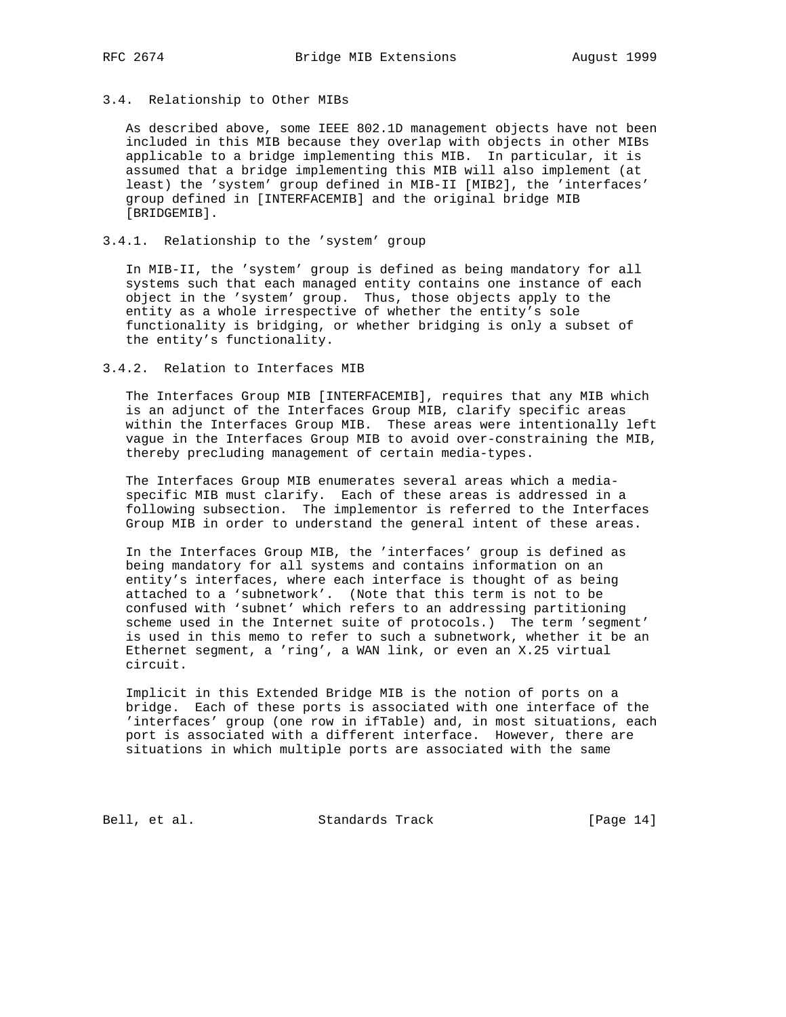# 3.4. Relationship to Other MIBs

 As described above, some IEEE 802.1D management objects have not been included in this MIB because they overlap with objects in other MIBs applicable to a bridge implementing this MIB. In particular, it is assumed that a bridge implementing this MIB will also implement (at least) the 'system' group defined in MIB-II [MIB2], the 'interfaces' group defined in [INTERFACEMIB] and the original bridge MIB [BRIDGEMIB].

# 3.4.1. Relationship to the 'system' group

 In MIB-II, the 'system' group is defined as being mandatory for all systems such that each managed entity contains one instance of each object in the 'system' group. Thus, those objects apply to the entity as a whole irrespective of whether the entity's sole functionality is bridging, or whether bridging is only a subset of the entity's functionality.

#### 3.4.2. Relation to Interfaces MIB

 The Interfaces Group MIB [INTERFACEMIB], requires that any MIB which is an adjunct of the Interfaces Group MIB, clarify specific areas within the Interfaces Group MIB. These areas were intentionally left vague in the Interfaces Group MIB to avoid over-constraining the MIB, thereby precluding management of certain media-types.

 The Interfaces Group MIB enumerates several areas which a media specific MIB must clarify. Each of these areas is addressed in a following subsection. The implementor is referred to the Interfaces Group MIB in order to understand the general intent of these areas.

 In the Interfaces Group MIB, the 'interfaces' group is defined as being mandatory for all systems and contains information on an entity's interfaces, where each interface is thought of as being attached to a 'subnetwork'. (Note that this term is not to be confused with 'subnet' which refers to an addressing partitioning scheme used in the Internet suite of protocols.) The term 'segment' is used in this memo to refer to such a subnetwork, whether it be an Ethernet segment, a 'ring', a WAN link, or even an X.25 virtual circuit.

 Implicit in this Extended Bridge MIB is the notion of ports on a bridge. Each of these ports is associated with one interface of the 'interfaces' group (one row in ifTable) and, in most situations, each port is associated with a different interface. However, there are situations in which multiple ports are associated with the same

Bell, et al. Standards Track [Page 14]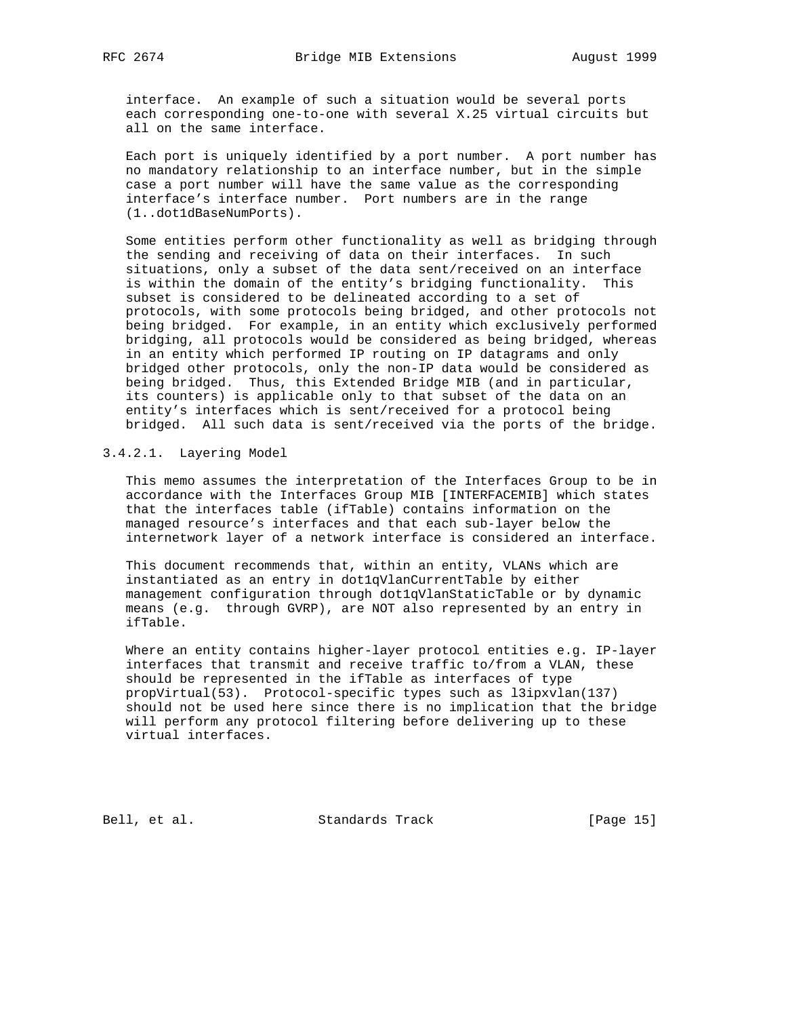interface. An example of such a situation would be several ports each corresponding one-to-one with several X.25 virtual circuits but all on the same interface.

 Each port is uniquely identified by a port number. A port number has no mandatory relationship to an interface number, but in the simple case a port number will have the same value as the corresponding interface's interface number. Port numbers are in the range (1..dot1dBaseNumPorts).

 Some entities perform other functionality as well as bridging through the sending and receiving of data on their interfaces. In such situations, only a subset of the data sent/received on an interface is within the domain of the entity's bridging functionality. This subset is considered to be delineated according to a set of protocols, with some protocols being bridged, and other protocols not being bridged. For example, in an entity which exclusively performed bridging, all protocols would be considered as being bridged, whereas in an entity which performed IP routing on IP datagrams and only bridged other protocols, only the non-IP data would be considered as being bridged. Thus, this Extended Bridge MIB (and in particular, its counters) is applicable only to that subset of the data on an entity's interfaces which is sent/received for a protocol being bridged. All such data is sent/received via the ports of the bridge.

# 3.4.2.1. Layering Model

 This memo assumes the interpretation of the Interfaces Group to be in accordance with the Interfaces Group MIB [INTERFACEMIB] which states that the interfaces table (ifTable) contains information on the managed resource's interfaces and that each sub-layer below the internetwork layer of a network interface is considered an interface.

 This document recommends that, within an entity, VLANs which are instantiated as an entry in dot1qVlanCurrentTable by either management configuration through dot1qVlanStaticTable or by dynamic means (e.g. through GVRP), are NOT also represented by an entry in ifTable.

 Where an entity contains higher-layer protocol entities e.g. IP-layer interfaces that transmit and receive traffic to/from a VLAN, these should be represented in the ifTable as interfaces of type propVirtual(53). Protocol-specific types such as l3ipxvlan(137) should not be used here since there is no implication that the bridge will perform any protocol filtering before delivering up to these virtual interfaces.

Bell, et al. Standards Track [Page 15]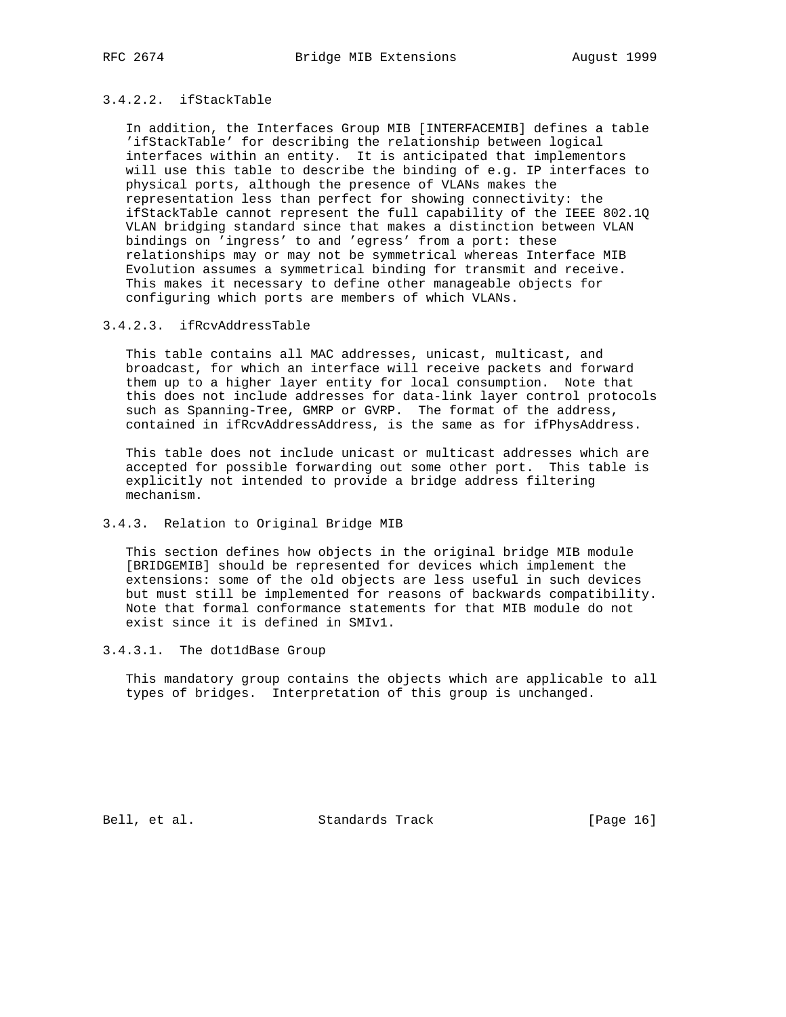# 3.4.2.2. ifStackTable

 In addition, the Interfaces Group MIB [INTERFACEMIB] defines a table 'ifStackTable' for describing the relationship between logical interfaces within an entity. It is anticipated that implementors will use this table to describe the binding of e.g. IP interfaces to physical ports, although the presence of VLANs makes the representation less than perfect for showing connectivity: the ifStackTable cannot represent the full capability of the IEEE 802.1Q VLAN bridging standard since that makes a distinction between VLAN bindings on 'ingress' to and 'egress' from a port: these relationships may or may not be symmetrical whereas Interface MIB Evolution assumes a symmetrical binding for transmit and receive. This makes it necessary to define other manageable objects for configuring which ports are members of which VLANs.

#### 3.4.2.3. ifRcvAddressTable

 This table contains all MAC addresses, unicast, multicast, and broadcast, for which an interface will receive packets and forward them up to a higher layer entity for local consumption. Note that this does not include addresses for data-link layer control protocols such as Spanning-Tree, GMRP or GVRP. The format of the address, contained in ifRcvAddressAddress, is the same as for ifPhysAddress.

 This table does not include unicast or multicast addresses which are accepted for possible forwarding out some other port. This table is explicitly not intended to provide a bridge address filtering mechanism.

### 3.4.3. Relation to Original Bridge MIB

 This section defines how objects in the original bridge MIB module [BRIDGEMIB] should be represented for devices which implement the extensions: some of the old objects are less useful in such devices but must still be implemented for reasons of backwards compatibility. Note that formal conformance statements for that MIB module do not exist since it is defined in SMIv1.

3.4.3.1. The dot1dBase Group

 This mandatory group contains the objects which are applicable to all types of bridges. Interpretation of this group is unchanged.

Bell, et al. Standards Track [Page 16]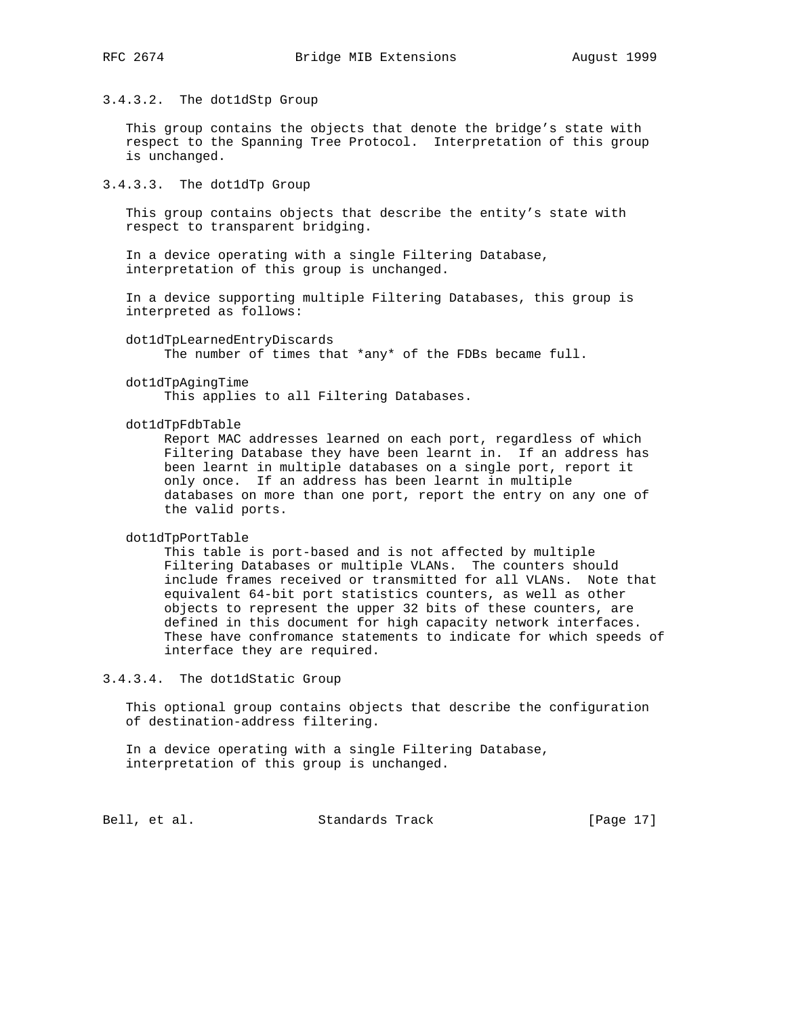# 3.4.3.2. The dot1dStp Group

 This group contains the objects that denote the bridge's state with respect to the Spanning Tree Protocol. Interpretation of this group is unchanged.

3.4.3.3. The dot1dTp Group

 This group contains objects that describe the entity's state with respect to transparent bridging.

 In a device operating with a single Filtering Database, interpretation of this group is unchanged.

 In a device supporting multiple Filtering Databases, this group is interpreted as follows:

 dot1dTpLearnedEntryDiscards The number of times that \*any\* of the FDBs became full.

dot1dTpAgingTime

This applies to all Filtering Databases.

dot1dTpFdbTable

 Report MAC addresses learned on each port, regardless of which Filtering Database they have been learnt in. If an address has been learnt in multiple databases on a single port, report it only once. If an address has been learnt in multiple databases on more than one port, report the entry on any one of the valid ports.

dot1dTpPortTable

 This table is port-based and is not affected by multiple Filtering Databases or multiple VLANs. The counters should include frames received or transmitted for all VLANs. Note that equivalent 64-bit port statistics counters, as well as other objects to represent the upper 32 bits of these counters, are defined in this document for high capacity network interfaces. These have confromance statements to indicate for which speeds of interface they are required.

3.4.3.4. The dot1dStatic Group

 This optional group contains objects that describe the configuration of destination-address filtering.

 In a device operating with a single Filtering Database, interpretation of this group is unchanged.

Bell, et al. Standards Track [Page 17]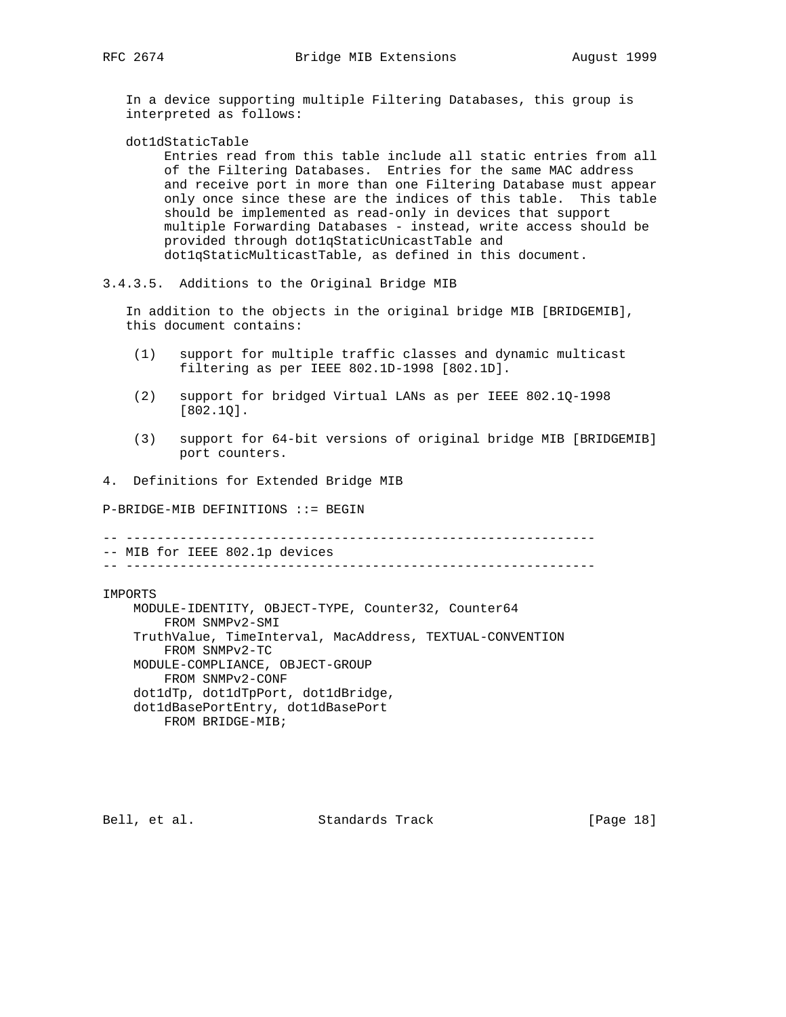In a device supporting multiple Filtering Databases, this group is interpreted as follows:

dot1dStaticTable

 Entries read from this table include all static entries from all of the Filtering Databases. Entries for the same MAC address and receive port in more than one Filtering Database must appear only once since these are the indices of this table. This table should be implemented as read-only in devices that support multiple Forwarding Databases - instead, write access should be provided through dot1qStaticUnicastTable and dot1qStaticMulticastTable, as defined in this document.

3.4.3.5. Additions to the Original Bridge MIB

 In addition to the objects in the original bridge MIB [BRIDGEMIB], this document contains:

- (1) support for multiple traffic classes and dynamic multicast filtering as per IEEE 802.1D-1998 [802.1D].
- (2) support for bridged Virtual LANs as per IEEE 802.1Q-1998 [802.1Q].
- (3) support for 64-bit versions of original bridge MIB [BRIDGEMIB] port counters.

4. Definitions for Extended Bridge MIB

P-BRIDGE-MIB DEFINITIONS ::= BEGIN

-- ------------------------------------------------------------- -- MIB for IEEE 802.1p devices

-- -------------------------------------------------------------

IMPORTS

 MODULE-IDENTITY, OBJECT-TYPE, Counter32, Counter64 FROM SNMPv2-SMI TruthValue, TimeInterval, MacAddress, TEXTUAL-CONVENTION FROM SNMPv2-TC MODULE-COMPLIANCE, OBJECT-GROUP FROM SNMPv2-CONF dot1dTp, dot1dTpPort, dot1dBridge, dot1dBasePortEntry, dot1dBasePort FROM BRIDGE-MIB;

Bell, et al. Standards Track [Page 18]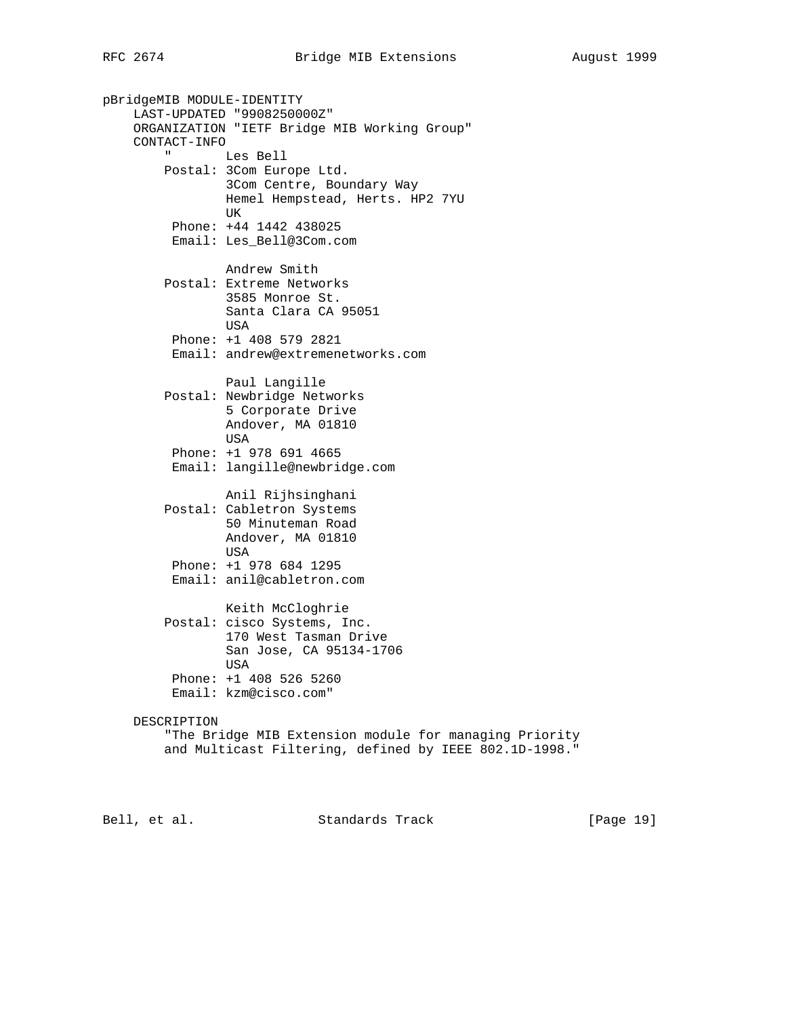pBridgeMIB MODULE-IDENTITY LAST-UPDATED "9908250000Z" ORGANIZATION "IETF Bridge MIB Working Group" CONTACT-INFO " Les Bell Postal: 3Com Europe Ltd. 3Com Centre, Boundary Way Hemel Hempstead, Herts. HP2 7YU UK Phone: +44 1442 438025 Email: Les\_Bell@3Com.com Andrew Smith Postal: Extreme Networks 3585 Monroe St. Santa Clara CA 95051 USA Phone: +1 408 579 2821 Email: andrew@extremenetworks.com Paul Langille Postal: Newbridge Networks 5 Corporate Drive Andover, MA 01810 USA Phone: +1 978 691 4665 Email: langille@newbridge.com Anil Rijhsinghani Postal: Cabletron Systems 50 Minuteman Road Andover, MA 01810 USA Phone: +1 978 684 1295 Email: anil@cabletron.com Keith McCloghrie Postal: cisco Systems, Inc. 170 West Tasman Drive San Jose, CA 95134-1706 USA Phone: +1 408 526 5260 Email: kzm@cisco.com" DESCRIPTION "The Bridge MIB Extension module for managing Priority and Multicast Filtering, defined by IEEE 802.1D-1998."

Bell, et al. Standards Track [Page 19]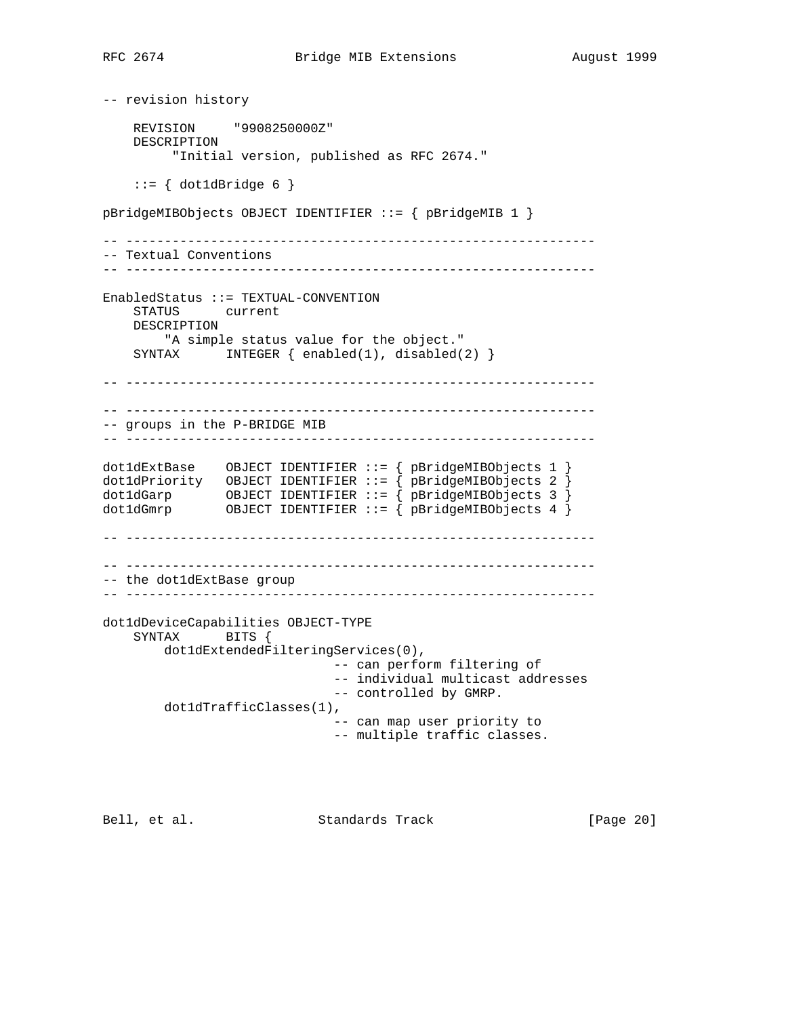```
-- revision history
     REVISION "9908250000Z"
     DESCRIPTION
          "Initial version, published as RFC 2674."
    ::= \{ dot1dBridge 6 \}pBridgeMIBObjects OBJECT IDENTIFIER ::= { pBridgeMIB 1 }
-- -------------------------------------------------------------
-- Textual Conventions
-- -------------------------------------------------------------
EnabledStatus ::= TEXTUAL-CONVENTION
     STATUS current
    DESCRIPTION
        "A simple status value for the object."
    SYNTAX INTEGER { enabled(1), disabled(2) }
-- -------------------------------------------------------------
-- -------------------------------------------------------------
-- groups in the P-BRIDGE MIB
-- -------------------------------------------------------------
dot1dExtBase OBJECT IDENTIFIER ::= { pBridgeMIBObjects 1 }
dot1dPriority OBJECT IDENTIFIER ::= { pBridgeMIBObjects 2 }
dot1dGarp OBJECT IDENTIFIER ::= { pBridgeMIBObjects 3 }
dot1dGmrp OBJECT IDENTIFIER ::= { pBridgeMIBObjects 4 }
-- -------------------------------------------------------------
-- -------------------------------------------------------------
-- the dot1dExtBase group
-- -------------------------------------------------------------
dot1dDeviceCapabilities OBJECT-TYPE
     SYNTAX BITS {
        dot1dExtendedFilteringServices(0),
                               -- can perform filtering of
                               -- individual multicast addresses
                               -- controlled by GMRP.
         dot1dTrafficClasses(1),
                               -- can map user priority to
                               -- multiple traffic classes.
```
Bell, et al. Standards Track [Page 20]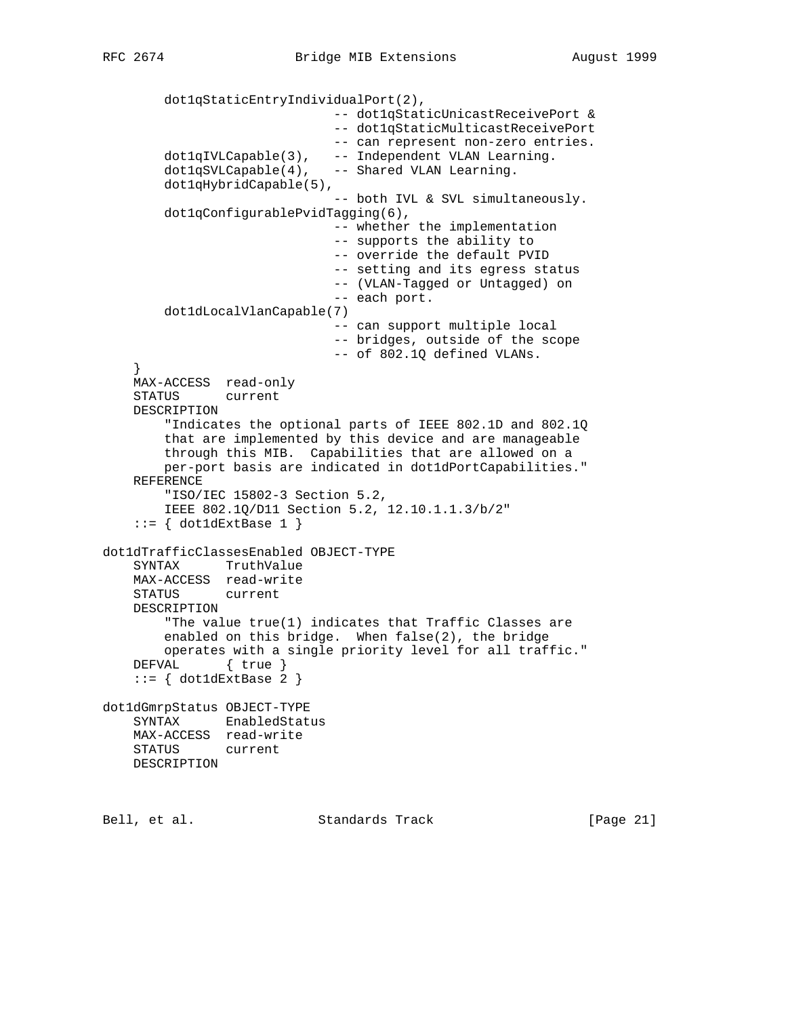```
 dot1qStaticEntryIndividualPort(2),
                               -- dot1qStaticUnicastReceivePort &
                               -- dot1qStaticMulticastReceivePort
                               -- can represent non-zero entries.
        dot1qIVLCapable(3), -- Independent VLAN Learning.
       dot1qSVLCapable(4), -- Shared VLAN Learning.
        dot1qHybridCapable(5),
                               -- both IVL & SVL simultaneously.
        dot1qConfigurablePvidTagging(6),
                               -- whether the implementation
                               -- supports the ability to
                               -- override the default PVID
                               -- setting and its egress status
                               -- (VLAN-Tagged or Untagged) on
                               -- each port.
        dot1dLocalVlanCapable(7)
                               -- can support multiple local
                               -- bridges, outside of the scope
                               -- of 802.1Q defined VLANs.
 }
    MAX-ACCESS read-only
     STATUS current
    DESCRIPTION
         "Indicates the optional parts of IEEE 802.1D and 802.1Q
         that are implemented by this device and are manageable
        through this MIB. Capabilities that are allowed on a
        per-port basis are indicated in dot1dPortCapabilities."
     REFERENCE
         "ISO/IEC 15802-3 Section 5.2,
        IEEE 802.1Q/D11 Section 5.2, 12.10.1.1.3/b/2"
    ::= { dot1dExtBase 1 }
dot1dTrafficClassesEnabled OBJECT-TYPE
     SYNTAX TruthValue
    MAX-ACCESS read-write
    STATUS current
    DESCRIPTION
         "The value true(1) indicates that Traffic Classes are
        enabled on this bridge. When false(2), the bridge
        operates with a single priority level for all traffic."
    DEFVAL { true }
    ::= { dot1dExtBase 2 }
dot1dGmrpStatus OBJECT-TYPE
     SYNTAX EnabledStatus
    MAX-ACCESS read-write
    STATUS current
    DESCRIPTION
```
Bell, et al. Standards Track [Page 21]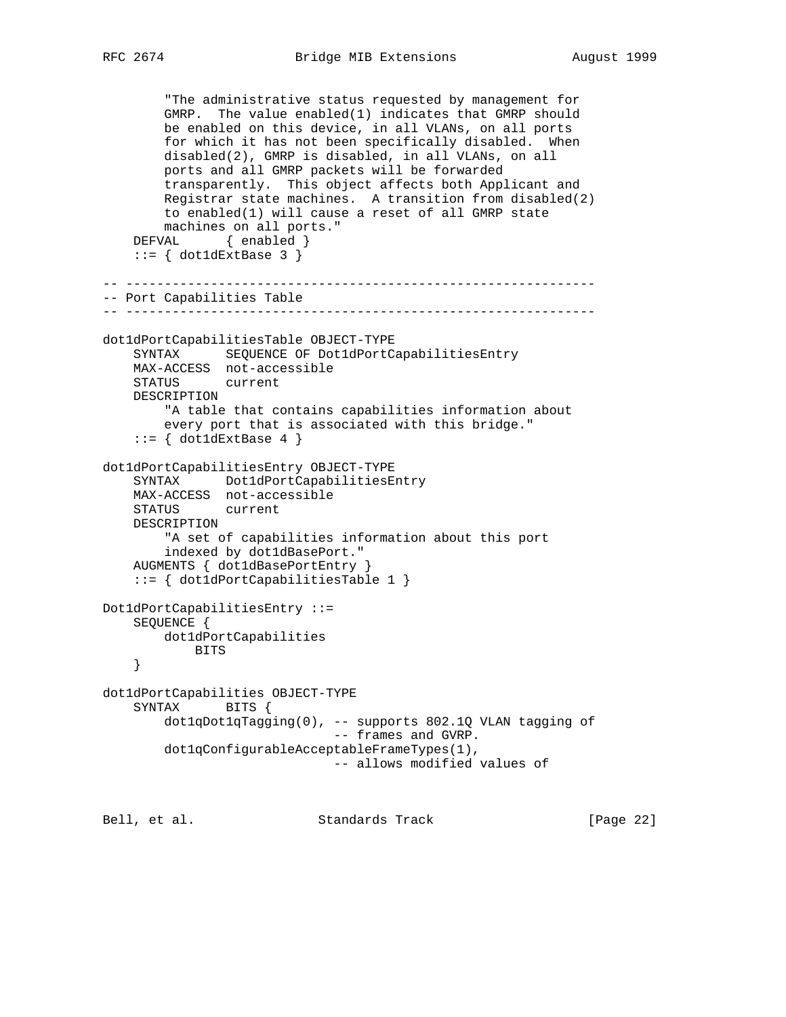```
 "The administrative status requested by management for
         GMRP. The value enabled(1) indicates that GMRP should
        be enabled on this device, in all VLANs, on all ports
         for which it has not been specifically disabled. When
        disabled(2), GMRP is disabled, in all VLANs, on all
        ports and all GMRP packets will be forwarded
        transparently. This object affects both Applicant and
        Registrar state machines. A transition from disabled(2)
        to enabled(1) will cause a reset of all GMRP state
        machines on all ports."
    DEFVAL { enabled }
    ::= { dot1dExtBase 3 }
    -- -------------------------------------------------------------
-- Port Capabilities Table
-- -------------------------------------------------------------
dot1dPortCapabilitiesTable OBJECT-TYPE
    SYNTAX SEQUENCE OF Dot1dPortCapabilitiesEntry
    MAX-ACCESS not-accessible
    STATUS current
     DESCRIPTION
         "A table that contains capabilities information about
        every port that is associated with this bridge."
    ::= { dot1dExtBase 4 }
dot1dPortCapabilitiesEntry OBJECT-TYPE
     SYNTAX Dot1dPortCapabilitiesEntry
     MAX-ACCESS not-accessible
    STATUS current
     DESCRIPTION
         "A set of capabilities information about this port
         indexed by dot1dBasePort."
     AUGMENTS { dot1dBasePortEntry }
     ::= { dot1dPortCapabilitiesTable 1 }
Dot1dPortCapabilitiesEntry ::=
     SEQUENCE {
       dot1dPortCapabilities
            BITS
     }
dot1dPortCapabilities OBJECT-TYPE
     SYNTAX BITS {
        dot1qDot1qTagging(0), -- supports 802.1Q VLAN tagging of
                               -- frames and GVRP.
         dot1qConfigurableAcceptableFrameTypes(1),
                               -- allows modified values of
```
Bell, et al. Standards Track [Page 22]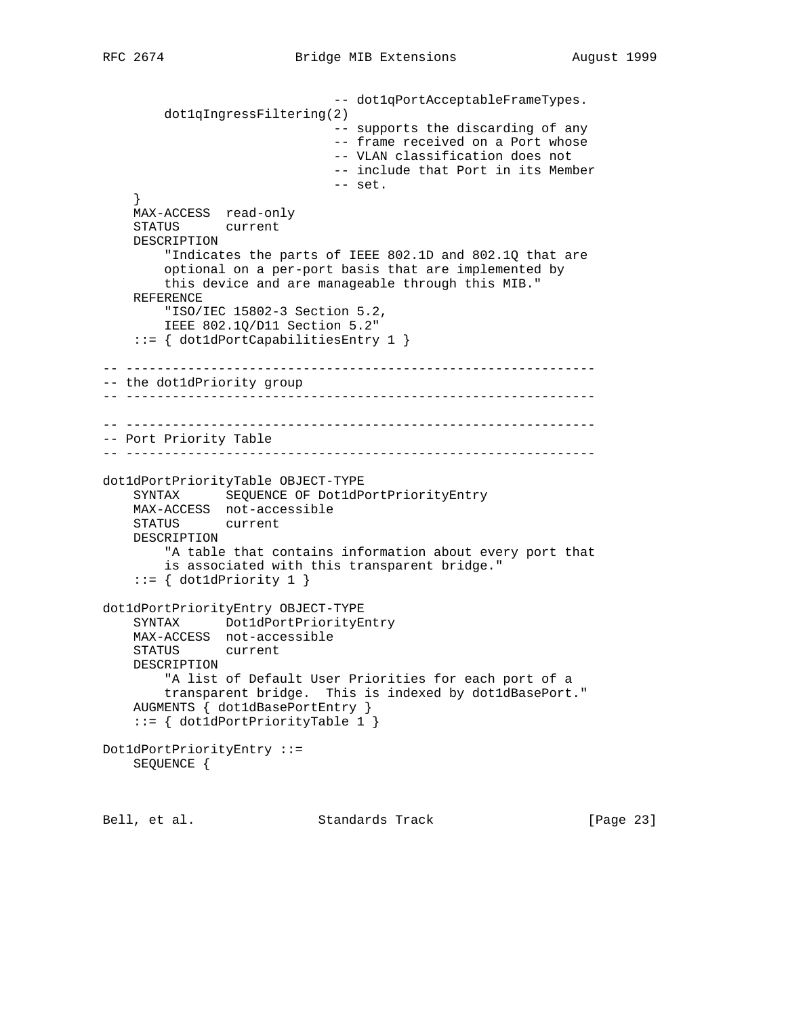```
 -- dot1qPortAcceptableFrameTypes.
         dot1qIngressFiltering(2)
                               -- supports the discarding of any
                               -- frame received on a Port whose
                               -- VLAN classification does not
                               -- include that Port in its Member
                               -- set.
 }
     MAX-ACCESS read-only
     STATUS current
     DESCRIPTION
         "Indicates the parts of IEEE 802.1D and 802.1Q that are
         optional on a per-port basis that are implemented by
         this device and are manageable through this MIB."
     REFERENCE
         "ISO/IEC 15802-3 Section 5.2,
         IEEE 802.1Q/D11 Section 5.2"
     ::= { dot1dPortCapabilitiesEntry 1 }
-- -------------------------------------------------------------
-- the dot1dPriority group
-- -------------------------------------------------------------
-- -------------------------------------------------------------
-- Port Priority Table
-- -------------------------------------------------------------
dot1dPortPriorityTable OBJECT-TYPE
     SYNTAX SEQUENCE OF Dot1dPortPriorityEntry
    MAX-ACCESS not-accessible
     STATUS current
     DESCRIPTION
         "A table that contains information about every port that
         is associated with this transparent bridge."
    ::= \{ dot1dPriority 1 \}dot1dPortPriorityEntry OBJECT-TYPE
     SYNTAX Dot1dPortPriorityEntry
     MAX-ACCESS not-accessible
     STATUS current
     DESCRIPTION
         "A list of Default User Priorities for each port of a
         transparent bridge. This is indexed by dot1dBasePort."
     AUGMENTS { dot1dBasePortEntry }
     ::= { dot1dPortPriorityTable 1 }
Dot1dPortPriorityEntry ::=
     SEQUENCE {
```
Bell, et al. Standards Track [Page 23]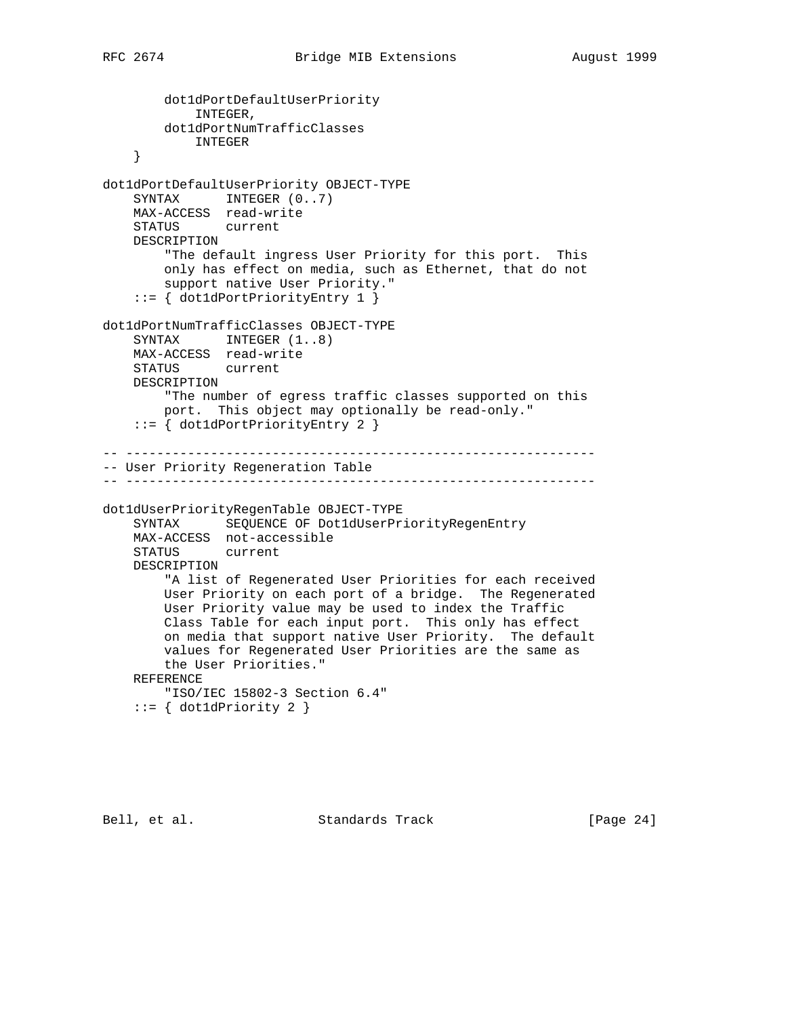```
 dot1dPortDefaultUserPriority
            INTEGER,
        dot1dPortNumTrafficClasses
            INTEGER
     }
dot1dPortDefaultUserPriority OBJECT-TYPE
    SYNTAX INTEGER (0..7) MAX-ACCESS read-write
    STATUS current
    DESCRIPTION
         "The default ingress User Priority for this port. This
        only has effect on media, such as Ethernet, that do not
        support native User Priority."
     ::= { dot1dPortPriorityEntry 1 }
dot1dPortNumTrafficClasses OBJECT-TYPE
   SYNTAX INTEGER (1..8) MAX-ACCESS read-write
    STATUS current
    DESCRIPTION
        "The number of egress traffic classes supported on this
        port. This object may optionally be read-only."
     ::= { dot1dPortPriorityEntry 2 }
-- -------------------------------------------------------------
-- User Priority Regeneration Table
-- -------------------------------------------------------------
dot1dUserPriorityRegenTable OBJECT-TYPE
    SYNTAX SEQUENCE OF Dot1dUserPriorityRegenEntry
    MAX-ACCESS not-accessible
    STATUS current
    DESCRIPTION
         "A list of Regenerated User Priorities for each received
        User Priority on each port of a bridge. The Regenerated
        User Priority value may be used to index the Traffic
        Class Table for each input port. This only has effect
        on media that support native User Priority. The default
        values for Regenerated User Priorities are the same as
        the User Priorities."
    REFERENCE
        "ISO/IEC 15802-3 Section 6.4"
    ::= { dot1dPriority 2 }
```
Bell, et al. Standards Track [Page 24]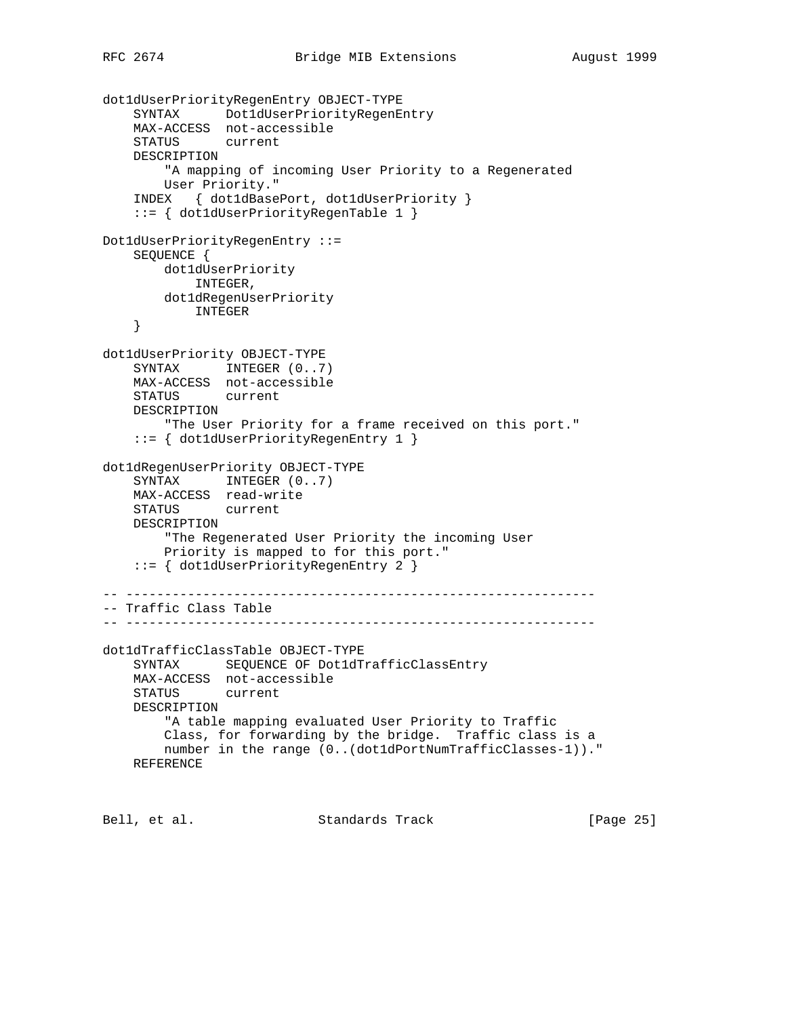```
dot1dUserPriorityRegenEntry OBJECT-TYPE
 SYNTAX Dot1dUserPriorityRegenEntry
 MAX-ACCESS not-accessible
    STATUS current
    DESCRIPTION
         "A mapping of incoming User Priority to a Regenerated
        User Priority."
     INDEX { dot1dBasePort, dot1dUserPriority }
     ::= { dot1dUserPriorityRegenTable 1 }
Dot1dUserPriorityRegenEntry ::=
    SEQUENCE {
        dot1dUserPriority
            INTEGER,
        dot1dRegenUserPriority
            INTEGER
     }
dot1dUserPriority OBJECT-TYPE
   SYNTAX INTEGER (0..7) MAX-ACCESS not-accessible
    STATUS current
    DESCRIPTION
         "The User Priority for a frame received on this port."
     ::= { dot1dUserPriorityRegenEntry 1 }
dot1dRegenUserPriority OBJECT-TYPE
    SYNTAX INTEGER (0..7) MAX-ACCESS read-write
    STATUS current
    DESCRIPTION
        "The Regenerated User Priority the incoming User
        Priority is mapped to for this port."
    ::= { dot1dUserPriorityRegenEntry 2 }
-- -------------------------------------------------------------
-- Traffic Class Table
-- -------------------------------------------------------------
dot1dTrafficClassTable OBJECT-TYPE
    SYNTAX SEQUENCE OF Dot1dTrafficClassEntry
    MAX-ACCESS not-accessible
    STATUS current
    DESCRIPTION
         "A table mapping evaluated User Priority to Traffic
        Class, for forwarding by the bridge. Traffic class is a
        number in the range (0..(dot1dPortNumTrafficClasses-1))."
    REFERENCE
```
Bell, et al. Standards Track [Page 25]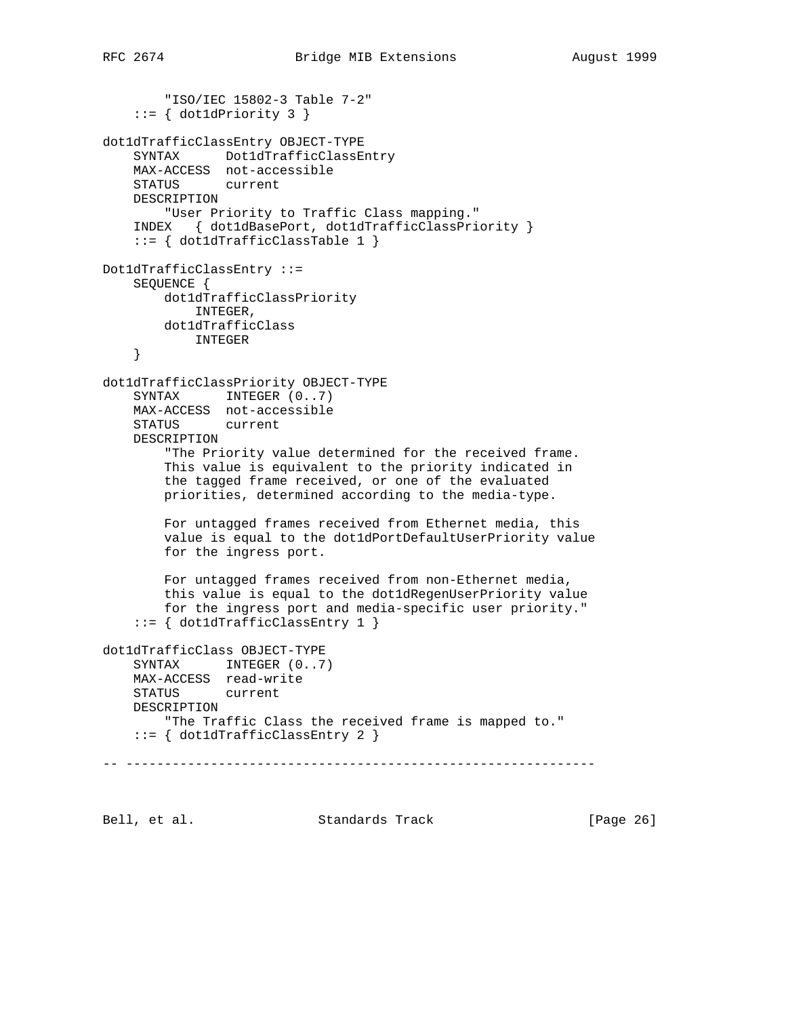```
 "ISO/IEC 15802-3 Table 7-2"
    ::= { dot1dPriority 3 }
dot1dTrafficClassEntry OBJECT-TYPE
     SYNTAX Dot1dTrafficClassEntry
     MAX-ACCESS not-accessible
    STATUS current
    DESCRIPTION
        "User Priority to Traffic Class mapping."
     INDEX { dot1dBasePort, dot1dTrafficClassPriority }
     ::= { dot1dTrafficClassTable 1 }
Dot1dTrafficClassEntry ::=
    SEQUENCE {
        dot1dTrafficClassPriority
            INTEGER,
        dot1dTrafficClass
           INTEGER
     }
dot1dTrafficClassPriority OBJECT-TYPE
    SYNTAX INTEGER (0..7) MAX-ACCESS not-accessible
    STATUS current
    DESCRIPTION
         "The Priority value determined for the received frame.
         This value is equivalent to the priority indicated in
         the tagged frame received, or one of the evaluated
        priorities, determined according to the media-type.
        For untagged frames received from Ethernet media, this
        value is equal to the dot1dPortDefaultUserPriority value
        for the ingress port.
        For untagged frames received from non-Ethernet media,
         this value is equal to the dot1dRegenUserPriority value
         for the ingress port and media-specific user priority."
    ::= { dot1dTrafficClassEntry 1 }
dot1dTrafficClass OBJECT-TYPE
    SYNTAX INTEGER (0..7) MAX-ACCESS read-write
     STATUS current
     DESCRIPTION
        "The Traffic Class the received frame is mapped to."
     ::= { dot1dTrafficClassEntry 2 }
-- -------------------------------------------------------------
```
Bell, et al. Standards Track [Page 26]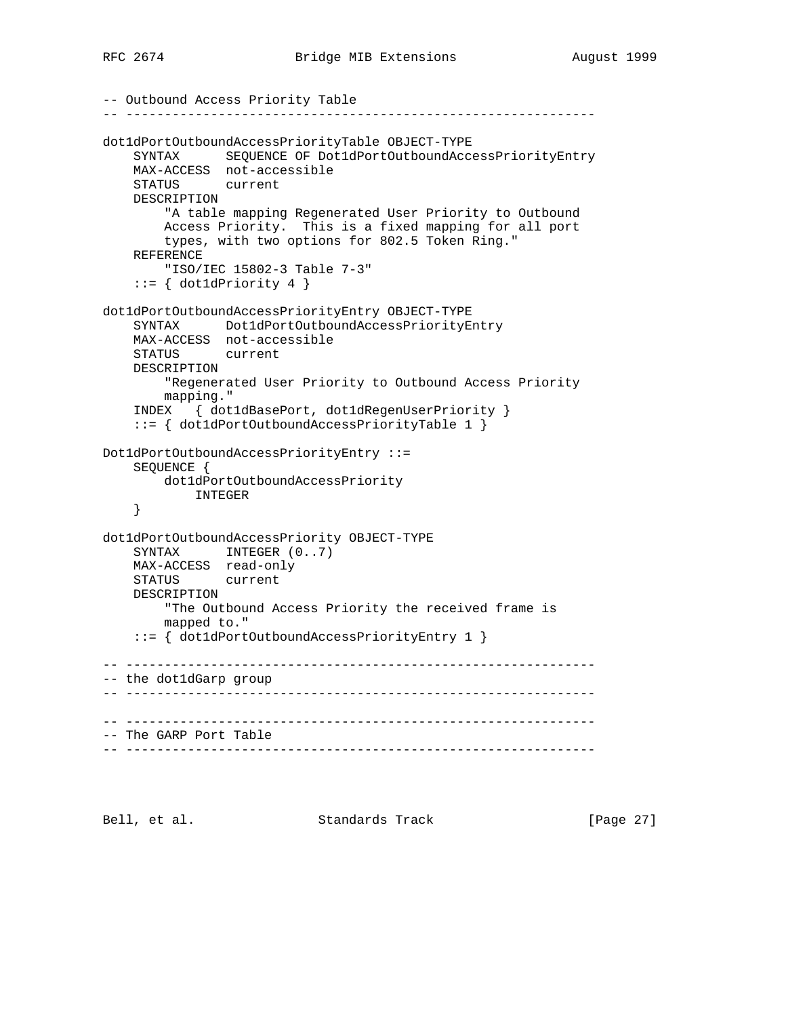```
-- Outbound Access Priority Table
-- -------------------------------------------------------------
dot1dPortOutboundAccessPriorityTable OBJECT-TYPE
     SYNTAX SEQUENCE OF Dot1dPortOutboundAccessPriorityEntry
    MAX-ACCESS not-accessible
    STATUS current
    DESCRIPTION
         "A table mapping Regenerated User Priority to Outbound
        Access Priority. This is a fixed mapping for all port
        types, with two options for 802.5 Token Ring."
    REFERENCE
         "ISO/IEC 15802-3 Table 7-3"
    ::= { dot1dPriority 4 }
dot1dPortOutboundAccessPriorityEntry OBJECT-TYPE
    SYNTAX Dot1dPortOutboundAccessPriorityEntry
    MAX-ACCESS not-accessible
    STATUS current
    DESCRIPTION
        "Regenerated User Priority to Outbound Access Priority
        mapping."
     INDEX { dot1dBasePort, dot1dRegenUserPriority }
     ::= { dot1dPortOutboundAccessPriorityTable 1 }
Dot1dPortOutboundAccessPriorityEntry ::=
     SEQUENCE {
        dot1dPortOutboundAccessPriority
           INTEGER
     }
dot1dPortOutboundAccessPriority OBJECT-TYPE
    SYNTAX INTEGER (0..7) MAX-ACCESS read-only
    STATUS current
    DESCRIPTION
         "The Outbound Access Priority the received frame is
        mapped to."
     ::= { dot1dPortOutboundAccessPriorityEntry 1 }
-- -------------------------------------------------------------
-- the dot1dGarp group
-- -------------------------------------------------------------
-- -------------------------------------------------------------
-- The GARP Port Table
-- -------------------------------------------------------------
```
Bell, et al. Standards Track [Page 27]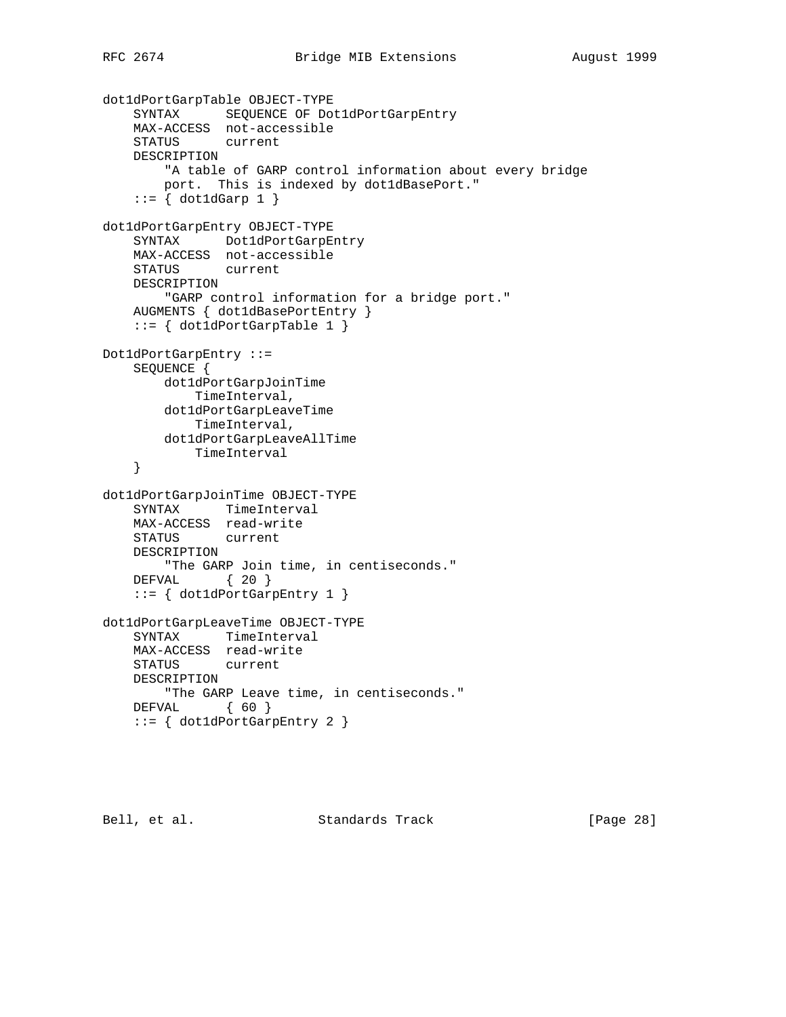```
dot1dPortGarpTable OBJECT-TYPE
     SYNTAX SEQUENCE OF Dot1dPortGarpEntry
    MAX-ACCESS not-accessible
    STATUS current
    DESCRIPTION
         "A table of GARP control information about every bridge
        port. This is indexed by dot1dBasePort."
    ::= \{ dot1dGarp 1 \}dot1dPortGarpEntry OBJECT-TYPE
    SYNTAX Dot1dPortGarpEntry
    MAX-ACCESS not-accessible
    STATUS current
    DESCRIPTION
        "GARP control information for a bridge port."
    AUGMENTS { dot1dBasePortEntry }
     ::= { dot1dPortGarpTable 1 }
Dot1dPortGarpEntry ::=
    SEQUENCE {
        dot1dPortGarpJoinTime
            TimeInterval,
        dot1dPortGarpLeaveTime
            TimeInterval,
        dot1dPortGarpLeaveAllTime
            TimeInterval
     }
dot1dPortGarpJoinTime OBJECT-TYPE
    SYNTAX TimeInterval
    MAX-ACCESS read-write
    STATUS current
    DESCRIPTION
        "The GARP Join time, in centiseconds."
    DEFVAL { 20 }
    ::= { dot1dPortGarpEntry 1 }
dot1dPortGarpLeaveTime OBJECT-TYPE
   SYNTAX TimeInterval
    MAX-ACCESS read-write
    STATUS current
    DESCRIPTION
        "The GARP Leave time, in centiseconds."
    DEFVAL { 60 }
    ::= { dot1dPortGarpEntry 2 }
```
Bell, et al. Standards Track [Page 28]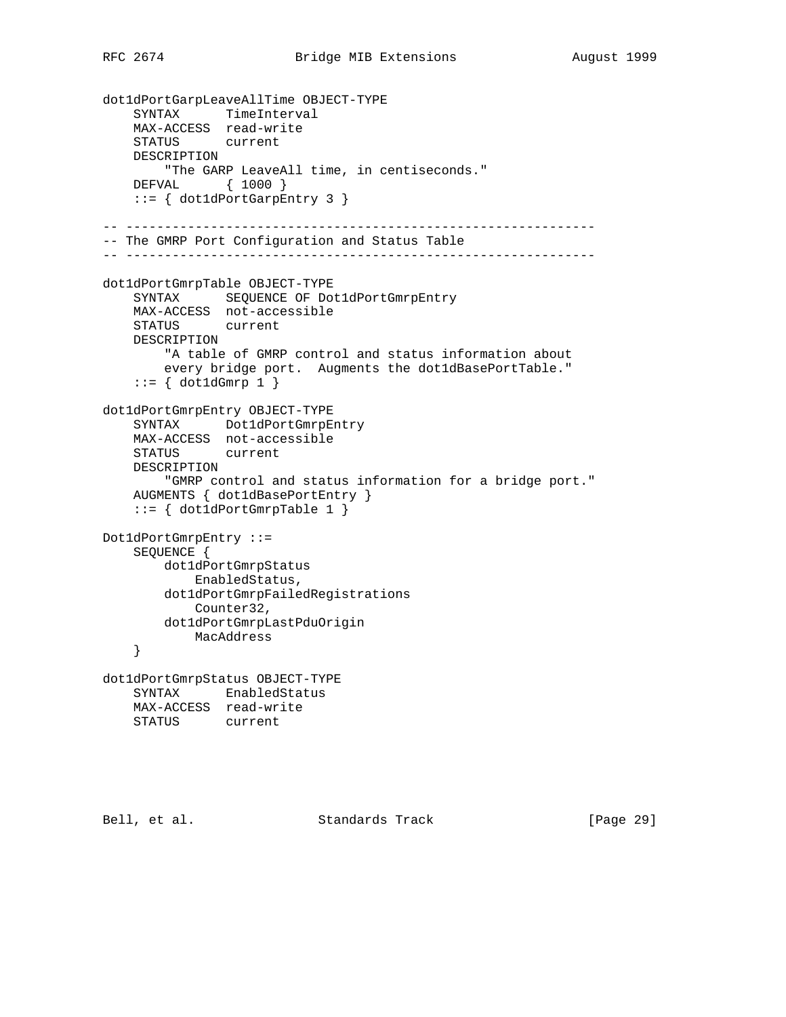```
dot1dPortGarpLeaveAllTime OBJECT-TYPE
 SYNTAX TimeInterval
 MAX-ACCESS read-write
    STATUS current
    DESCRIPTION
         "The GARP LeaveAll time, in centiseconds."
    DEFVAL { 1000 }
     ::= { dot1dPortGarpEntry 3 }
-- -------------------------------------------------------------
-- The GMRP Port Configuration and Status Table
-- -------------------------------------------------------------
dot1dPortGmrpTable OBJECT-TYPE
   SYNTAX SEQUENCE OF Dot1dPortGmrpEntry
    MAX-ACCESS not-accessible
    STATUS current
    DESCRIPTION
        "A table of GMRP control and status information about
        every bridge port. Augments the dot1dBasePortTable."
    ::= \{ dot1dGmrp 1 \}dot1dPortGmrpEntry OBJECT-TYPE
     SYNTAX Dot1dPortGmrpEntry
    MAX-ACCESS not-accessible
    STATUS current
    DESCRIPTION
         "GMRP control and status information for a bridge port."
    AUGMENTS { dot1dBasePortEntry }
    ::= { dot1dPortGmrpTable 1 }
Dot1dPortGmrpEntry ::=
    SEQUENCE {
        dot1dPortGmrpStatus
            EnabledStatus,
        dot1dPortGmrpFailedRegistrations
            Counter32,
        dot1dPortGmrpLastPduOrigin
            MacAddress
     }
dot1dPortGmrpStatus OBJECT-TYPE
    SYNTAX EnabledStatus
    MAX-ACCESS read-write
    STATUS current
```
Bell, et al. Standards Track [Page 29]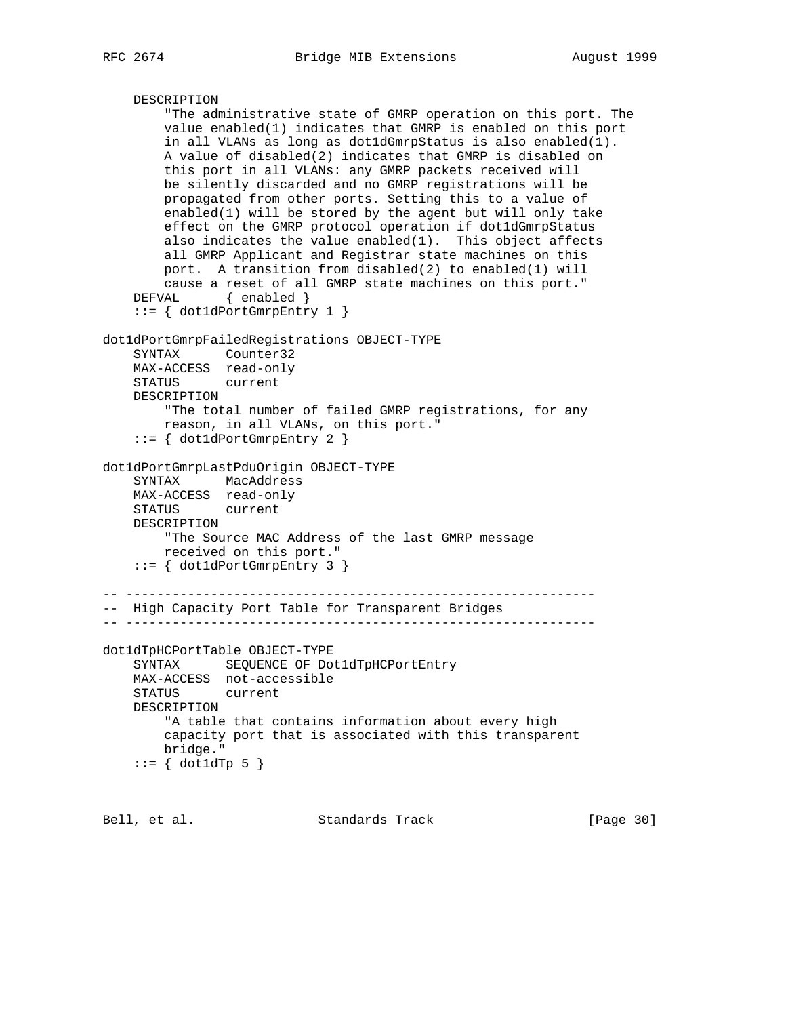```
 DESCRIPTION
         "The administrative state of GMRP operation on this port. The
         value enabled(1) indicates that GMRP is enabled on this port
         in all VLANs as long as dot1dGmrpStatus is also enabled(1).
         A value of disabled(2) indicates that GMRP is disabled on
         this port in all VLANs: any GMRP packets received will
        be silently discarded and no GMRP registrations will be
        propagated from other ports. Setting this to a value of
         enabled(1) will be stored by the agent but will only take
         effect on the GMRP protocol operation if dot1dGmrpStatus
       also indicates the value enabled(1). This object affects
         all GMRP Applicant and Registrar state machines on this
        port. A transition from disabled(2) to enabled(1) will
         cause a reset of all GMRP state machines on this port."
    DEFVAL { enabled }
     ::= { dot1dPortGmrpEntry 1 }
dot1dPortGmrpFailedRegistrations OBJECT-TYPE
     SYNTAX Counter32
     MAX-ACCESS read-only
     STATUS current
     DESCRIPTION
         "The total number of failed GMRP registrations, for any
        reason, in all VLANs, on this port."
     ::= { dot1dPortGmrpEntry 2 }
dot1dPortGmrpLastPduOrigin OBJECT-TYPE
     SYNTAX MacAddress
     MAX-ACCESS read-only
     STATUS current
     DESCRIPTION
         "The Source MAC Address of the last GMRP message
        received on this port."
     ::= { dot1dPortGmrpEntry 3 }
-- -------------------------------------------------------------
-- High Capacity Port Table for Transparent Bridges
-- -------------------------------------------------------------
dot1dTpHCPortTable OBJECT-TYPE
     SYNTAX SEQUENCE OF Dot1dTpHCPortEntry
     MAX-ACCESS not-accessible
     STATUS current
     DESCRIPTION
         "A table that contains information about every high
        capacity port that is associated with this transparent
        bridge."
    ::= { dot1dTp 5 }
```
Bell, et al. Standards Track [Page 30]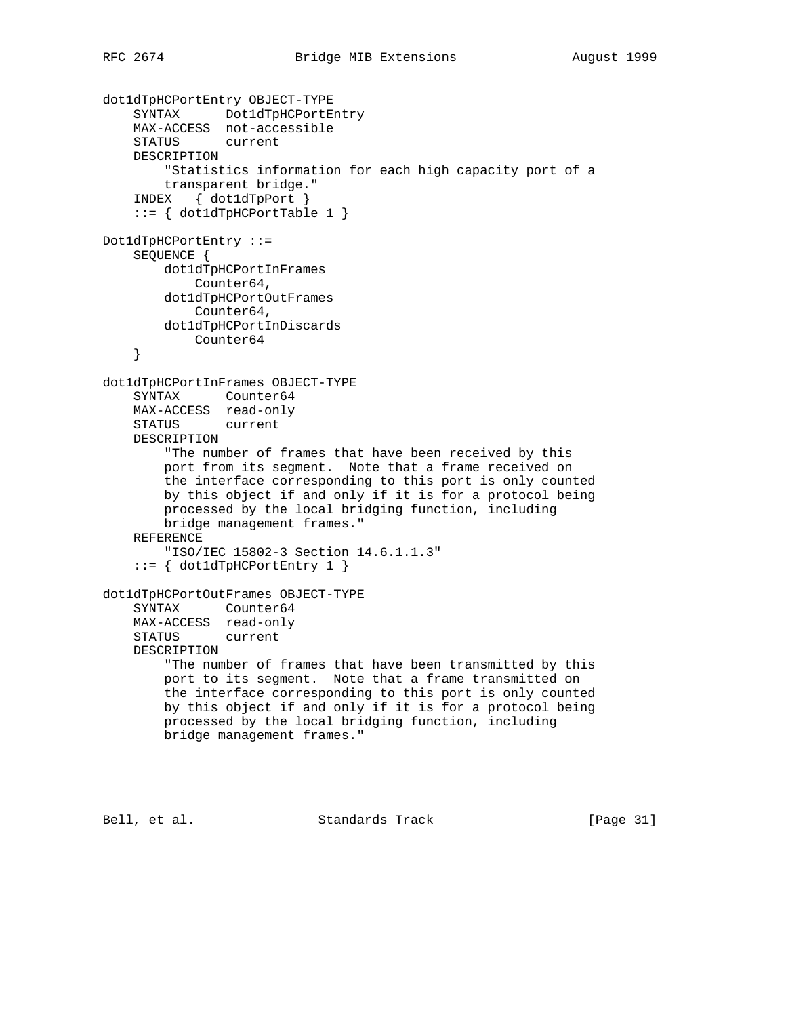```
dot1dTpHCPortEntry OBJECT-TYPE
     SYNTAX Dot1dTpHCPortEntry
     MAX-ACCESS not-accessible
     STATUS current
     DESCRIPTION
         "Statistics information for each high capacity port of a
        transparent bridge."
     INDEX { dot1dTpPort }
     ::= { dot1dTpHCPortTable 1 }
Dot1dTpHCPortEntry ::=
    SEQUENCE {
        dot1dTpHCPortInFrames
             Counter64,
        dot1dTpHCPortOutFrames
            Counter64,
        dot1dTpHCPortInDiscards
            Counter64
     }
dot1dTpHCPortInFrames OBJECT-TYPE
     SYNTAX Counter64
     MAX-ACCESS read-only
    STATUS current
     DESCRIPTION
         "The number of frames that have been received by this
         port from its segment. Note that a frame received on
         the interface corresponding to this port is only counted
        by this object if and only if it is for a protocol being
        processed by the local bridging function, including
        bridge management frames."
     REFERENCE
         "ISO/IEC 15802-3 Section 14.6.1.1.3"
     ::= { dot1dTpHCPortEntry 1 }
dot1dTpHCPortOutFrames OBJECT-TYPE
     SYNTAX Counter64
     MAX-ACCESS read-only
     STATUS current
     DESCRIPTION
         "The number of frames that have been transmitted by this
         port to its segment. Note that a frame transmitted on
         the interface corresponding to this port is only counted
        by this object if and only if it is for a protocol being
        processed by the local bridging function, including
        bridge management frames."
```
Bell, et al. Standards Track [Page 31]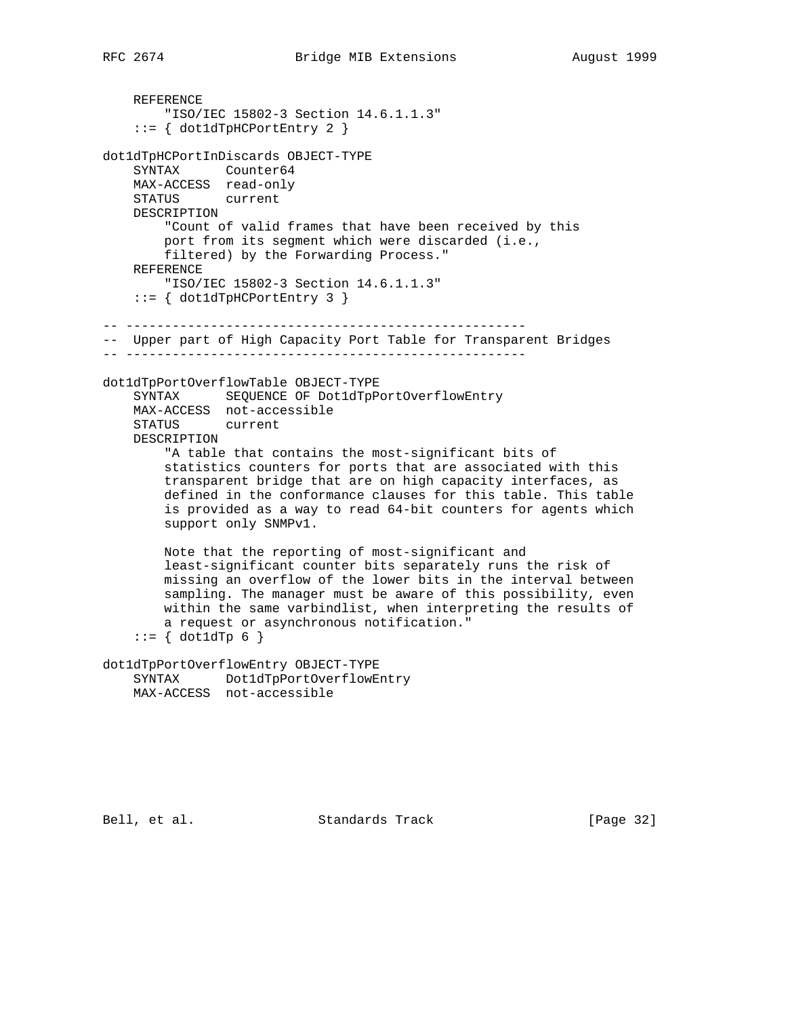REFERENCE "ISO/IEC 15802-3 Section 14.6.1.1.3" ::= { dot1dTpHCPortEntry 2 } dot1dTpHCPortInDiscards OBJECT-TYPE SYNTAX Counter64 MAX-ACCESS read-only STATUS current DESCRIPTION "Count of valid frames that have been received by this port from its segment which were discarded (i.e., filtered) by the Forwarding Process." REFERENCE "ISO/IEC 15802-3 Section 14.6.1.1.3" ::= { dot1dTpHCPortEntry 3 } -- ---------------------------------------------------- -- Upper part of High Capacity Port Table for Transparent Bridges -- --------------------------------------------------- dot1dTpPortOverflowTable OBJECT-TYPE SYNTAX SEQUENCE OF Dot1dTpPortOverflowEntry MAX-ACCESS not-accessible STATUS current DESCRIPTION "A table that contains the most-significant bits of statistics counters for ports that are associated with this transparent bridge that are on high capacity interfaces, as defined in the conformance clauses for this table. This table is provided as a way to read 64-bit counters for agents which support only SNMPv1. Note that the reporting of most-significant and least-significant counter bits separately runs the risk of missing an overflow of the lower bits in the interval between sampling. The manager must be aware of this possibility, even within the same varbindlist, when interpreting the results of a request or asynchronous notification."  $::=$  { dot1dTp 6 } dot1dTpPortOverflowEntry OBJECT-TYPE SYNTAX Dot1dTpPortOverflowEntry MAX-ACCESS not-accessible

Bell, et al. Standards Track [Page 32]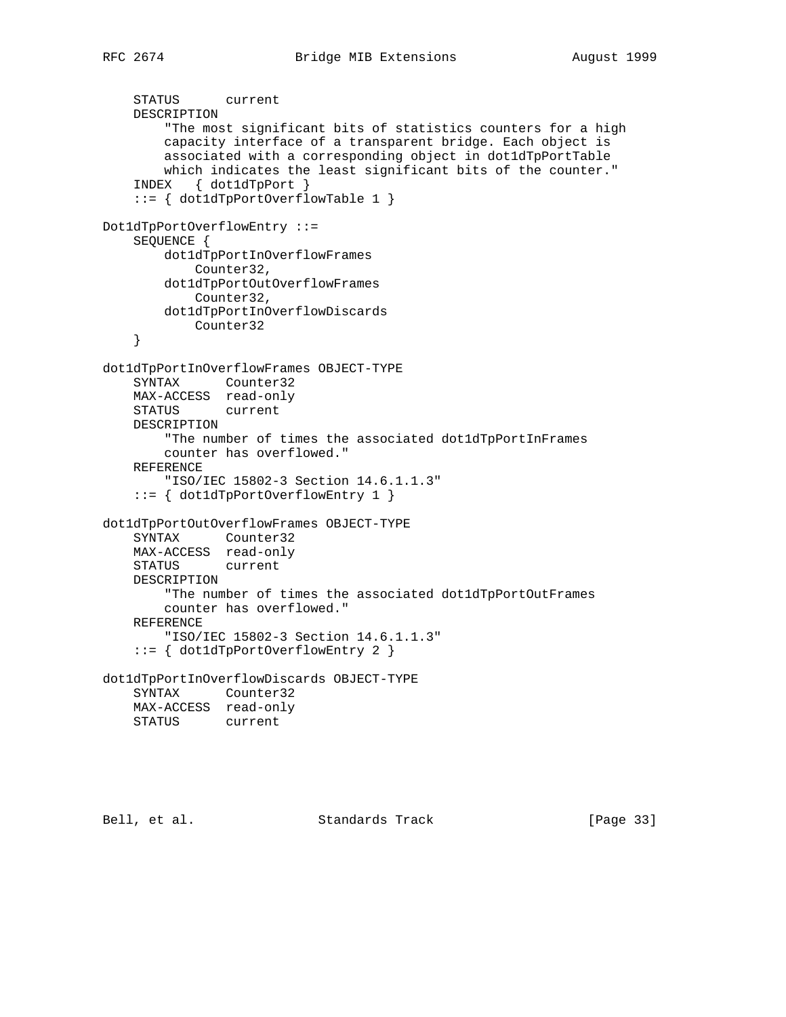```
 STATUS current
     DESCRIPTION
         "The most significant bits of statistics counters for a high
         capacity interface of a transparent bridge. Each object is
         associated with a corresponding object in dot1dTpPortTable
        which indicates the least significant bits of the counter."
     INDEX { dot1dTpPort }
     ::= { dot1dTpPortOverflowTable 1 }
Dot1dTpPortOverflowEntry ::=
     SEQUENCE {
        dot1dTpPortInOverflowFrames
            Counter32,
        dot1dTpPortOutOverflowFrames
            Counter32,
        dot1dTpPortInOverflowDiscards
            Counter32
     }
dot1dTpPortInOverflowFrames OBJECT-TYPE
     SYNTAX Counter32
     MAX-ACCESS read-only
    STATUS current
     DESCRIPTION
         "The number of times the associated dot1dTpPortInFrames
         counter has overflowed."
     REFERENCE
         "ISO/IEC 15802-3 Section 14.6.1.1.3"
     ::= { dot1dTpPortOverflowEntry 1 }
dot1dTpPortOutOverflowFrames OBJECT-TYPE
     SYNTAX Counter32
     MAX-ACCESS read-only
     STATUS current
     DESCRIPTION
         "The number of times the associated dot1dTpPortOutFrames
        counter has overflowed."
     REFERENCE
         "ISO/IEC 15802-3 Section 14.6.1.1.3"
     ::= { dot1dTpPortOverflowEntry 2 }
dot1dTpPortInOverflowDiscards OBJECT-TYPE
     SYNTAX Counter32
    MAX-ACCESS read-only
    STATUS current
```
Bell, et al. Standards Track [Page 33]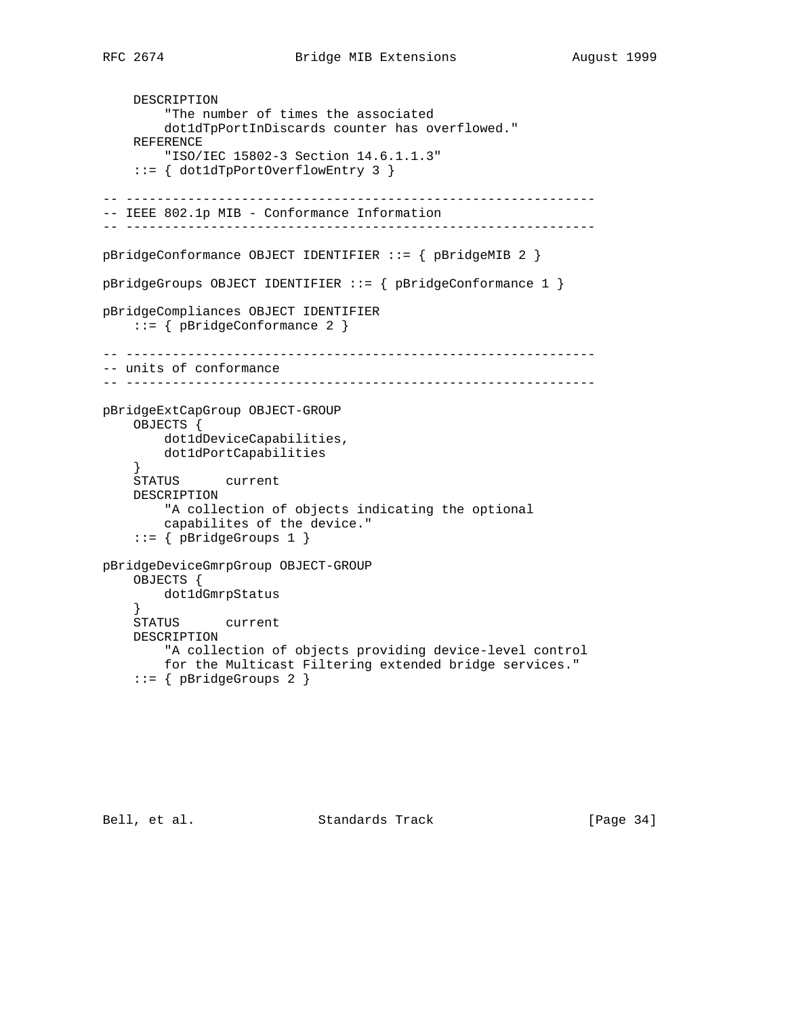```
 DESCRIPTION
         "The number of times the associated
         dot1dTpPortInDiscards counter has overflowed."
     REFERENCE
         "ISO/IEC 15802-3 Section 14.6.1.1.3"
     ::= { dot1dTpPortOverflowEntry 3 }
-- -------------------------------------------------------------
-- IEEE 802.1p MIB - Conformance Information
-- -------------------------------------------------------------
pBridgeConformance OBJECT IDENTIFIER ::= { pBridgeMIB 2 }
pBridgeGroups OBJECT IDENTIFIER ::= { pBridgeConformance 1 }
pBridgeCompliances OBJECT IDENTIFIER
     ::= { pBridgeConformance 2 }
-- -------------------------------------------------------------
-- units of conformance
-- -------------------------------------------------------------
pBridgeExtCapGroup OBJECT-GROUP
     OBJECTS {
         dot1dDeviceCapabilities,
        dot1dPortCapabilities
     }
     STATUS current
    DESCRIPTION
         "A collection of objects indicating the optional
         capabilites of the device."
     ::= { pBridgeGroups 1 }
pBridgeDeviceGmrpGroup OBJECT-GROUP
     OBJECTS {
         dot1dGmrpStatus
     }
     STATUS current
     DESCRIPTION
         "A collection of objects providing device-level control
         for the Multicast Filtering extended bridge services."
     ::= { pBridgeGroups 2 }
```
Bell, et al. Standards Track [Page 34]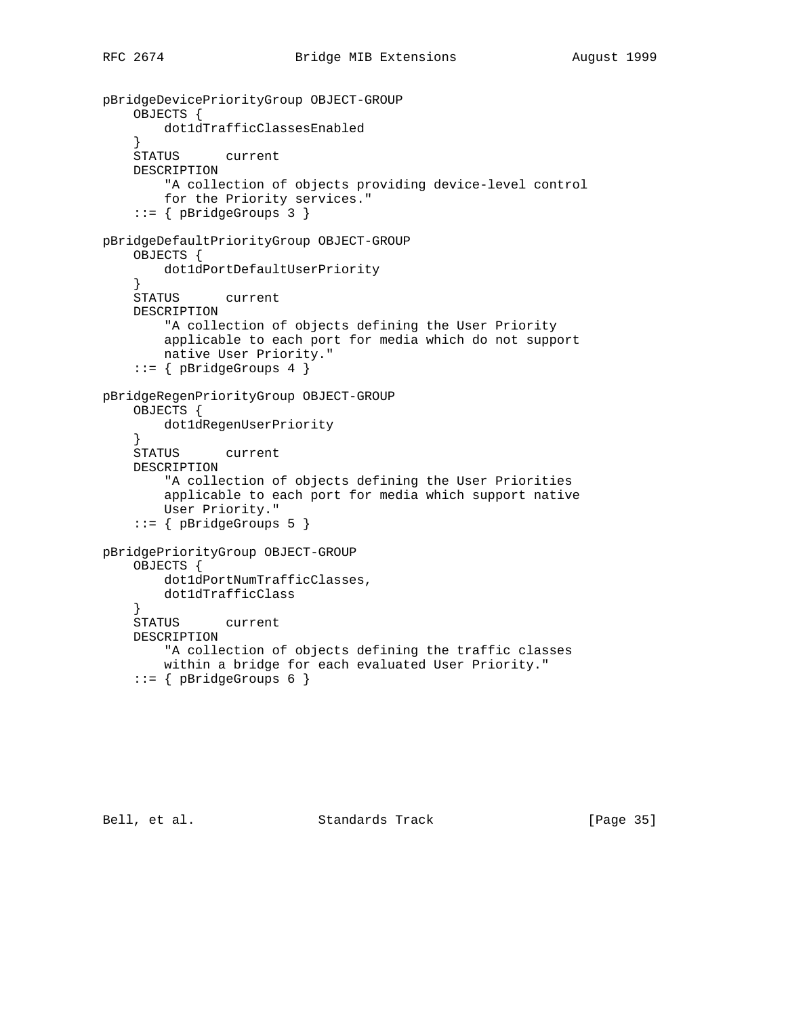```
pBridgeDevicePriorityGroup OBJECT-GROUP
     OBJECTS {
         dot1dTrafficClassesEnabled
     }
     STATUS current
     DESCRIPTION
         "A collection of objects providing device-level control
         for the Priority services."
     ::= { pBridgeGroups 3 }
pBridgeDefaultPriorityGroup OBJECT-GROUP
     OBJECTS {
         dot1dPortDefaultUserPriority
     }
     STATUS current
     DESCRIPTION
         "A collection of objects defining the User Priority
         applicable to each port for media which do not support
         native User Priority."
     ::= { pBridgeGroups 4 }
pBridgeRegenPriorityGroup OBJECT-GROUP
     OBJECTS {
         dot1dRegenUserPriority
     }
     STATUS current
     DESCRIPTION
         "A collection of objects defining the User Priorities
         applicable to each port for media which support native
         User Priority."
     ::= { pBridgeGroups 5 }
pBridgePriorityGroup OBJECT-GROUP
     OBJECTS {
         dot1dPortNumTrafficClasses,
         dot1dTrafficClass
     }
     STATUS current
     DESCRIPTION
         "A collection of objects defining the traffic classes
         within a bridge for each evaluated User Priority."
    ::= { pBridgeGroups 6 }
```
Bell, et al. Standards Track [Page 35]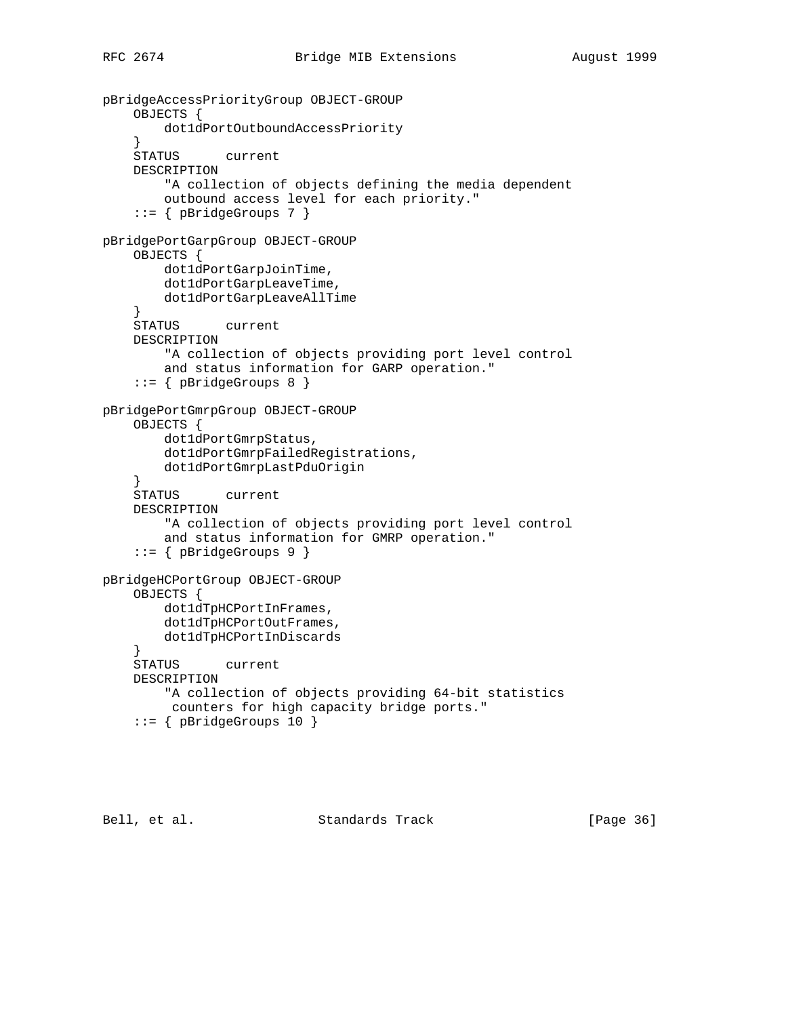```
pBridgeAccessPriorityGroup OBJECT-GROUP
     OBJECTS {
         dot1dPortOutboundAccessPriority
     }
     STATUS current
     DESCRIPTION
         "A collection of objects defining the media dependent
         outbound access level for each priority."
     ::= { pBridgeGroups 7 }
pBridgePortGarpGroup OBJECT-GROUP
     OBJECTS {
         dot1dPortGarpJoinTime,
         dot1dPortGarpLeaveTime,
         dot1dPortGarpLeaveAllTime
     }
     STATUS current
     DESCRIPTION
         "A collection of objects providing port level control
         and status information for GARP operation."
     ::= { pBridgeGroups 8 }
pBridgePortGmrpGroup OBJECT-GROUP
     OBJECTS {
         dot1dPortGmrpStatus,
         dot1dPortGmrpFailedRegistrations,
         dot1dPortGmrpLastPduOrigin
    }<br>STATUS
           current
     DESCRIPTION
         "A collection of objects providing port level control
         and status information for GMRP operation."
     ::= { pBridgeGroups 9 }
pBridgeHCPortGroup OBJECT-GROUP
     OBJECTS {
         dot1dTpHCPortInFrames,
         dot1dTpHCPortOutFrames,
         dot1dTpHCPortInDiscards
     }
     STATUS current
     DESCRIPTION
         "A collection of objects providing 64-bit statistics
         counters for high capacity bridge ports."
     ::= { pBridgeGroups 10 }
```
Bell, et al. Standards Track [Page 36]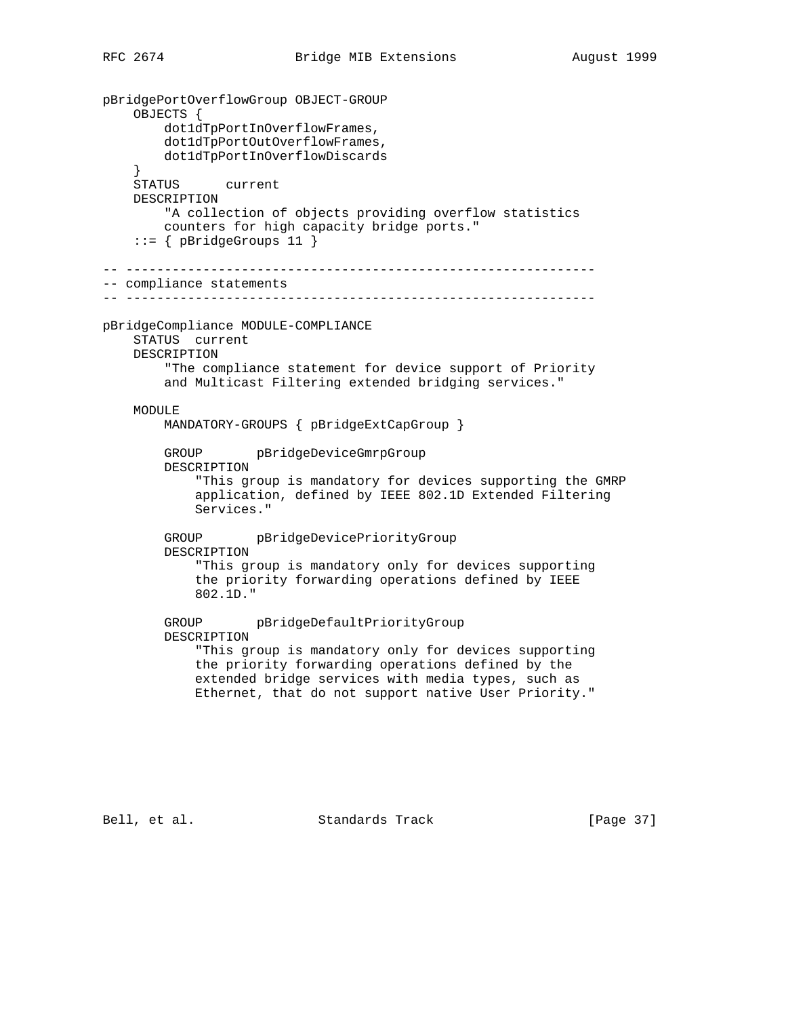pBridgePortOverflowGroup OBJECT-GROUP OBJECTS { dot1dTpPortInOverflowFrames, dot1dTpPortOutOverflowFrames, dot1dTpPortInOverflowDiscards } STATUS current DESCRIPTION "A collection of objects providing overflow statistics counters for high capacity bridge ports." ::= { pBridgeGroups 11 } -- ------------------------------------------------------------- -- compliance statements -- ------------------------------------------------------------ pBridgeCompliance MODULE-COMPLIANCE STATUS current DESCRIPTION "The compliance statement for device support of Priority and Multicast Filtering extended bridging services." MODULE MANDATORY-GROUPS { pBridgeExtCapGroup } GROUP pBridgeDeviceGmrpGroup DESCRIPTION "This group is mandatory for devices supporting the GMRP application, defined by IEEE 802.1D Extended Filtering Services." GROUP pBridgeDevicePriorityGroup DESCRIPTION "This group is mandatory only for devices supporting the priority forwarding operations defined by IEEE 802.1D." GROUP pBridgeDefaultPriorityGroup DESCRIPTION "This group is mandatory only for devices supporting the priority forwarding operations defined by the extended bridge services with media types, such as Ethernet, that do not support native User Priority."

Bell, et al. Standards Track [Page 37]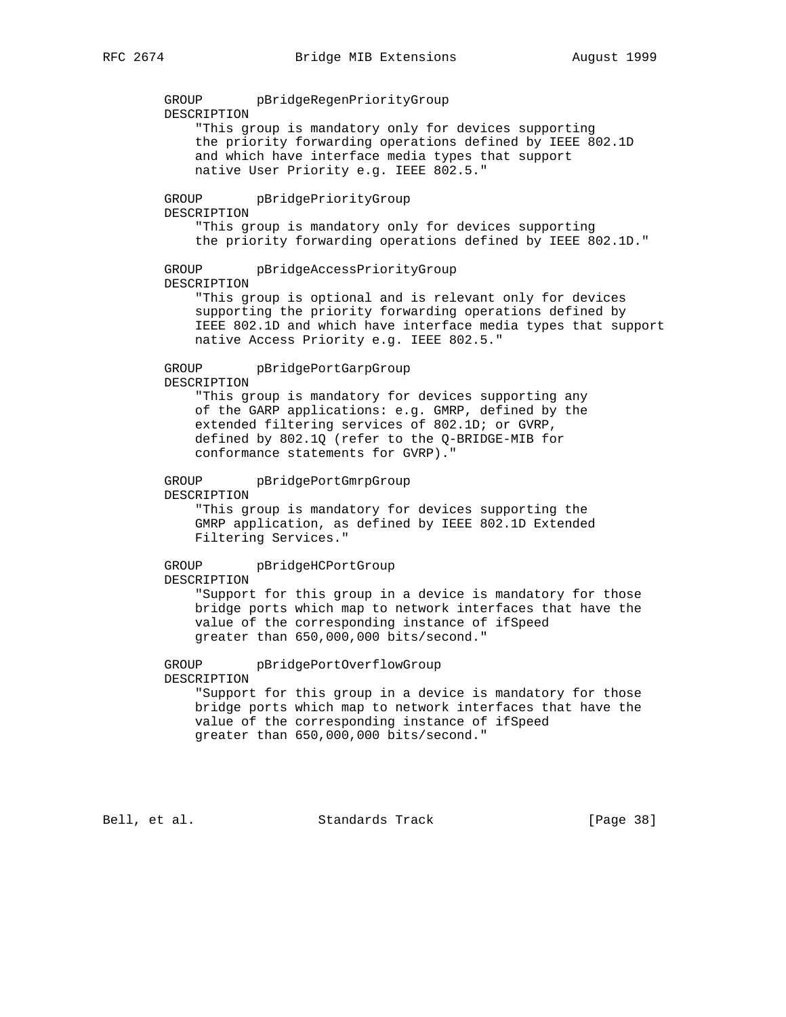GROUP pBridgeRegenPriorityGroup DESCRIPTION "This group is mandatory only for devices supporting the priority forwarding operations defined by IEEE 802.1D and which have interface media types that support native User Priority e.g. IEEE 802.5." GROUP pBridgePriorityGroup DESCRIPTION "This group is mandatory only for devices supporting the priority forwarding operations defined by IEEE 802.1D." GROUP pBridgeAccessPriorityGroup DESCRIPTION "This group is optional and is relevant only for devices supporting the priority forwarding operations defined by IEEE 802.1D and which have interface media types that support native Access Priority e.g. IEEE 802.5." GROUP pBridgePortGarpGroup DESCRIPTION "This group is mandatory for devices supporting any of the GARP applications: e.g. GMRP, defined by the extended filtering services of 802.1D; or GVRP, defined by 802.1Q (refer to the Q-BRIDGE-MIB for conformance statements for GVRP)." GROUP pBridgePortGmrpGroup DESCRIPTION "This group is mandatory for devices supporting the GMRP application, as defined by IEEE 802.1D Extended Filtering Services." GROUP pBridgeHCPortGroup DESCRIPTION "Support for this group in a device is mandatory for those bridge ports which map to network interfaces that have the value of the corresponding instance of ifSpeed greater than 650,000,000 bits/second." GROUP pBridgePortOverflowGroup DESCRIPTION "Support for this group in a device is mandatory for those bridge ports which map to network interfaces that have the value of the corresponding instance of ifSpeed greater than 650,000,000 bits/second."

Bell, et al. Standards Track [Page 38]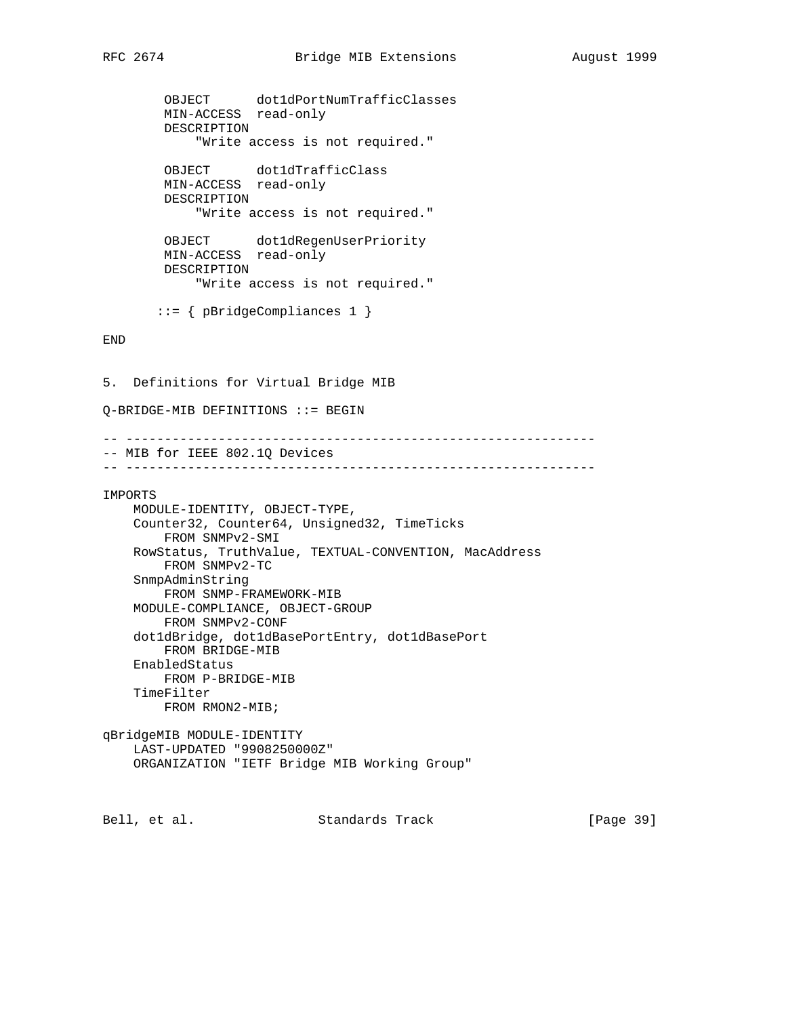OBJECT dot1dPortNumTrafficClasses MIN-ACCESS read-only DESCRIPTION "Write access is not required." OBJECT dot1dTrafficClass MIN-ACCESS read-only DESCRIPTION "Write access is not required." OBJECT dot1dRegenUserPriority MIN-ACCESS read-only DESCRIPTION "Write access is not required." ::= { pBridgeCompliances 1 } END 5. Definitions for Virtual Bridge MIB Q-BRIDGE-MIB DEFINITIONS ::= BEGIN -- ------------------------------------------------------------- -- MIB for IEEE 802.1Q Devices -- ------------------------------------------------------------- IMPORTS MODULE-IDENTITY, OBJECT-TYPE, Counter32, Counter64, Unsigned32, TimeTicks FROM SNMPv2-SMI RowStatus, TruthValue, TEXTUAL-CONVENTION, MacAddress FROM SNMPv2-TC SnmpAdminString FROM SNMP-FRAMEWORK-MIB MODULE-COMPLIANCE, OBJECT-GROUP FROM SNMPv2-CONF dot1dBridge, dot1dBasePortEntry, dot1dBasePort FROM BRIDGE-MIB EnabledStatus FROM P-BRIDGE-MIB TimeFilter FROM RMON2-MIB;

qBridgeMIB MODULE-IDENTITY LAST-UPDATED "9908250000Z" ORGANIZATION "IETF Bridge MIB Working Group"

Bell, et al. Standards Track [Page 39]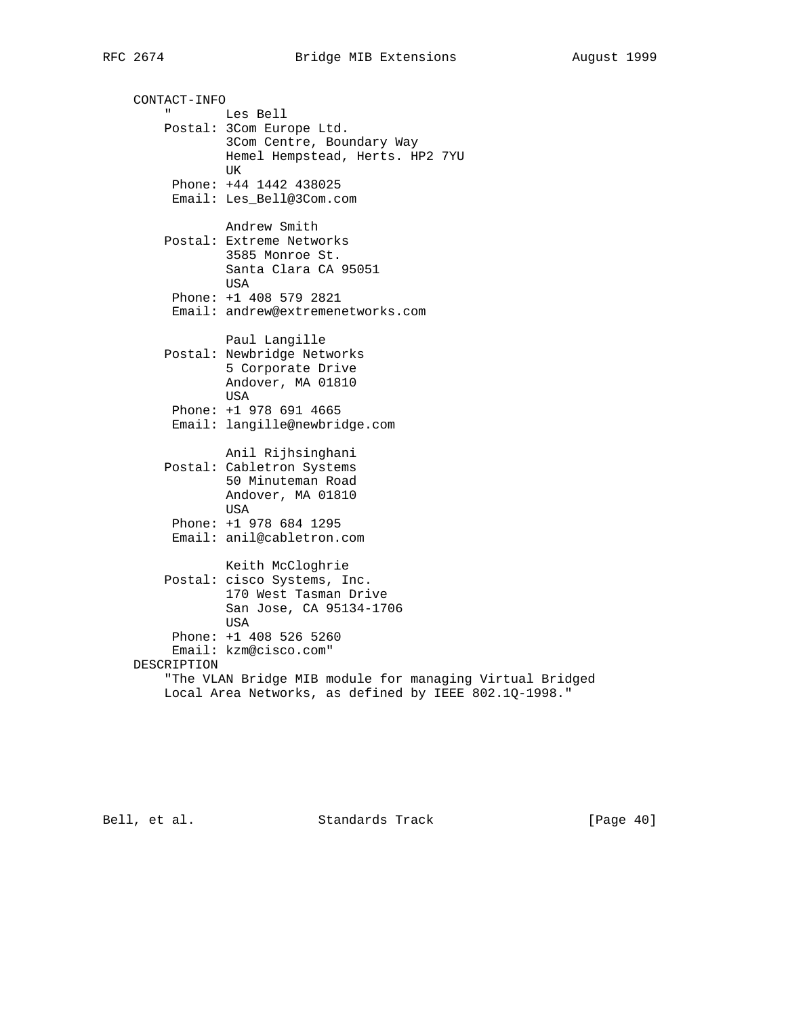CONTACT-INFO " Les Bell Postal: 3Com Europe Ltd. 3Com Centre, Boundary Way Hemel Hempstead, Herts. HP2 7YU UK Phone: +44 1442 438025 Email: Les\_Bell@3Com.com Andrew Smith Postal: Extreme Networks 3585 Monroe St. Santa Clara CA 95051 USA Phone: +1 408 579 2821 Email: andrew@extremenetworks.com Paul Langille Postal: Newbridge Networks 5 Corporate Drive Andover, MA 01810 USA Phone: +1 978 691 4665 Email: langille@newbridge.com Anil Rijhsinghani Postal: Cabletron Systems 50 Minuteman Road Andover, MA 01810 USA Phone: +1 978 684 1295 Email: anil@cabletron.com Keith McCloghrie Postal: cisco Systems, Inc. 170 West Tasman Drive San Jose, CA 95134-1706 USA Phone: +1 408 526 5260 Email: kzm@cisco.com" DESCRIPTION "The VLAN Bridge MIB module for managing Virtual Bridged Local Area Networks, as defined by IEEE 802.1Q-1998."

Bell, et al. Standards Track [Page 40]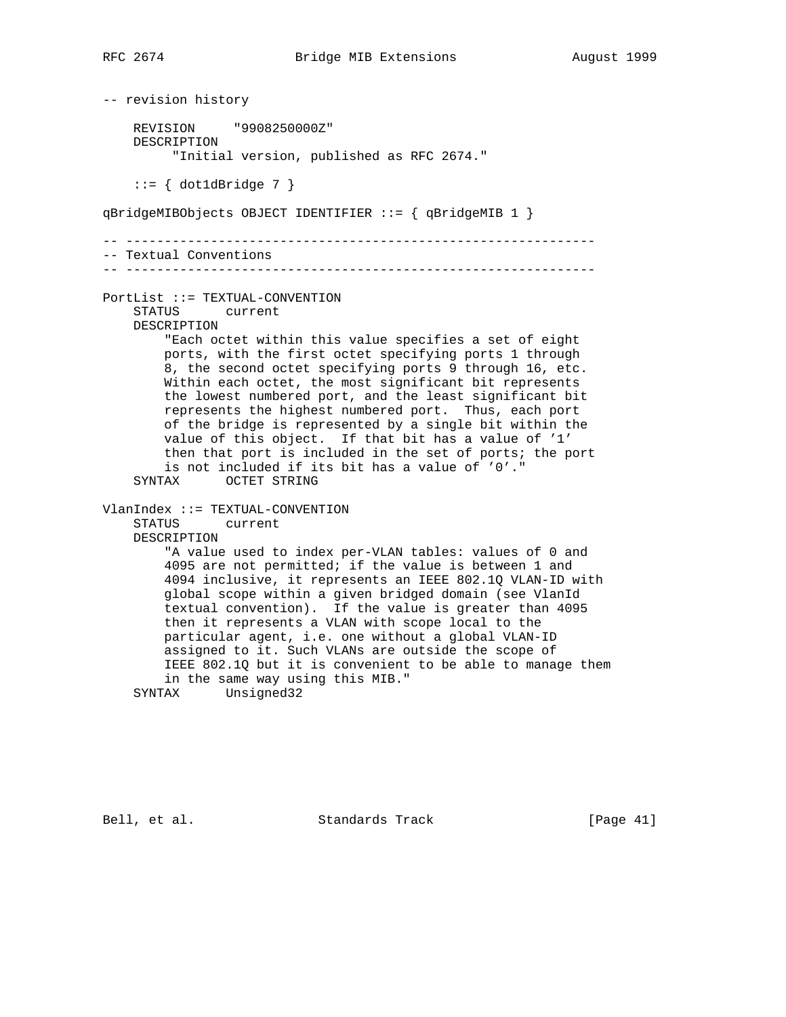-- revision history REVISION "9908250000Z" DESCRIPTION "Initial version, published as RFC 2674."  $::= \{ dot1dBridge 7 \}$ qBridgeMIBObjects OBJECT IDENTIFIER ::= { qBridgeMIB 1 } -- ------------------------------------------------------------- -- Textual Conventions -- ------------------------------------------------------------- PortList ::= TEXTUAL-CONVENTION STATUS current DESCRIPTION "Each octet within this value specifies a set of eight ports, with the first octet specifying ports 1 through 8, the second octet specifying ports 9 through 16, etc. Within each octet, the most significant bit represents the lowest numbered port, and the least significant bit represents the highest numbered port. Thus, each port of the bridge is represented by a single bit within the value of this object. If that bit has a value of '1' then that port is included in the set of ports; the port is not included if its bit has a value of '0'." SYNTAX OCTET STRING VlanIndex ::= TEXTUAL-CONVENTION STATUS current DESCRIPTION "A value used to index per-VLAN tables: values of 0 and 4095 are not permitted; if the value is between 1 and 4094 inclusive, it represents an IEEE 802.1Q VLAN-ID with global scope within a given bridged domain (see VlanId textual convention). If the value is greater than 4095 then it represents a VLAN with scope local to the particular agent, i.e. one without a global VLAN-ID assigned to it. Such VLANs are outside the scope of IEEE 802.1Q but it is convenient to be able to manage them in the same way using this MIB." SYNTAX Unsigned32

Bell, et al. Standards Track [Page 41]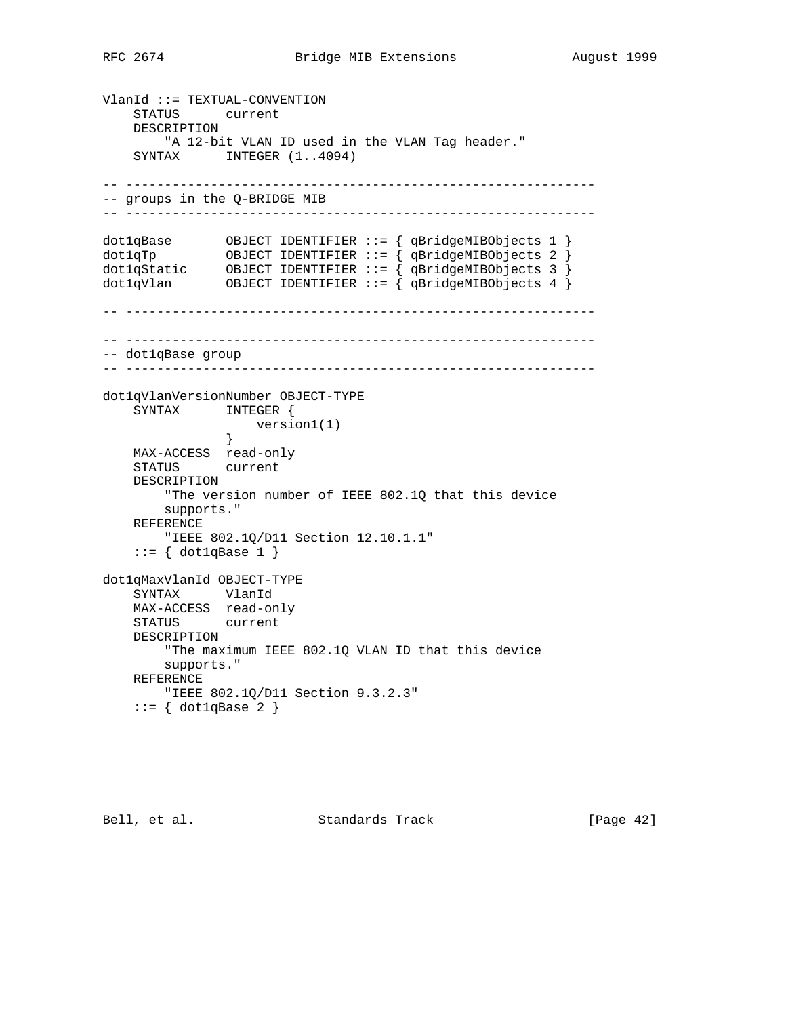VlanId ::= TEXTUAL-CONVENTION STATUS current DESCRIPTION "A 12-bit VLAN ID used in the VLAN Tag header." SYNTAX INTEGER  $(1..4094)$ -- ------------------------------------------------------------- -- groups in the Q-BRIDGE MIB -- ------------------------------------------------------------ dot1qBase OBJECT IDENTIFIER ::= { qBridgeMIBObjects 1 } dot1qTp OBJECT IDENTIFIER ::= { qBridgeMIBObjects 2 } dot1qStatic OBJECT IDENTIFIER ::= { qBridgeMIBObjects 3 } dot1qVlan OBJECT IDENTIFIER ::= { qBridgeMIBObjects 4 } -- ------------------------------------------------------------- -- ------------------------------------------------------------- -- dot1qBase group -- ------------------------------------------------------------ dot1qVlanVersionNumber OBJECT-TYPE SYNTAX INTEGER { version1(1)  $\begin{picture}(20,20) \put(0,0){\vector(1,0){10}} \put(15,0){\vector(1,0){10}} \put(15,0){\vector(1,0){10}} \put(15,0){\vector(1,0){10}} \put(15,0){\vector(1,0){10}} \put(15,0){\vector(1,0){10}} \put(15,0){\vector(1,0){10}} \put(15,0){\vector(1,0){10}} \put(15,0){\vector(1,0){10}} \put(15,0){\vector(1,0){10}} \put(15,0){\vector(1,0){10}} \put(15,0){\vector(1$  MAX-ACCESS read-only STATUS current DESCRIPTION "The version number of IEEE 802.1Q that this device supports." REFERENCE "IEEE 802.1Q/D11 Section 12.10.1.1"  $::= \{ dot1qBase 1 \}$ dot1qMaxVlanId OBJECT-TYPE SYNTAX VlanId MAX-ACCESS read-only STATUS current DESCRIPTION "The maximum IEEE 802.1Q VLAN ID that this device supports." REFERENCE "IEEE 802.1Q/D11 Section 9.3.2.3"  $::= \{ dot1qBase 2 \}$ 

Bell, et al. Standards Track [Page 42]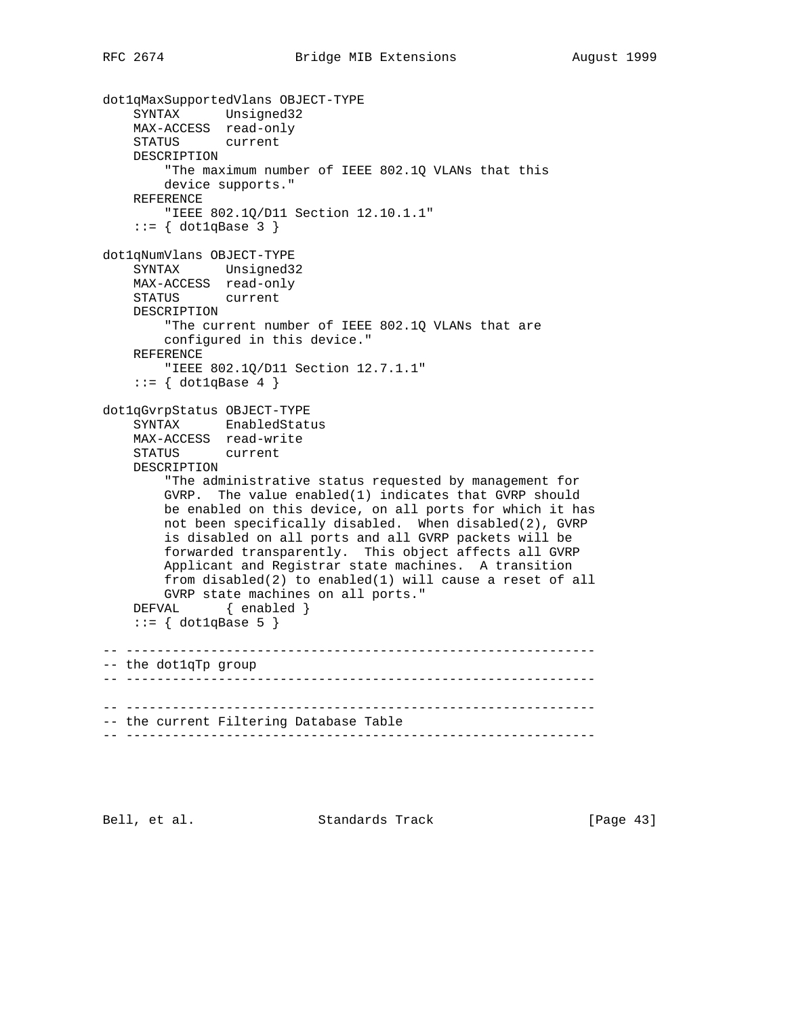```
dot1qMaxSupportedVlans OBJECT-TYPE
 SYNTAX Unsigned32
 MAX-ACCESS read-only
    STATUS current
    DESCRIPTION
         "The maximum number of IEEE 802.1Q VLANs that this
        device supports."
    REFERENCE
         "IEEE 802.1Q/D11 Section 12.10.1.1"
    ::= \{ dot1qBase 3 \}dot1qNumVlans OBJECT-TYPE
     SYNTAX Unsigned32
    MAX-ACCESS read-only
    STATUS current
    DESCRIPTION
         "The current number of IEEE 802.1Q VLANs that are
        configured in this device."
    REFERENCE
        "IEEE 802.1Q/D11 Section 12.7.1.1"
    ::= { dot1qBase 4 }
dot1qGvrpStatus OBJECT-TYPE
     SYNTAX EnabledStatus
    MAX-ACCESS read-write
    STATUS current
    DESCRIPTION
         "The administrative status requested by management for
        GVRP. The value enabled(1) indicates that GVRP should
        be enabled on this device, on all ports for which it has
        not been specifically disabled. When disabled(2), GVRP
        is disabled on all ports and all GVRP packets will be
        forwarded transparently. This object affects all GVRP
        Applicant and Registrar state machines. A transition
        from disabled(2) to enabled(1) will cause a reset of all
        GVRP state machines on all ports."
   DEFVAL { enabled }
    ::= { dot1qBase 5 }
-- -------------------------------------------------------------
-- the dot1qTp group
     -- -------------------------------------------------------------
-- -------------------------------------------------------------
-- the current Filtering Database Table
-- -------------------------------------------------------------
```
Bell, et al. Standards Track [Page 43]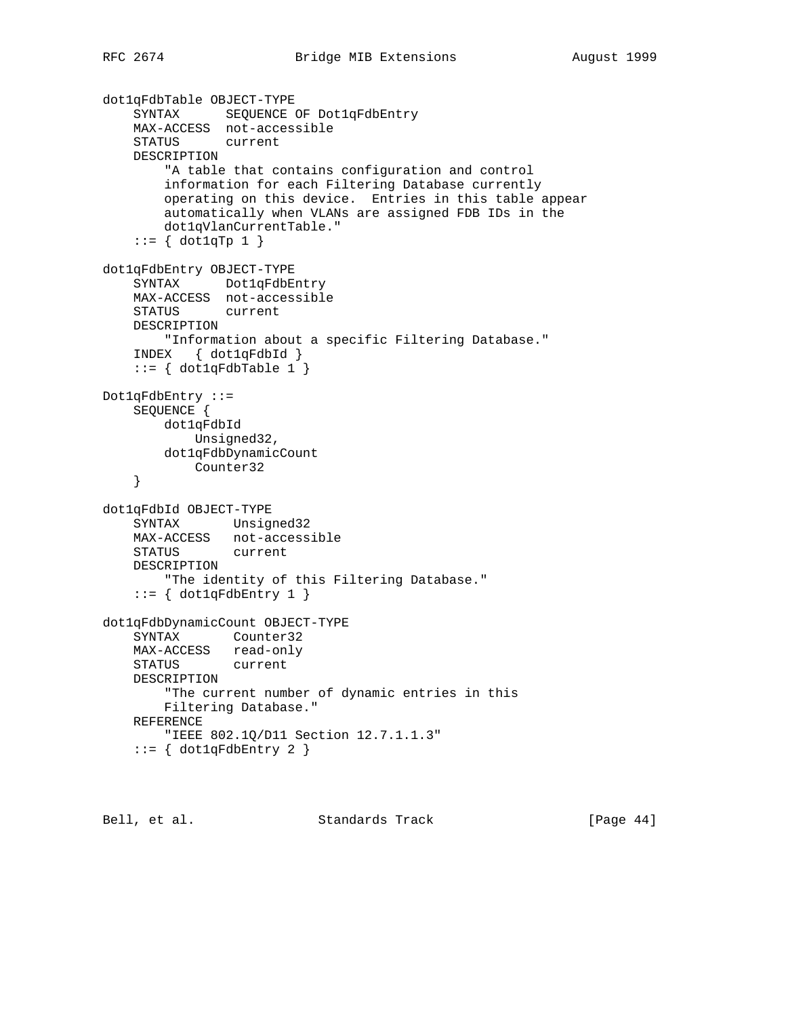```
dot1qFdbTable OBJECT-TYPE
     SYNTAX SEQUENCE OF Dot1qFdbEntry
    MAX-ACCESS not-accessible
    STATUS current
    DESCRIPTION
         "A table that contains configuration and control
        information for each Filtering Database currently
        operating on this device. Entries in this table appear
        automatically when VLANs are assigned FDB IDs in the
        dot1qVlanCurrentTable."
    ::= \{ dot1qTp 1 \}dot1qFdbEntry OBJECT-TYPE
     SYNTAX Dot1qFdbEntry
    MAX-ACCESS not-accessible
    STATUS current
    DESCRIPTION
        "Information about a specific Filtering Database."
     INDEX { dot1qFdbId }
    ::= { dot1qFdbTable 1 }
Dot1qFdbEntry ::=
    SEQUENCE {
        dot1qFdbId
            Unsigned32,
        dot1qFdbDynamicCount
           Counter32
     }
dot1qFdbId OBJECT-TYPE
     SYNTAX Unsigned32
    MAX-ACCESS not-accessible
    STATUS current
    DESCRIPTION
        "The identity of this Filtering Database."
    ::= { dot1qFdbEntry 1 }
dot1qFdbDynamicCount OBJECT-TYPE
    SYNTAX Counter32
    MAX-ACCESS read-only
    STATUS current
    DESCRIPTION
        "The current number of dynamic entries in this
        Filtering Database."
    REFERENCE
         "IEEE 802.1Q/D11 Section 12.7.1.1.3"
    ::= { dot1qFdbEntry 2 }
```
Bell, et al. Standards Track [Page 44]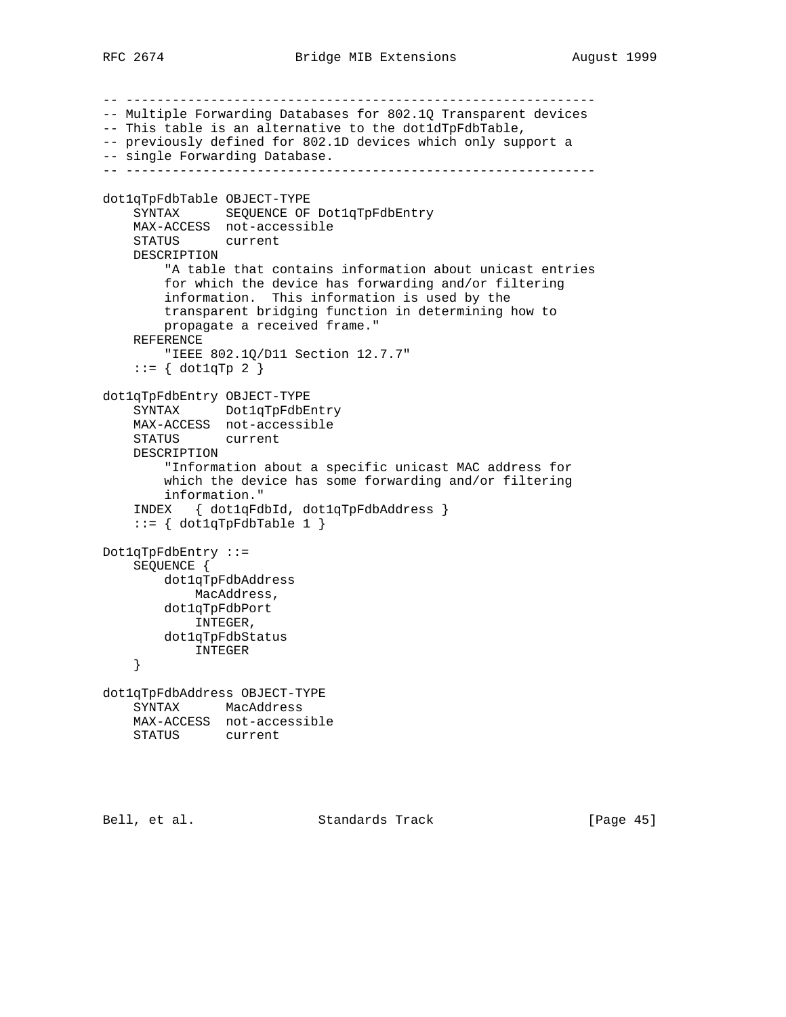```
-- -------------------------------------------------------------
-- Multiple Forwarding Databases for 802.1Q Transparent devices
-- This table is an alternative to the dot1dTpFdbTable,
-- previously defined for 802.1D devices which only support a
-- single Forwarding Database.
-- -------------------------------------------------------------
dot1qTpFdbTable OBJECT-TYPE
    SYNTAX SEQUENCE OF Dot1qTpFdbEntry
    MAX-ACCESS not-accessible
    STATUS current
    DESCRIPTION
         "A table that contains information about unicast entries
         for which the device has forwarding and/or filtering
         information. This information is used by the
        transparent bridging function in determining how to
        propagate a received frame."
    REFERENCE
        "IEEE 802.1Q/D11 Section 12.7.7"
    ::= { dot1qTp 2 }
dot1qTpFdbEntry OBJECT-TYPE
    SYNTAX Dot1qTpFdbEntry
    MAX-ACCESS not-accessible
    STATUS current
    DESCRIPTION
         "Information about a specific unicast MAC address for
        which the device has some forwarding and/or filtering
        information."
     INDEX { dot1qFdbId, dot1qTpFdbAddress }
     ::= { dot1qTpFdbTable 1 }
Dot1qTpFdbEntry ::=
     SEQUENCE {
        dot1qTpFdbAddress
           MacAddress,
        dot1qTpFdbPort
           INTEGER,
        dot1qTpFdbStatus
           INTEGER
     }
dot1qTpFdbAddress OBJECT-TYPE
    SYNTAX MacAddress
    MAX-ACCESS not-accessible
    STATUS current
```
Bell, et al. Standards Track [Page 45]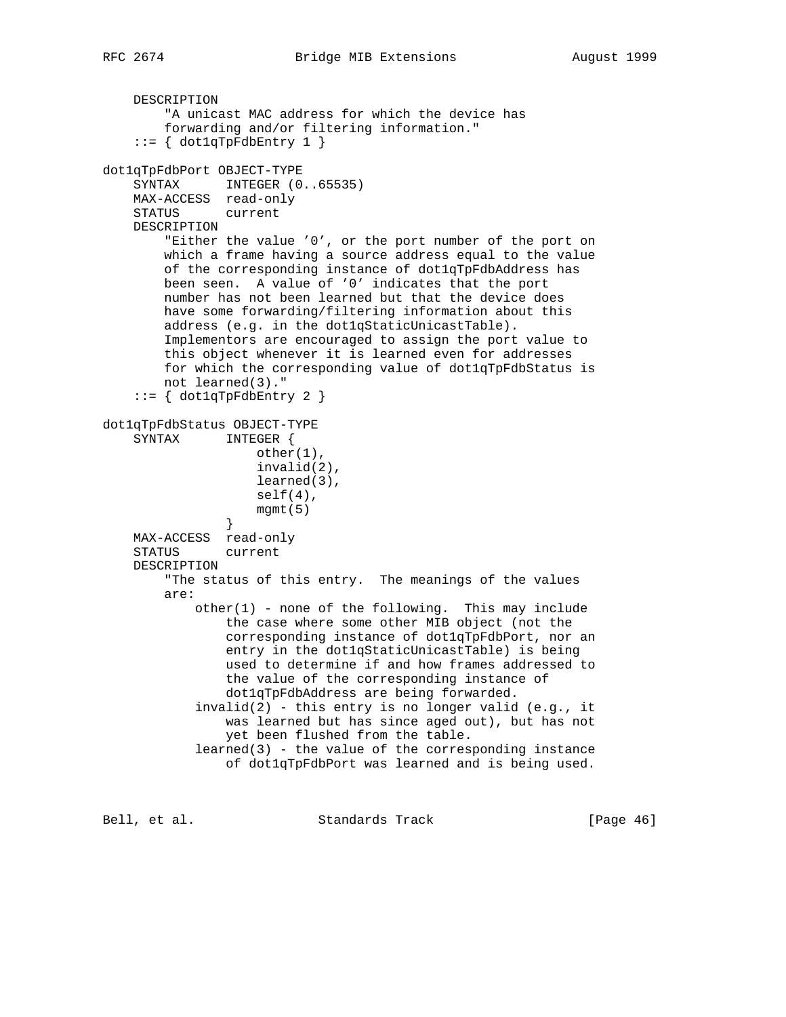DESCRIPTION "A unicast MAC address for which the device has forwarding and/or filtering information."  $::= \{ dot1qTpFdblEntry 1 \}$ dot1qTpFdbPort OBJECT-TYPE SYNTAX INTEGER (0..65535) MAX-ACCESS read-only STATUS current DESCRIPTION "Either the value '0', or the port number of the port on which a frame having a source address equal to the value of the corresponding instance of dot1qTpFdbAddress has been seen. A value of '0' indicates that the port number has not been learned but that the device does have some forwarding/filtering information about this address (e.g. in the dot1qStaticUnicastTable). Implementors are encouraged to assign the port value to this object whenever it is learned even for addresses for which the corresponding value of dot1qTpFdbStatus is not learned(3)."  $::=$  { dot1qTpFdbEntry 2 } dot1qTpFdbStatus OBJECT-TYPE SYNTAX INTEGER { other(1), invalid(2), learned(3), self(4), mgmt(5) } MAX-ACCESS read-only STATUS current DESCRIPTION "The status of this entry. The meanings of the values are: other(1) - none of the following. This may include the case where some other MIB object (not the corresponding instance of dot1qTpFdbPort, nor an entry in the dot1qStaticUnicastTable) is being used to determine if and how frames addressed to the value of the corresponding instance of dot1qTpFdbAddress are being forwarded.  $invalid(2)$  - this entry is no longer valid (e.g., it was learned but has since aged out), but has not yet been flushed from the table. learned(3) - the value of the corresponding instance of dot1qTpFdbPort was learned and is being used.

Bell, et al. Standards Track [Page 46]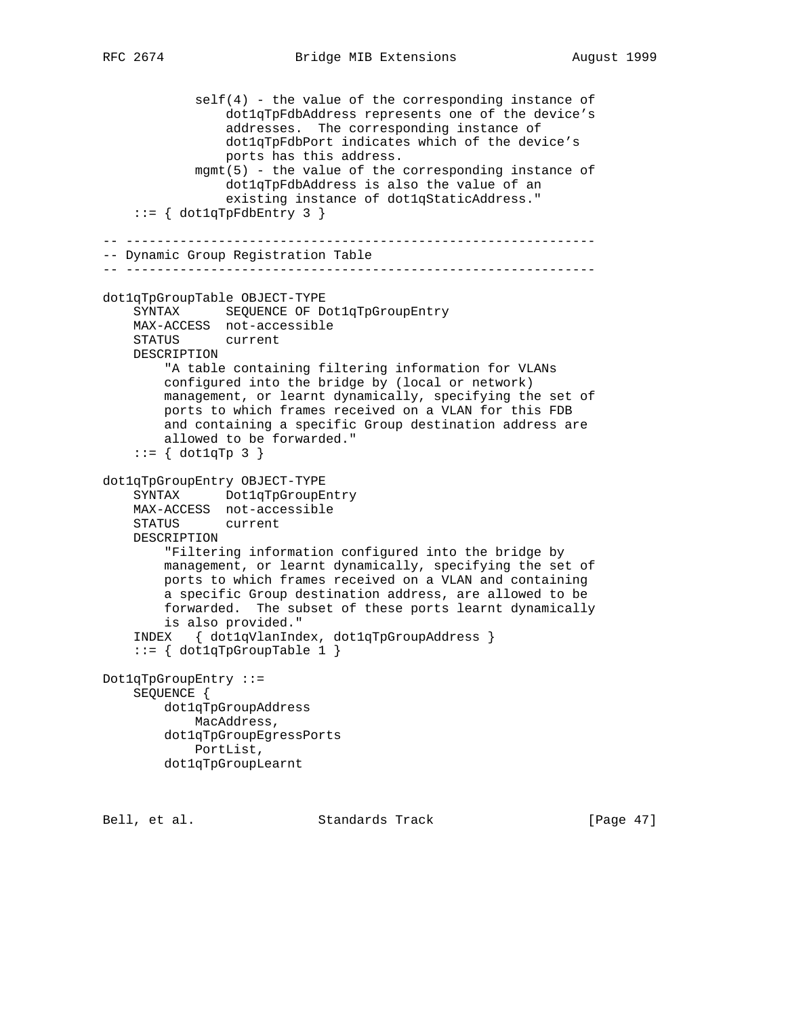```
 self(4) - the value of the corresponding instance of
                 dot1qTpFdbAddress represents one of the device's
                 addresses. The corresponding instance of
                 dot1qTpFdbPort indicates which of the device's
                 ports has this address.
             mgmt(5) - the value of the corresponding instance of
                 dot1qTpFdbAddress is also the value of an
                 existing instance of dot1qStaticAddress."
    ::= { dot1qTpFdbEntry 3 }
-- -------------------------------------------------------------
-- Dynamic Group Registration Table
-- -------------------------------------------------------------
dot1qTpGroupTable OBJECT-TYPE
    SYNTAX SEQUENCE OF Dot1qTpGroupEntry
     MAX-ACCESS not-accessible
     STATUS current
     DESCRIPTION
         "A table containing filtering information for VLANs
         configured into the bridge by (local or network)
         management, or learnt dynamically, specifying the set of
         ports to which frames received on a VLAN for this FDB
         and containing a specific Group destination address are
         allowed to be forwarded."
    ::= \{ dot1qTp 3 \}dot1qTpGroupEntry OBJECT-TYPE
     SYNTAX Dot1qTpGroupEntry
     MAX-ACCESS not-accessible
     STATUS current
     DESCRIPTION
         "Filtering information configured into the bridge by
         management, or learnt dynamically, specifying the set of
         ports to which frames received on a VLAN and containing
         a specific Group destination address, are allowed to be
         forwarded. The subset of these ports learnt dynamically
         is also provided."
     INDEX { dot1qVlanIndex, dot1qTpGroupAddress }
    ::= { dot1qTpGroupTable 1 }
Dot1qTpGroupEntry ::=
     SEQUENCE {
         dot1qTpGroupAddress
            MacAddress,
         dot1qTpGroupEgressPorts
            PortList,
         dot1qTpGroupLearnt
```
Bell, et al. Standards Track [Page 47]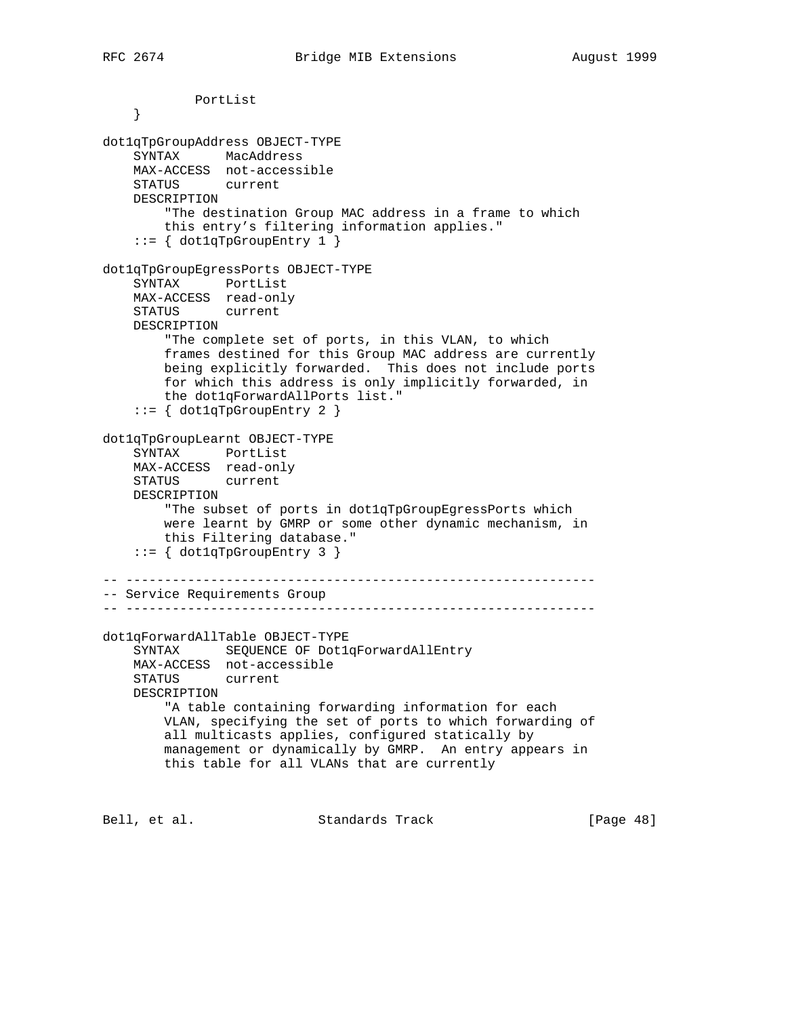PortList } dot1qTpGroupAddress OBJECT-TYPE SYNTAX MacAddress MAX-ACCESS not-accessible STATUS current DESCRIPTION "The destination Group MAC address in a frame to which this entry's filtering information applies."  $::= \{ dot1qTpGroupEntry 1 } \}$ dot1qTpGroupEgressPorts OBJECT-TYPE SYNTAX PortList MAX-ACCESS read-only STATUS current DESCRIPTION "The complete set of ports, in this VLAN, to which frames destined for this Group MAC address are currently being explicitly forwarded. This does not include ports for which this address is only implicitly forwarded, in the dot1qForwardAllPorts list." ::= { dot1qTpGroupEntry 2 } dot1qTpGroupLearnt OBJECT-TYPE SYNTAX PortList MAX-ACCESS read-only STATUS current DESCRIPTION "The subset of ports in dot1qTpGroupEgressPorts which were learnt by GMRP or some other dynamic mechanism, in this Filtering database."  $::=$  { dot1qTpGroupEntry 3 } -- ------------------------------------------------------------- -- Service Requirements Group -- ------------------------------------------------------------ dot1qForwardAllTable OBJECT-TYPE SYNTAX SEQUENCE OF Dot1qForwardAllEntry MAX-ACCESS not-accessible STATUS current DESCRIPTION "A table containing forwarding information for each VLAN, specifying the set of ports to which forwarding of all multicasts applies, configured statically by management or dynamically by GMRP. An entry appears in this table for all VLANs that are currently

Bell, et al. Standards Track [Page 48]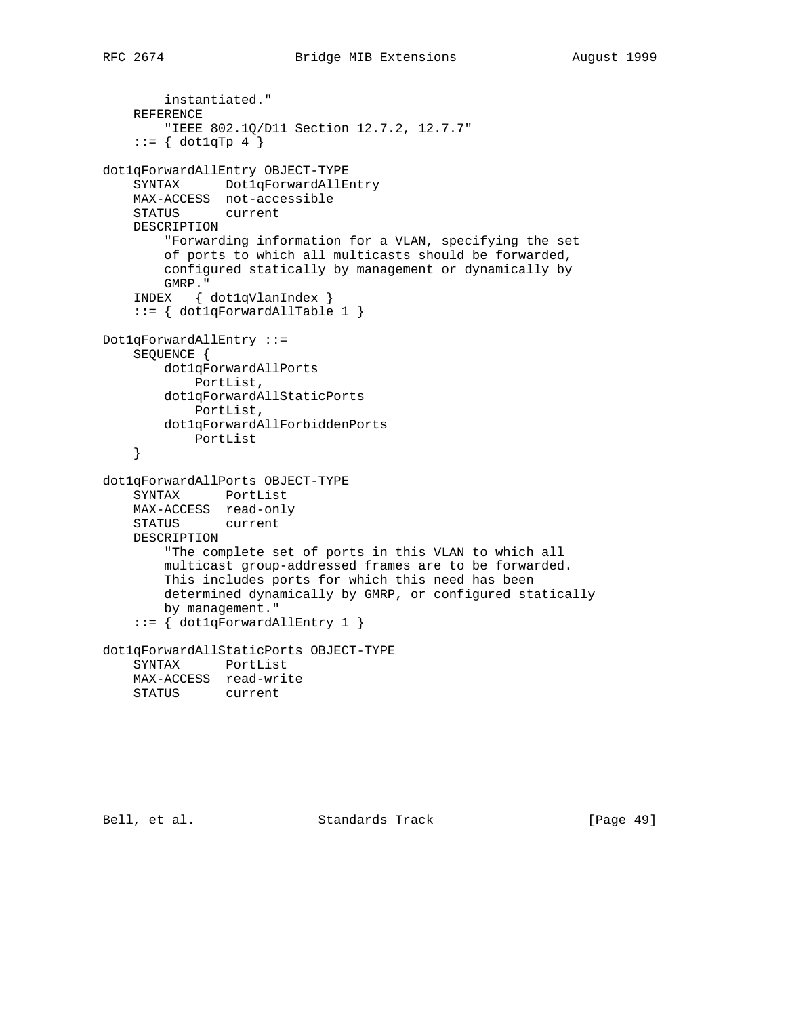```
 instantiated."
     REFERENCE
         "IEEE 802.1Q/D11 Section 12.7.2, 12.7.7"
    ::= \{ dot1qTp 4 \}dot1qForwardAllEntry OBJECT-TYPE
     SYNTAX Dot1qForwardAllEntry
     MAX-ACCESS not-accessible
     STATUS current
     DESCRIPTION
         "Forwarding information for a VLAN, specifying the set
         of ports to which all multicasts should be forwarded,
         configured statically by management or dynamically by
         GMRP."
     INDEX { dot1qVlanIndex }
     ::= { dot1qForwardAllTable 1 }
Dot1qForwardAllEntry ::=
     SEQUENCE {
         dot1qForwardAllPorts
            PortList,
         dot1qForwardAllStaticPorts
            PortList,
         dot1qForwardAllForbiddenPorts
            PortList
     }
dot1qForwardAllPorts OBJECT-TYPE
     SYNTAX PortList
    MAX-ACCESS read-only
    STATUS current
     DESCRIPTION
         "The complete set of ports in this VLAN to which all
         multicast group-addressed frames are to be forwarded.
         This includes ports for which this need has been
         determined dynamically by GMRP, or configured statically
         by management."
     ::= { dot1qForwardAllEntry 1 }
dot1qForwardAllStaticPorts OBJECT-TYPE
     SYNTAX PortList
    MAX-ACCESS read-write
    STATUS current
```
Bell, et al. Standards Track [Page 49]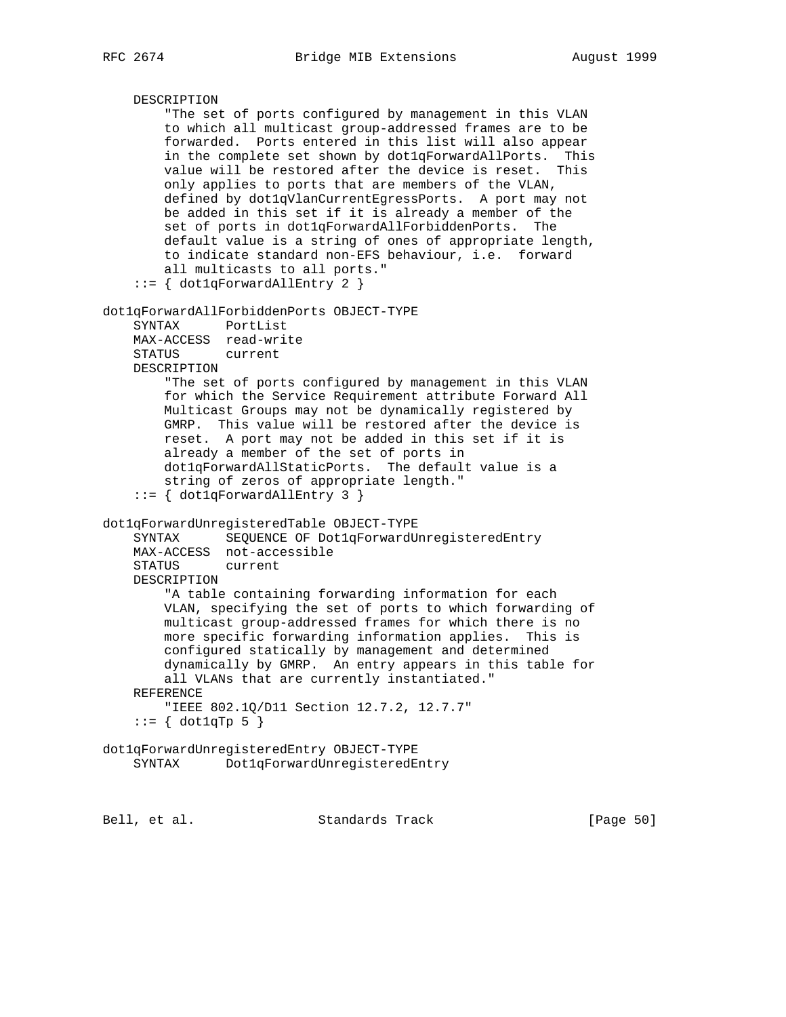```
 DESCRIPTION
         "The set of ports configured by management in this VLAN
         to which all multicast group-addressed frames are to be
         forwarded. Ports entered in this list will also appear
         in the complete set shown by dot1qForwardAllPorts. This
         value will be restored after the device is reset. This
         only applies to ports that are members of the VLAN,
         defined by dot1qVlanCurrentEgressPorts. A port may not
        be added in this set if it is already a member of the
         set of ports in dot1qForwardAllForbiddenPorts. The
         default value is a string of ones of appropriate length,
         to indicate standard non-EFS behaviour, i.e. forward
         all multicasts to all ports."
     ::= { dot1qForwardAllEntry 2 }
dot1qForwardAllForbiddenPorts OBJECT-TYPE
     SYNTAX PortList
   MAX-ACCESS read-write<br>STATUS current
   STATUS
    DESCRIPTION
         "The set of ports configured by management in this VLAN
         for which the Service Requirement attribute Forward All
        Multicast Groups may not be dynamically registered by
         GMRP. This value will be restored after the device is
        reset. A port may not be added in this set if it is
         already a member of the set of ports in
         dot1qForwardAllStaticPorts. The default value is a
         string of zeros of appropriate length."
     ::= { dot1qForwardAllEntry 3 }
dot1qForwardUnregisteredTable OBJECT-TYPE
     SYNTAX SEQUENCE OF Dot1qForwardUnregisteredEntry
    MAX-ACCESS not-accessible
    STATUS current
    DESCRIPTION
         "A table containing forwarding information for each
         VLAN, specifying the set of ports to which forwarding of
         multicast group-addressed frames for which there is no
         more specific forwarding information applies. This is
         configured statically by management and determined
         dynamically by GMRP. An entry appears in this table for
         all VLANs that are currently instantiated."
     REFERENCE
        "IEEE 802.1Q/D11 Section 12.7.2, 12.7.7"
    ::= \{ dot1qTp 5 \}dot1qForwardUnregisteredEntry OBJECT-TYPE
     SYNTAX Dot1qForwardUnregisteredEntry
```
Bell, et al. Standards Track [Page 50]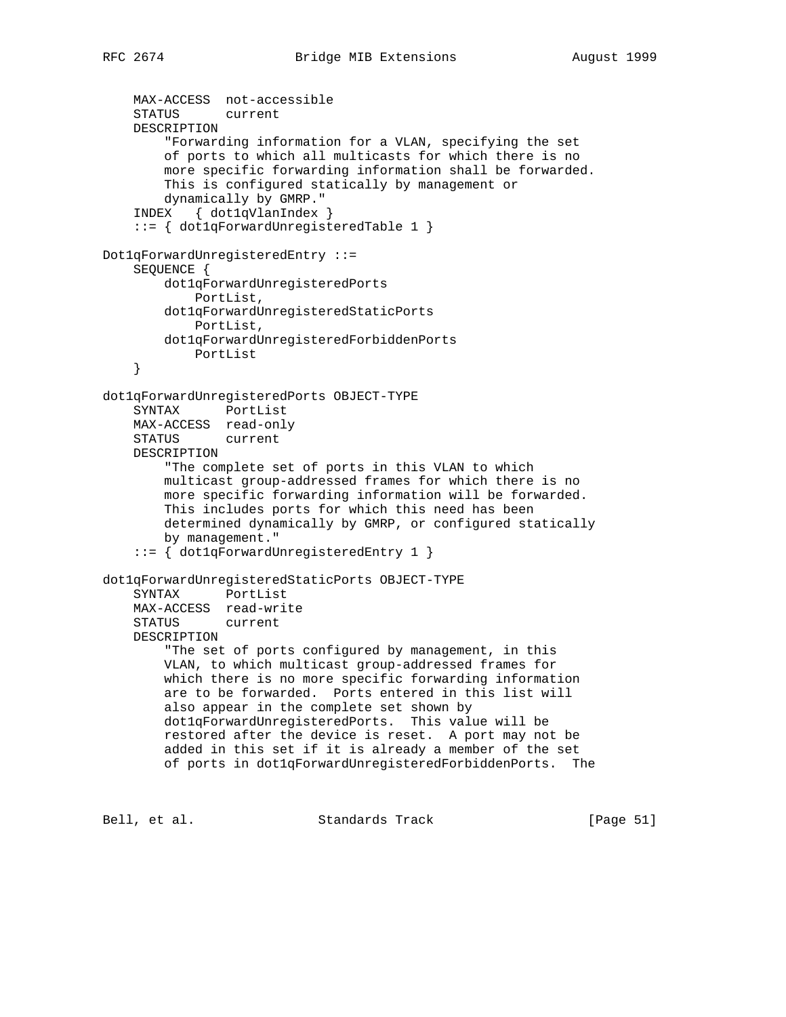```
 MAX-ACCESS not-accessible
     STATUS current
     DESCRIPTION
         "Forwarding information for a VLAN, specifying the set
         of ports to which all multicasts for which there is no
         more specific forwarding information shall be forwarded.
         This is configured statically by management or
         dynamically by GMRP."
     INDEX { dot1qVlanIndex }
     ::= { dot1qForwardUnregisteredTable 1 }
Dot1qForwardUnregisteredEntry ::=
     SEQUENCE {
         dot1qForwardUnregisteredPorts
             PortList,
         dot1qForwardUnregisteredStaticPorts
            PortList,
         dot1qForwardUnregisteredForbiddenPorts
            PortList
     }
dot1qForwardUnregisteredPorts OBJECT-TYPE
     SYNTAX PortList
     MAX-ACCESS read-only
     STATUS current
     DESCRIPTION
         "The complete set of ports in this VLAN to which
         multicast group-addressed frames for which there is no
         more specific forwarding information will be forwarded.
         This includes ports for which this need has been
         determined dynamically by GMRP, or configured statically
         by management."
     ::= { dot1qForwardUnregisteredEntry 1 }
dot1qForwardUnregisteredStaticPorts OBJECT-TYPE
     SYNTAX PortList
     MAX-ACCESS read-write
     STATUS current
     DESCRIPTION
         "The set of ports configured by management, in this
         VLAN, to which multicast group-addressed frames for
         which there is no more specific forwarding information
         are to be forwarded. Ports entered in this list will
         also appear in the complete set shown by
         dot1qForwardUnregisteredPorts. This value will be
         restored after the device is reset. A port may not be
         added in this set if it is already a member of the set
         of ports in dot1qForwardUnregisteredForbiddenPorts. The
```
Bell, et al. Standards Track [Page 51]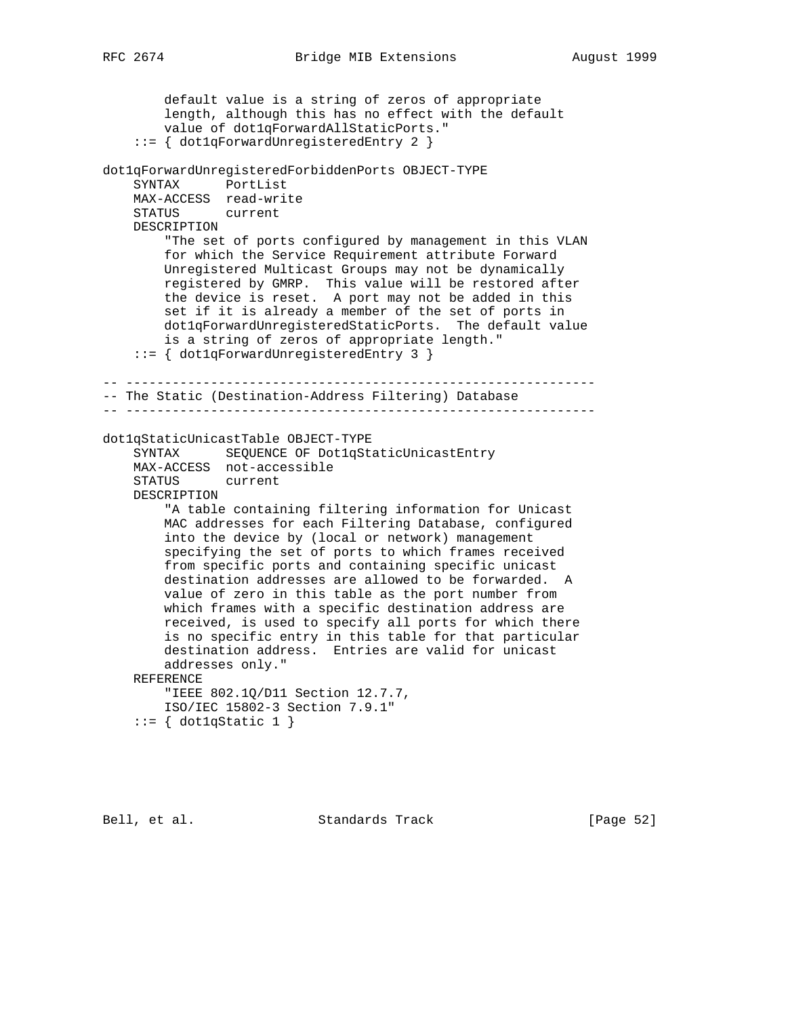default value is a string of zeros of appropriate length, although this has no effect with the default value of dot1qForwardAllStaticPorts." ::= { dot1qForwardUnregisteredEntry 2 } dot1qForwardUnregisteredForbiddenPorts OBJECT-TYPE SYNTAX PortList MAX-ACCESS read-write STATUS current DESCRIPTION "The set of ports configured by management in this VLAN for which the Service Requirement attribute Forward Unregistered Multicast Groups may not be dynamically registered by GMRP. This value will be restored after the device is reset. A port may not be added in this set if it is already a member of the set of ports in dot1qForwardUnregisteredStaticPorts. The default value is a string of zeros of appropriate length." ::= { dot1qForwardUnregisteredEntry 3 } -- ------------------------------------------------------------- -- The Static (Destination-Address Filtering) Database -- ------------------------------------------------------------ dot1qStaticUnicastTable OBJECT-TYPE SYNTAX SEQUENCE OF Dot1qStaticUnicastEntry MAX-ACCESS not-accessible STATUS current DESCRIPTION "A table containing filtering information for Unicast MAC addresses for each Filtering Database, configured into the device by (local or network) management specifying the set of ports to which frames received from specific ports and containing specific unicast destination addresses are allowed to be forwarded. A value of zero in this table as the port number from which frames with a specific destination address are received, is used to specify all ports for which there is no specific entry in this table for that particular destination address. Entries are valid for unicast addresses only." REFERENCE "IEEE 802.1Q/D11 Section 12.7.7, ISO/IEC 15802-3 Section 7.9.1"  $::= \{ dot1qStatic 1 \}$ 

Bell, et al. Standards Track [Page 52]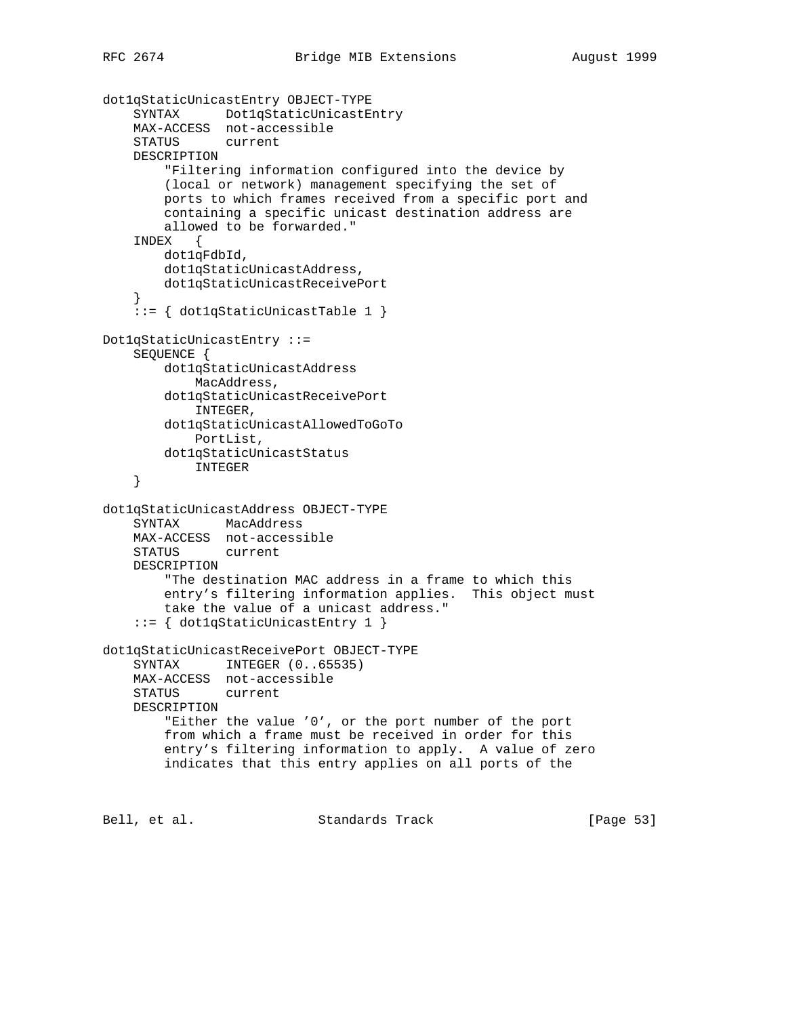```
dot1qStaticUnicastEntry OBJECT-TYPE
     SYNTAX Dot1qStaticUnicastEntry
     MAX-ACCESS not-accessible
     STATUS current
     DESCRIPTION
         "Filtering information configured into the device by
         (local or network) management specifying the set of
         ports to which frames received from a specific port and
         containing a specific unicast destination address are
         allowed to be forwarded."
     INDEX {
        dot1qFdbId,
         dot1qStaticUnicastAddress,
         dot1qStaticUnicastReceivePort
     }
     ::= { dot1qStaticUnicastTable 1 }
Dot1qStaticUnicastEntry ::=
     SEQUENCE {
         dot1qStaticUnicastAddress
            MacAddress,
         dot1qStaticUnicastReceivePort
             INTEGER,
         dot1qStaticUnicastAllowedToGoTo
             PortList,
         dot1qStaticUnicastStatus
             INTEGER
     }
dot1qStaticUnicastAddress OBJECT-TYPE
     SYNTAX MacAddress
    MAX-ACCESS not-accessible
     STATUS current
     DESCRIPTION
         "The destination MAC address in a frame to which this
         entry's filtering information applies. This object must
         take the value of a unicast address."
     ::= { dot1qStaticUnicastEntry 1 }
dot1qStaticUnicastReceivePort OBJECT-TYPE
    SYNTAX INTEGER (0..65535)
     MAX-ACCESS not-accessible
     STATUS current
     DESCRIPTION
         "Either the value '0', or the port number of the port
         from which a frame must be received in order for this
         entry's filtering information to apply. A value of zero
         indicates that this entry applies on all ports of the
```
Bell, et al. Standards Track [Page 53]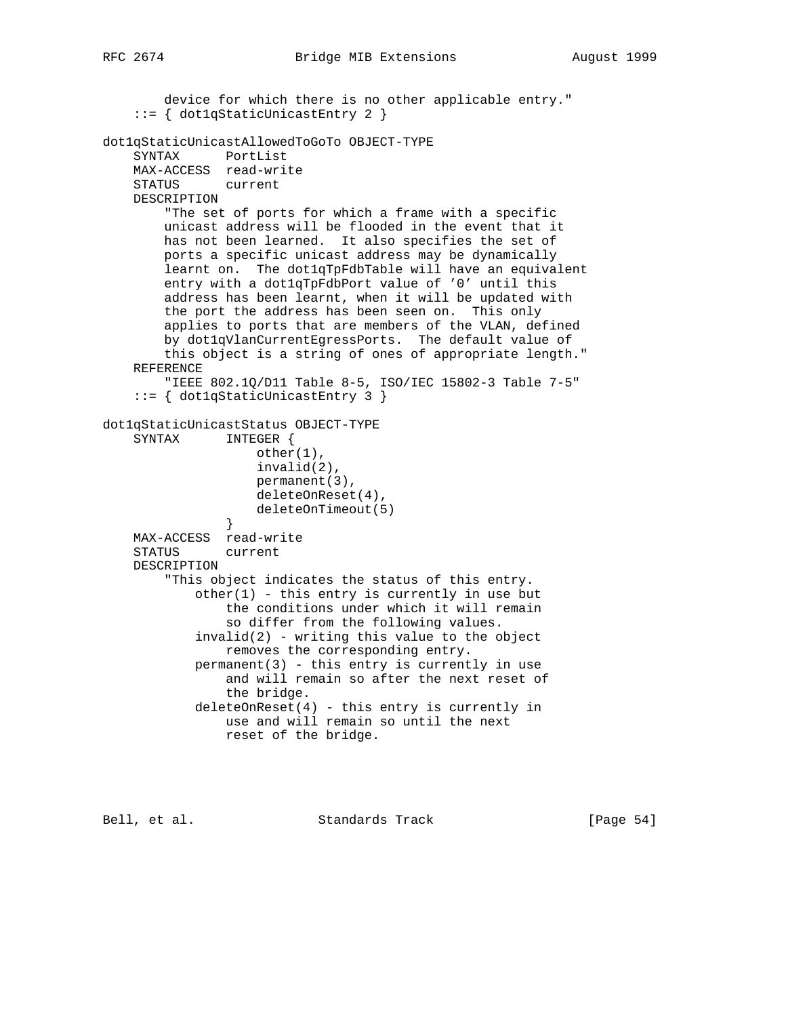device for which there is no other applicable entry." ::= { dot1qStaticUnicastEntry 2 } dot1qStaticUnicastAllowedToGoTo OBJECT-TYPE SYNTAX PortList MAX-ACCESS read-write STATUS current DESCRIPTION "The set of ports for which a frame with a specific unicast address will be flooded in the event that it has not been learned. It also specifies the set of ports a specific unicast address may be dynamically learnt on. The dot1qTpFdbTable will have an equivalent entry with a dot1qTpFdbPort value of '0' until this address has been learnt, when it will be updated with the port the address has been seen on. This only applies to ports that are members of the VLAN, defined by dot1qVlanCurrentEgressPorts. The default value of this object is a string of ones of appropriate length." REFERENCE "IEEE 802.1Q/D11 Table 8-5, ISO/IEC 15802-3 Table 7-5" ::= { dot1qStaticUnicastEntry 3 } dot1qStaticUnicastStatus OBJECT-TYPE SYNTAX INTEGER { other(1), invalid(2), permanent(3), deleteOnReset(4), deleteOnTimeout(5) } MAX-ACCESS read-write STATUS current DESCRIPTION "This object indicates the status of this entry.  $other(1)$  - this entry is currently in use but the conditions under which it will remain so differ from the following values.  $invald(2)$  - writing this value to the object removes the corresponding entry.  $permannent(3)$  - this entry is currently in use and will remain so after the next reset of the bridge. deleteOnReset(4) - this entry is currently in use and will remain so until the next reset of the bridge.

Bell, et al. Standards Track [Page 54]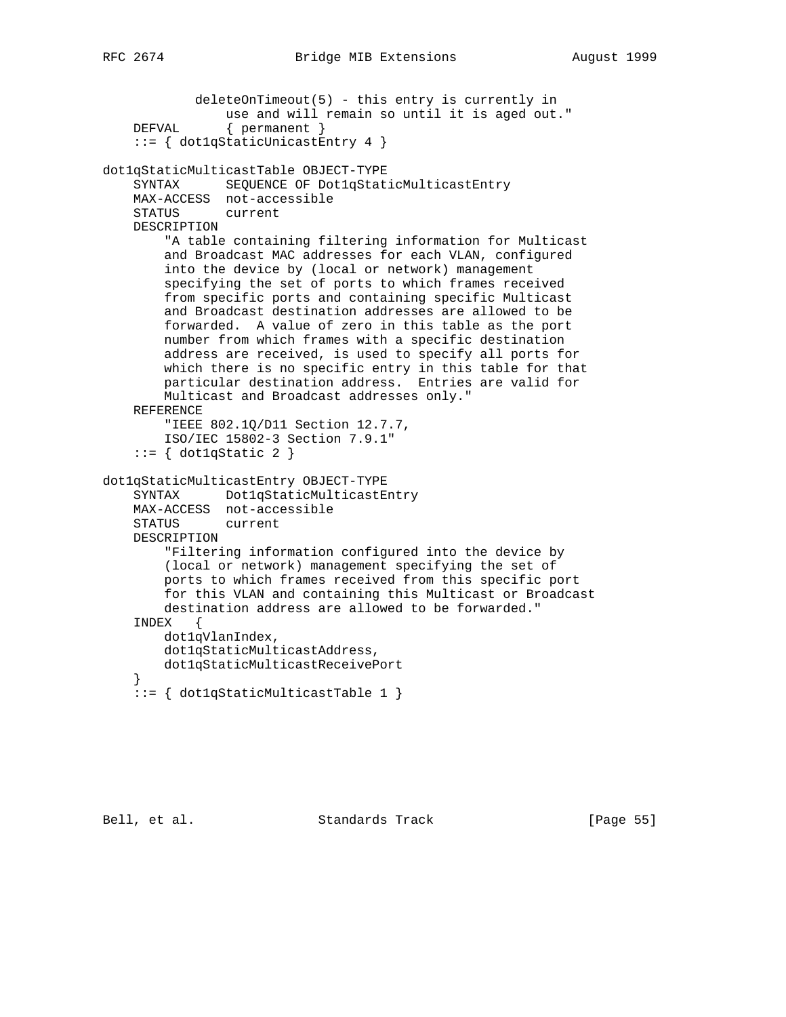```
 deleteOnTimeout(5) - this entry is currently in
            use and will remain so until it is aged out."
 DEFVAL { permanent }
```

```
 ::= { dot1qStaticUnicastEntry 4 }
```

```
dot1qStaticMulticastTable OBJECT-TYPE
```

```
 SYNTAX SEQUENCE OF Dot1qStaticMulticastEntry
 MAX-ACCESS not-accessible
 STATUS current
```
DESCRIPTION

```
 "A table containing filtering information for Multicast
     and Broadcast MAC addresses for each VLAN, configured
     into the device by (local or network) management
     specifying the set of ports to which frames received
     from specific ports and containing specific Multicast
     and Broadcast destination addresses are allowed to be
     forwarded. A value of zero in this table as the port
    number from which frames with a specific destination
    address are received, is used to specify all ports for
    which there is no specific entry in this table for that
    particular destination address. Entries are valid for
    Multicast and Broadcast addresses only."
 REFERENCE
     "IEEE 802.1Q/D11 Section 12.7.7,
     ISO/IEC 15802-3 Section 7.9.1"
::= { dot1qStatic 2 }
```

```
dot1qStaticMulticastEntry OBJECT-TYPE
```

```
 SYNTAX Dot1qStaticMulticastEntry
 MAX-ACCESS not-accessible
 STATUS current
 DESCRIPTION
     "Filtering information configured into the device by
     (local or network) management specifying the set of
    ports to which frames received from this specific port
     for this VLAN and containing this Multicast or Broadcast
    destination address are allowed to be forwarded."
 INDEX {
    dot1qVlanIndex,
     dot1qStaticMulticastAddress,
    dot1qStaticMulticastReceivePort
 }
```
::= { dot1qStaticMulticastTable 1 }

Bell, et al. Standards Track [Page 55]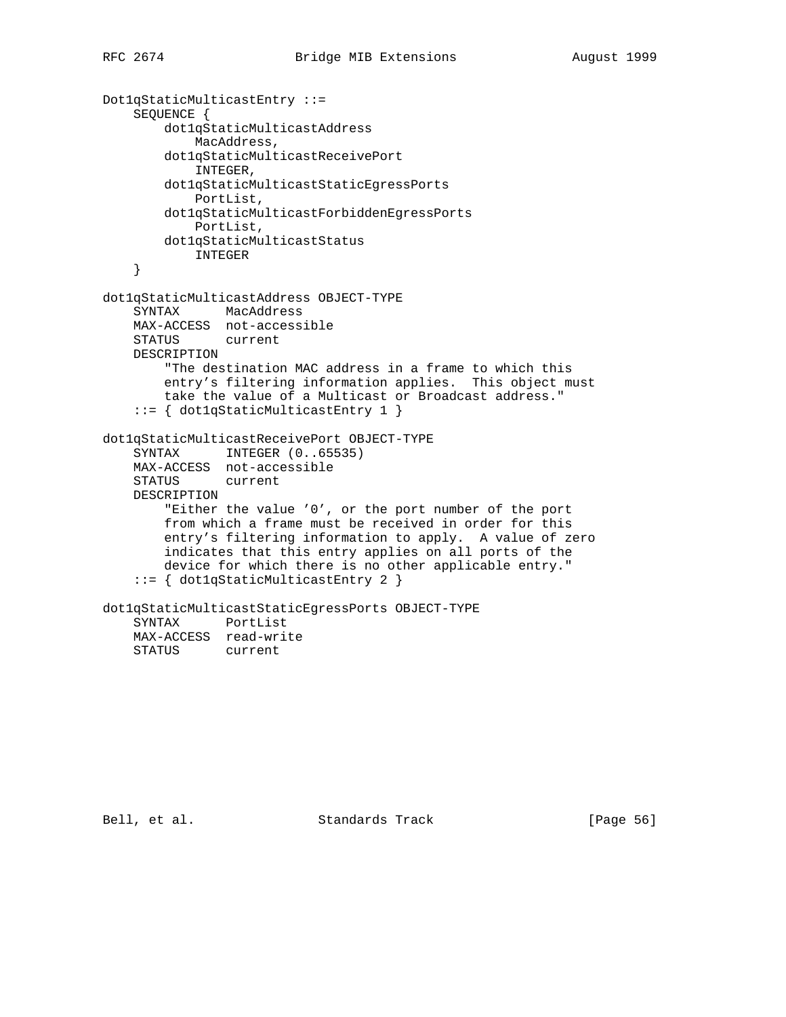```
Dot1qStaticMulticastEntry ::=
     SEQUENCE {
         dot1qStaticMulticastAddress
             MacAddress,
         dot1qStaticMulticastReceivePort
             INTEGER,
         dot1qStaticMulticastStaticEgressPorts
             PortList,
         dot1qStaticMulticastForbiddenEgressPorts
            PortList,
         dot1qStaticMulticastStatus
             INTEGER
     }
dot1qStaticMulticastAddress OBJECT-TYPE
     SYNTAX MacAddress
     MAX-ACCESS not-accessible
     STATUS current
     DESCRIPTION
         "The destination MAC address in a frame to which this
         entry's filtering information applies. This object must
         take the value of a Multicast or Broadcast address."
     ::= { dot1qStaticMulticastEntry 1 }
dot1qStaticMulticastReceivePort OBJECT-TYPE
 SYNTAX INTEGER (0..65535)
 MAX-ACCESS not-accessible
     STATUS current
    DESCRIPTION
         "Either the value '0', or the port number of the port
         from which a frame must be received in order for this
         entry's filtering information to apply. A value of zero
         indicates that this entry applies on all ports of the
         device for which there is no other applicable entry."
     ::= { dot1qStaticMulticastEntry 2 }
dot1qStaticMulticastStaticEgressPorts OBJECT-TYPE
     SYNTAX PortList
    MAX-ACCESS read-write<br>STATUS current
    STATUS
```
Bell, et al. Standards Track [Page 56]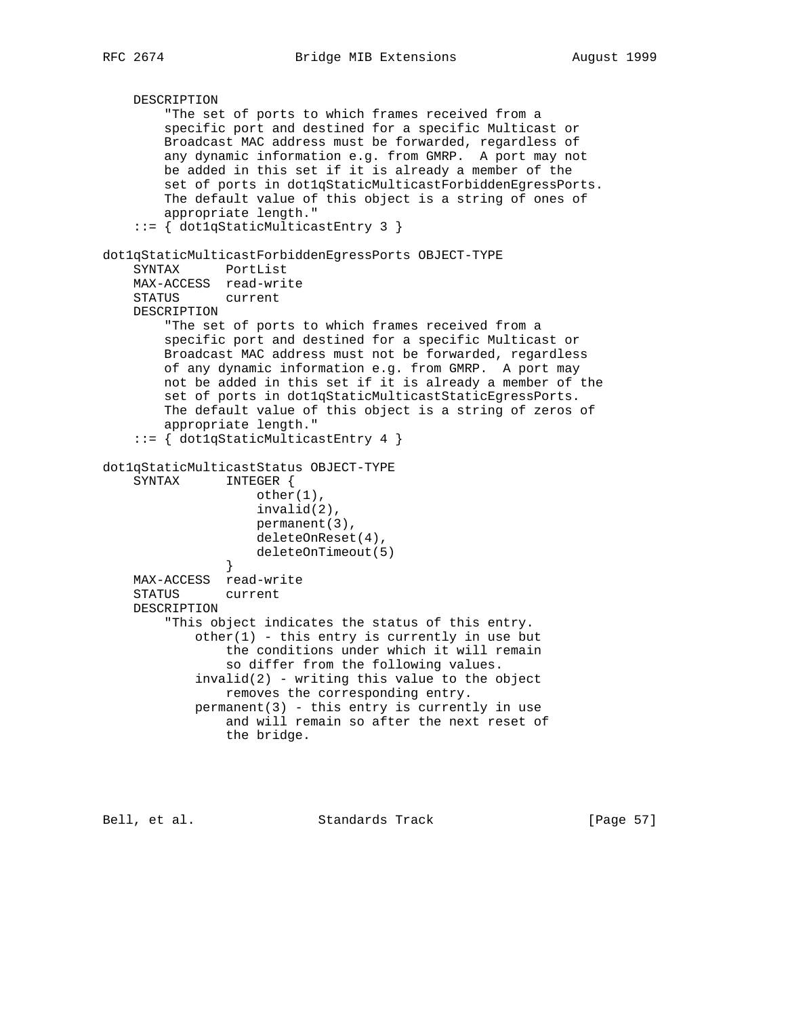```
 DESCRIPTION
         "The set of ports to which frames received from a
         specific port and destined for a specific Multicast or
         Broadcast MAC address must be forwarded, regardless of
         any dynamic information e.g. from GMRP. A port may not
        be added in this set if it is already a member of the
         set of ports in dot1qStaticMulticastForbiddenEgressPorts.
        The default value of this object is a string of ones of
         appropriate length."
     ::= { dot1qStaticMulticastEntry 3 }
dot1qStaticMulticastForbiddenEgressPorts OBJECT-TYPE
     SYNTAX PortList
    MAX-ACCESS read-write
     STATUS current
    DESCRIPTION
         "The set of ports to which frames received from a
         specific port and destined for a specific Multicast or
        Broadcast MAC address must not be forwarded, regardless
        of any dynamic information e.g. from GMRP. A port may
        not be added in this set if it is already a member of the
        set of ports in dot1qStaticMulticastStaticEgressPorts.
        The default value of this object is a string of zeros of
        appropriate length."
     ::= { dot1qStaticMulticastEntry 4 }
dot1qStaticMulticastStatus OBJECT-TYPE
     SYNTAX INTEGER {
                    other(1),
                    invalid(2),
                    permanent(3),
                    deleteOnReset(4),
                    deleteOnTimeout(5)
 }
    MAX-ACCESS read-write
     STATUS current
    DESCRIPTION
         "This object indicates the status of this entry.
            other(1) - this entry is currently in use but
                 the conditions under which it will remain
                 so differ from the following values.
            invalid(2) - writing this value to the object
                 removes the corresponding entry.
            permanent(3) - this entry is currently in use
                 and will remain so after the next reset of
                 the bridge.
```
Bell, et al. Standards Track [Page 57]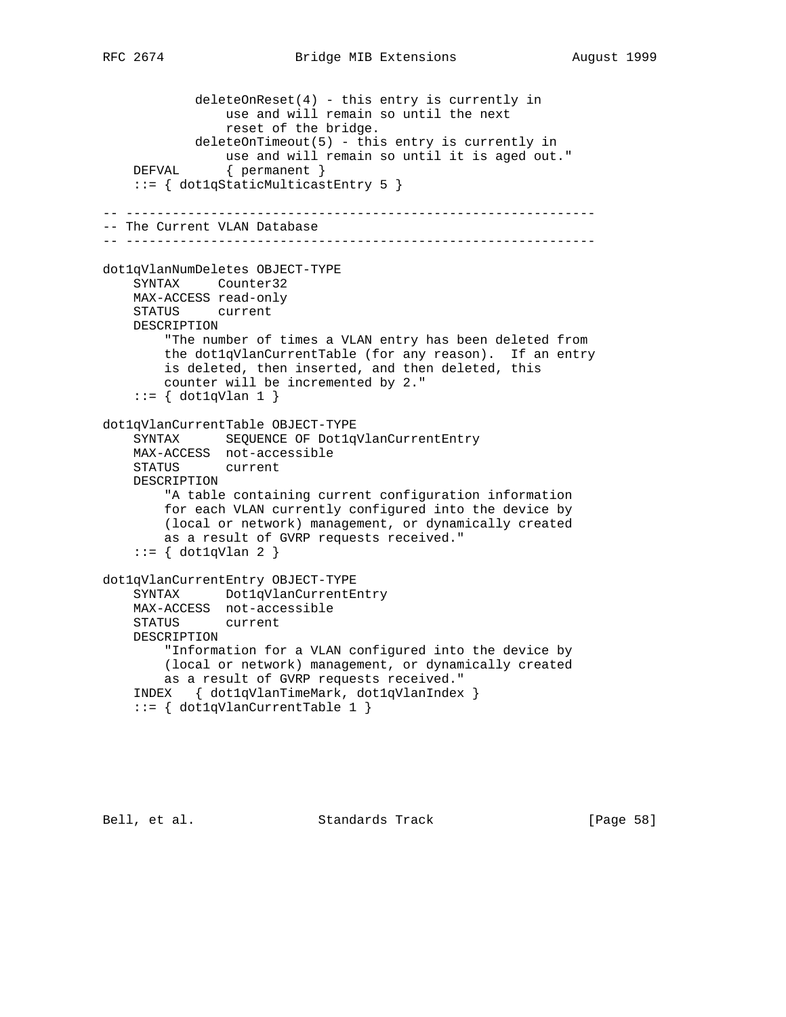```
 deleteOnReset(4) - this entry is currently in
                use and will remain so until the next
                 reset of the bridge.
            deleteOnTimeout(5) - this entry is currently in
                use and will remain so until it is aged out."
    DEFVAL { permanent }
     ::= { dot1qStaticMulticastEntry 5 }
-- -------------------------------------------------------------
-- The Current VLAN Database
-- -------------------------------------------------------------
dot1qVlanNumDeletes OBJECT-TYPE
     SYNTAX Counter32
    MAX-ACCESS read-only
    STATUS current
    DESCRIPTION
         "The number of times a VLAN entry has been deleted from
         the dot1qVlanCurrentTable (for any reason). If an entry
         is deleted, then inserted, and then deleted, this
        counter will be incremented by 2."
    ::= \{ dot1qVlan 1 \}dot1qVlanCurrentTable OBJECT-TYPE
     SYNTAX SEQUENCE OF Dot1qVlanCurrentEntry
    MAX-ACCESS not-accessible
    STATUS current
    DESCRIPTION
         "A table containing current configuration information
        for each VLAN currently configured into the device by
        (local or network) management, or dynamically created
        as a result of GVRP requests received."
    ::= { dot1qVlan 2 }
dot1qVlanCurrentEntry OBJECT-TYPE
     SYNTAX Dot1qVlanCurrentEntry
    MAX-ACCESS not-accessible
    STATUS current
    DESCRIPTION
         "Information for a VLAN configured into the device by
         (local or network) management, or dynamically created
        as a result of GVRP requests received."
     INDEX { dot1qVlanTimeMark, dot1qVlanIndex }
     ::= { dot1qVlanCurrentTable 1 }
```
Bell, et al. Standards Track [Page 58]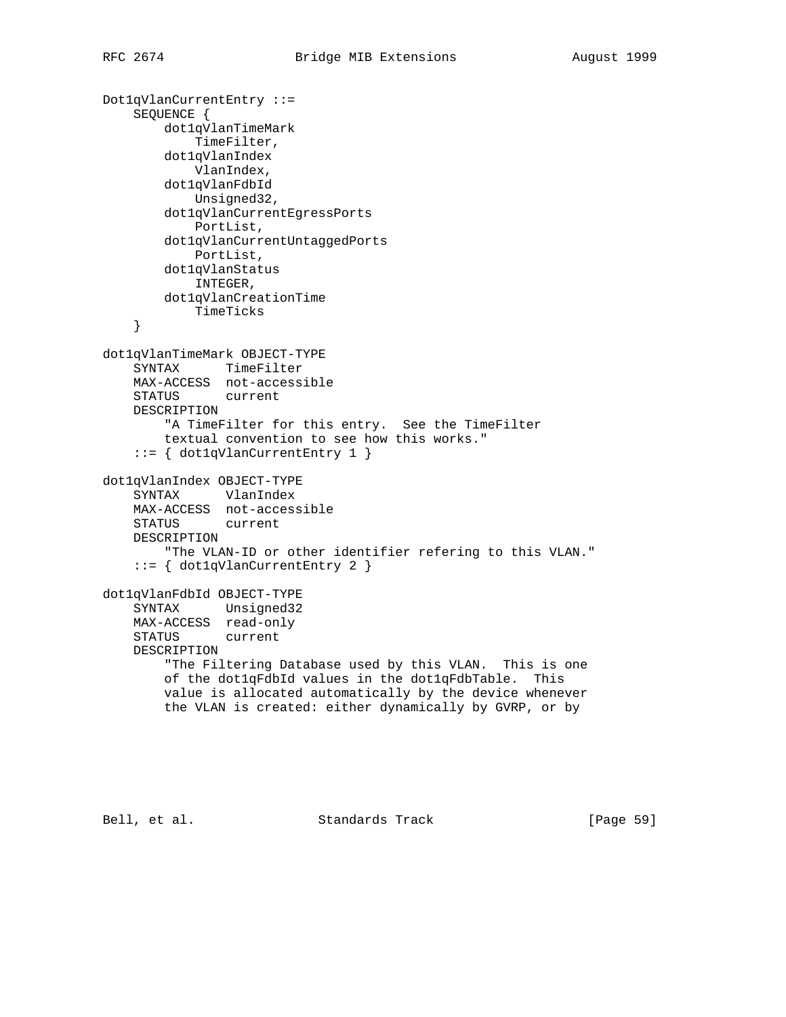```
Dot1qVlanCurrentEntry ::=
     SEQUENCE {
         dot1qVlanTimeMark
             TimeFilter,
         dot1qVlanIndex
            VlanIndex,
         dot1qVlanFdbId
            Unsigned32,
         dot1qVlanCurrentEgressPorts
            PortList,
         dot1qVlanCurrentUntaggedPorts
            PortList,
         dot1qVlanStatus
            INTEGER,
         dot1qVlanCreationTime
            TimeTicks
     }
dot1qVlanTimeMark OBJECT-TYPE
     SYNTAX TimeFilter
    MAX-ACCESS not-accessible
    STATUS current
     DESCRIPTION
         "A TimeFilter for this entry. See the TimeFilter
         textual convention to see how this works."
     ::= { dot1qVlanCurrentEntry 1 }
dot1qVlanIndex OBJECT-TYPE
     SYNTAX VlanIndex
     MAX-ACCESS not-accessible
     STATUS current
     DESCRIPTION
         "The VLAN-ID or other identifier refering to this VLAN."
     ::= { dot1qVlanCurrentEntry 2 }
dot1qVlanFdbId OBJECT-TYPE
     SYNTAX Unsigned32
     MAX-ACCESS read-only
     STATUS current
     DESCRIPTION
         "The Filtering Database used by this VLAN. This is one
         of the dot1qFdbId values in the dot1qFdbTable. This
         value is allocated automatically by the device whenever
         the VLAN is created: either dynamically by GVRP, or by
```
Bell, et al. Standards Track [Page 59]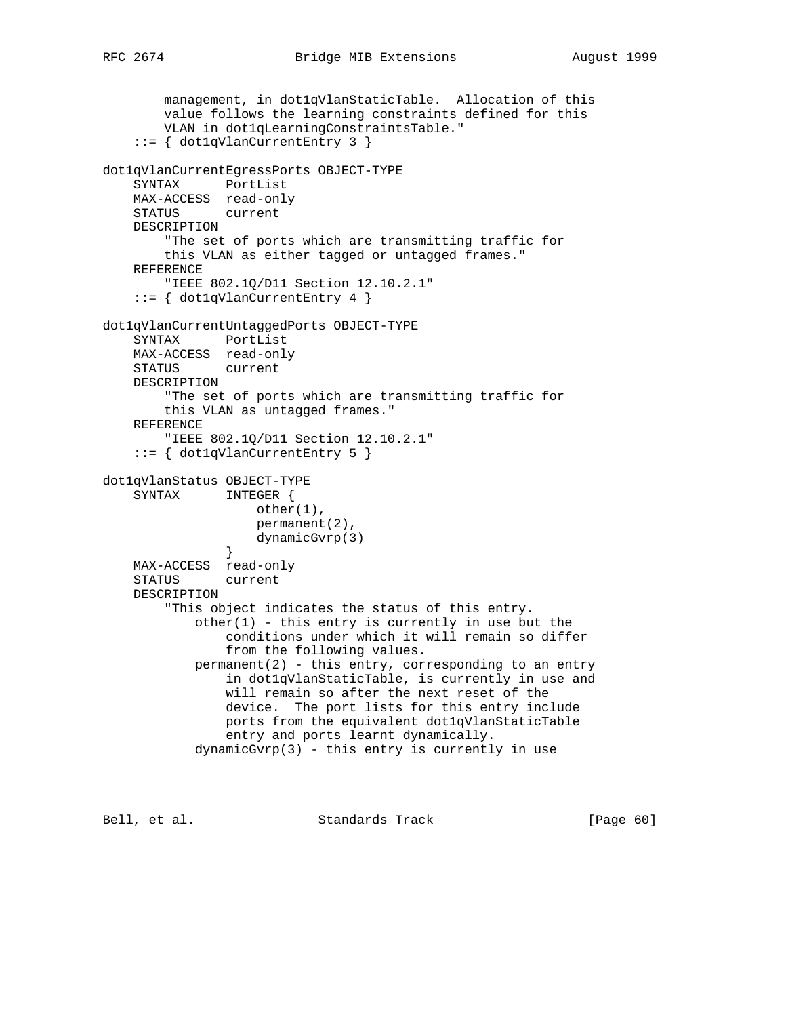```
 management, in dot1qVlanStaticTable. Allocation of this
        value follows the learning constraints defined for this
        VLAN in dot1qLearningConstraintsTable."
     ::= { dot1qVlanCurrentEntry 3 }
dot1qVlanCurrentEgressPorts OBJECT-TYPE
     SYNTAX PortList
    MAX-ACCESS read-only
    STATUS current
    DESCRIPTION
         "The set of ports which are transmitting traffic for
        this VLAN as either tagged or untagged frames."
    REFERENCE
        "IEEE 802.1Q/D11 Section 12.10.2.1"
     ::= { dot1qVlanCurrentEntry 4 }
dot1qVlanCurrentUntaggedPorts OBJECT-TYPE
    SYNTAX PortList
    MAX-ACCESS read-only
    STATUS current
    DESCRIPTION
         "The set of ports which are transmitting traffic for
        this VLAN as untagged frames."
    REFERENCE
         "IEEE 802.1Q/D11 Section 12.10.2.1"
     ::= { dot1qVlanCurrentEntry 5 }
dot1qVlanStatus OBJECT-TYPE
    SYNTAX INTEGER {
                   other(1),
                    permanent(2),
                    dynamicGvrp(3)
 }
    MAX-ACCESS read-only
     STATUS current
    DESCRIPTION
         "This object indicates the status of this entry.
           other(1) - this entry is currently in use but the
                conditions under which it will remain so differ
                 from the following values.
           permanent(2) - this entry, corresponding to an entry
                 in dot1qVlanStaticTable, is currently in use and
                will remain so after the next reset of the
                device. The port lists for this entry include
                ports from the equivalent dot1qVlanStaticTable
                entry and ports learnt dynamically.
            dynamicGvrp(3) - this entry is currently in use
```
Bell, et al. Standards Track [Page 60]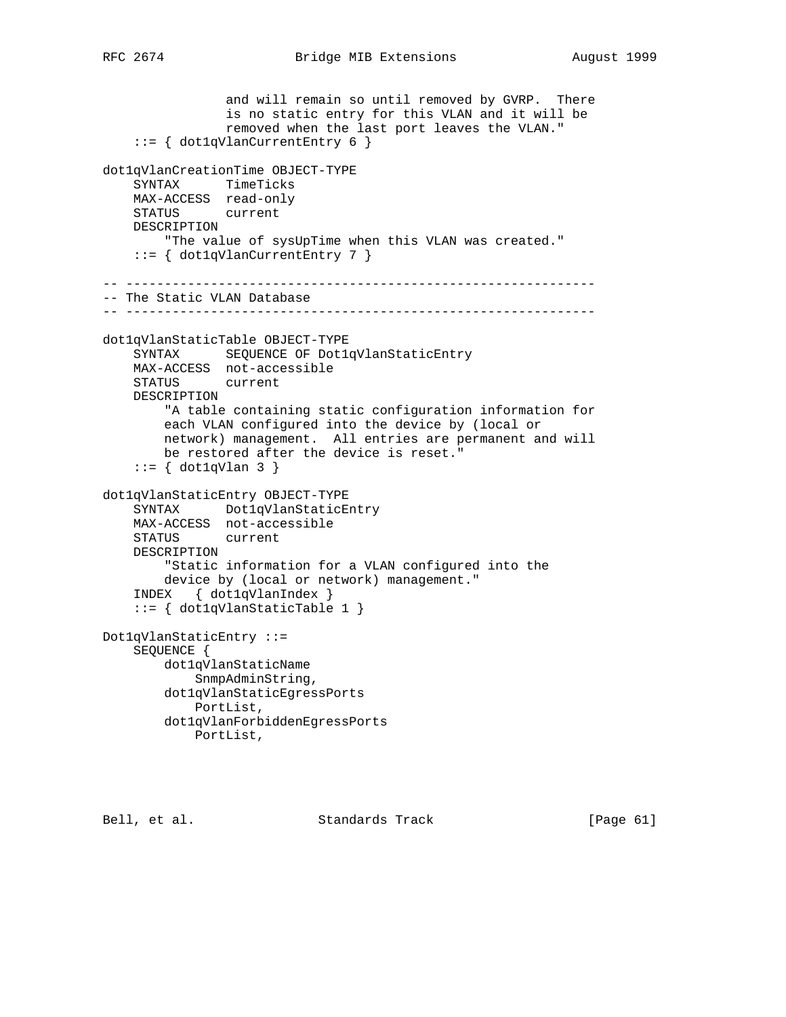```
 and will remain so until removed by GVRP. There
                 is no static entry for this VLAN and it will be
                 removed when the last port leaves the VLAN."
     ::= { dot1qVlanCurrentEntry 6 }
dot1qVlanCreationTime OBJECT-TYPE
     SYNTAX TimeTicks
     MAX-ACCESS read-only
    STATUS current
     DESCRIPTION
         "The value of sysUpTime when this VLAN was created."
     ::= { dot1qVlanCurrentEntry 7 }
-- -------------------------------------------------------------
-- The Static VLAN Database
-- -------------------------------------------------------------
dot1qVlanStaticTable OBJECT-TYPE
     SYNTAX SEQUENCE OF Dot1qVlanStaticEntry
    MAX-ACCESS not-accessible
    STATUS current
     DESCRIPTION
         "A table containing static configuration information for
        each VLAN configured into the device by (local or
        network) management. All entries are permanent and will
        be restored after the device is reset."
    ::= \{ dot1qVlan 3 \}dot1qVlanStaticEntry OBJECT-TYPE
     SYNTAX Dot1qVlanStaticEntry
    MAX-ACCESS not-accessible
    STATUS current
     DESCRIPTION
         "Static information for a VLAN configured into the
        device by (local or network) management."
     INDEX { dot1qVlanIndex }
     ::= { dot1qVlanStaticTable 1 }
Dot1qVlanStaticEntry ::=
     SEQUENCE {
        dot1qVlanStaticName
            SnmpAdminString,
         dot1qVlanStaticEgressPorts
            PortList,
         dot1qVlanForbiddenEgressPorts
            PortList,
```
Bell, et al. Standards Track [Page 61]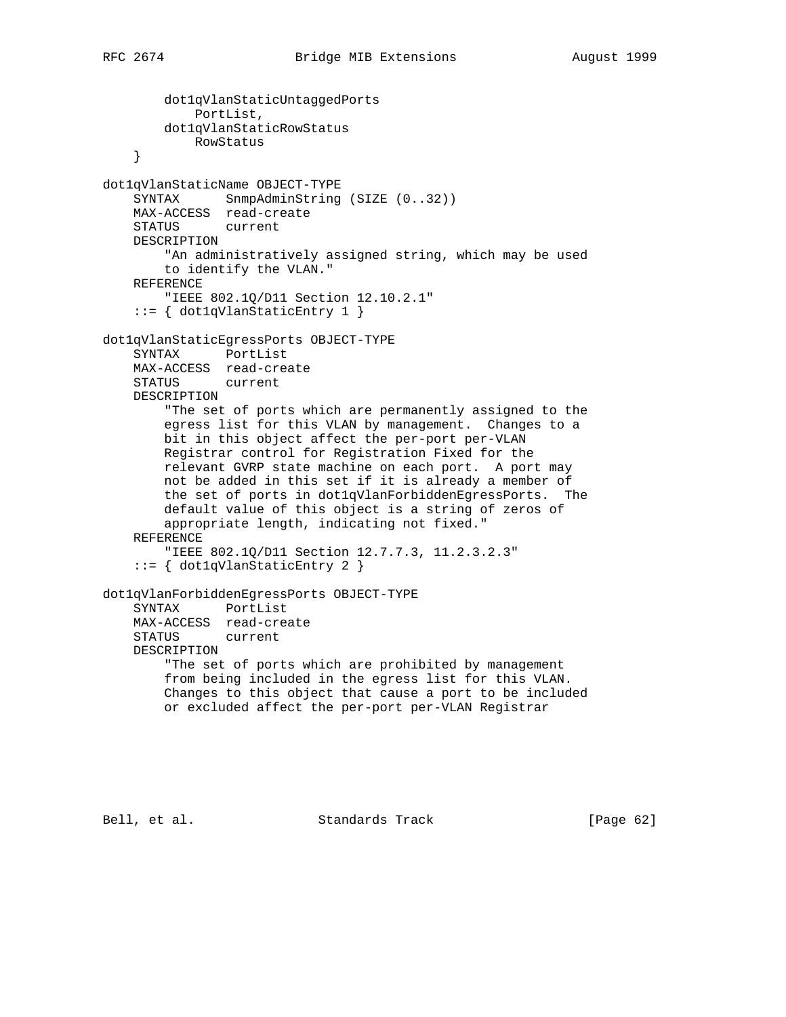dot1qVlanStaticUntaggedPorts PortList, dot1qVlanStaticRowStatus RowStatus } dot1qVlanStaticName OBJECT-TYPE SYNTAX SnmpAdminString (SIZE (0..32)) MAX-ACCESS read-create STATUS current DESCRIPTION "An administratively assigned string, which may be used to identify the VLAN." REFERENCE "IEEE 802.1Q/D11 Section 12.10.2.1" ::= { dot1qVlanStaticEntry 1 } dot1qVlanStaticEgressPorts OBJECT-TYPE SYNTAX PortList MAX-ACCESS read-create STATUS current DESCRIPTION "The set of ports which are permanently assigned to the egress list for this VLAN by management. Changes to a bit in this object affect the per-port per-VLAN Registrar control for Registration Fixed for the relevant GVRP state machine on each port. A port may not be added in this set if it is already a member of the set of ports in dot1qVlanForbiddenEgressPorts. The default value of this object is a string of zeros of appropriate length, indicating not fixed." REFERENCE "IEEE 802.1Q/D11 Section 12.7.7.3, 11.2.3.2.3" ::= { dot1qVlanStaticEntry 2 } dot1qVlanForbiddenEgressPorts OBJECT-TYPE SYNTAX PortList MAX-ACCESS read-create STATUS current DESCRIPTION "The set of ports which are prohibited by management from being included in the egress list for this VLAN. Changes to this object that cause a port to be included or excluded affect the per-port per-VLAN Registrar

Bell, et al. Standards Track [Page 62]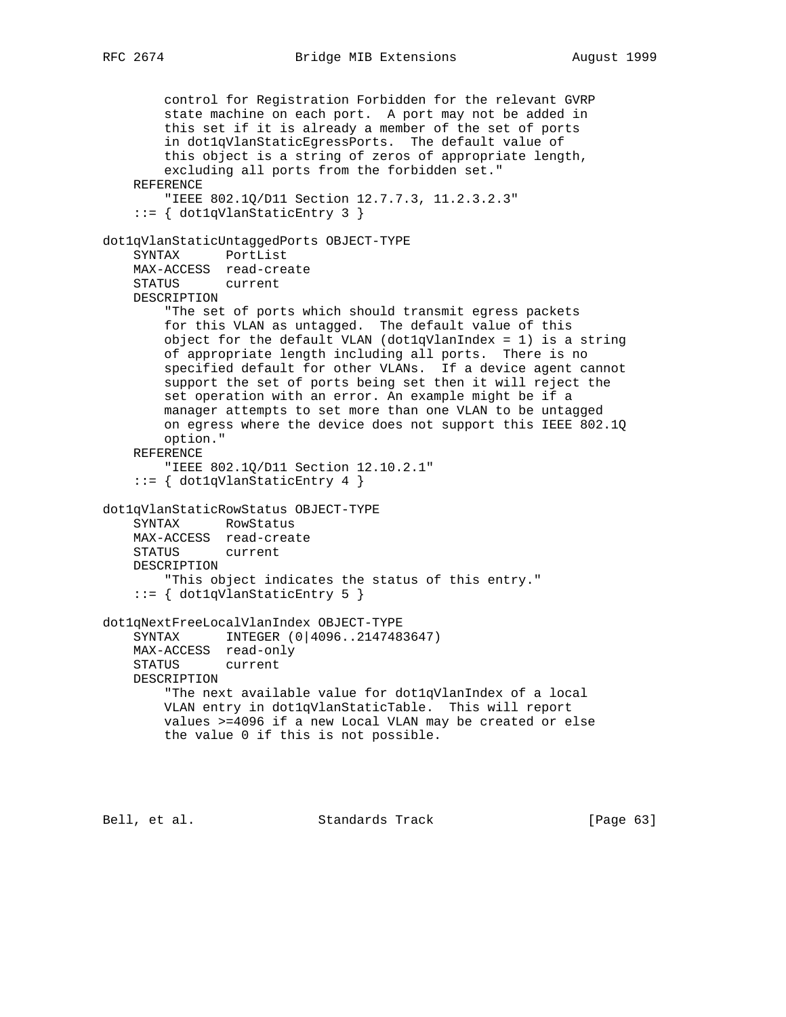```
RFC 2674 Bridge MIB Extensions August 1999
```
 control for Registration Forbidden for the relevant GVRP state machine on each port. A port may not be added in this set if it is already a member of the set of ports in dot1qVlanStaticEgressPorts. The default value of this object is a string of zeros of appropriate length, excluding all ports from the forbidden set." REFERENCE "IEEE 802.1Q/D11 Section 12.7.7.3, 11.2.3.2.3" ::= { dot1qVlanStaticEntry 3 } dot1qVlanStaticUntaggedPorts OBJECT-TYPE SYNTAX PortList MAX-ACCESS read-create STATUS current DESCRIPTION "The set of ports which should transmit egress packets for this VLAN as untagged. The default value of this object for the default VLAN (dot1qVlanIndex = 1) is a string of appropriate length including all ports. There is no specified default for other VLANs. If a device agent cannot support the set of ports being set then it will reject the set operation with an error. An example might be if a manager attempts to set more than one VLAN to be untagged on egress where the device does not support this IEEE 802.1Q option." REFERENCE "IEEE 802.1Q/D11 Section 12.10.2.1" ::= { dot1qVlanStaticEntry 4 } dot1qVlanStaticRowStatus OBJECT-TYPE SYNTAX RowStatus MAX-ACCESS read-create STATUS current DESCRIPTION "This object indicates the status of this entry." ::= { dot1qVlanStaticEntry 5 } dot1qNextFreeLocalVlanIndex OBJECT-TYPE SYNTAX INTEGER (0|4096..2147483647) MAX-ACCESS read-only STATUS current DESCRIPTION "The next available value for dot1qVlanIndex of a local VLAN entry in dot1qVlanStaticTable. This will report values >=4096 if a new Local VLAN may be created or else the value 0 if this is not possible.

Bell, et al. Standards Track [Page 63]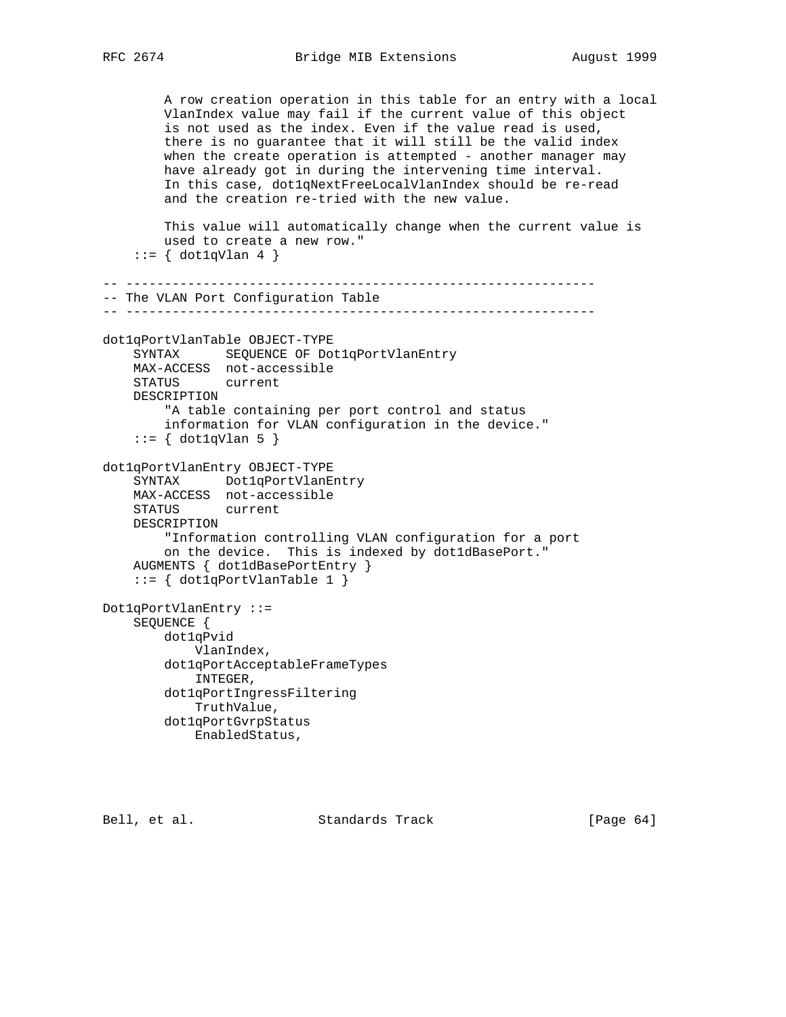```
 A row creation operation in this table for an entry with a local
         VlanIndex value may fail if the current value of this object
         is not used as the index. Even if the value read is used,
         there is no guarantee that it will still be the valid index
        when the create operation is attempted - another manager may
         have already got in during the intervening time interval.
         In this case, dot1qNextFreeLocalVlanIndex should be re-read
         and the creation re-tried with the new value.
         This value will automatically change when the current value is
         used to create a new row."
    ::= \{ dot1qVlan 4 \}-- -------------------------------------------------------------
-- The VLAN Port Configuration Table
-- -------------------------------------------------------------
dot1qPortVlanTable OBJECT-TYPE
     SYNTAX SEQUENCE OF Dot1qPortVlanEntry
    MAX-ACCESS not-accessible
    STATUS current
    DESCRIPTION
         "A table containing per port control and status
         information for VLAN configuration in the device."
     ::= { dot1qVlan 5 }
dot1qPortVlanEntry OBJECT-TYPE
     SYNTAX Dot1qPortVlanEntry
     MAX-ACCESS not-accessible
     STATUS current
    DESCRIPTION
         "Information controlling VLAN configuration for a port
         on the device. This is indexed by dot1dBasePort."
     AUGMENTS { dot1dBasePortEntry }
     ::= { dot1qPortVlanTable 1 }
Dot1qPortVlanEntry ::=
     SEQUENCE {
         dot1qPvid
             VlanIndex,
         dot1qPortAcceptableFrameTypes
             INTEGER,
         dot1qPortIngressFiltering
             TruthValue,
         dot1qPortGvrpStatus
            EnabledStatus,
```
Bell, et al. Standards Track [Page 64]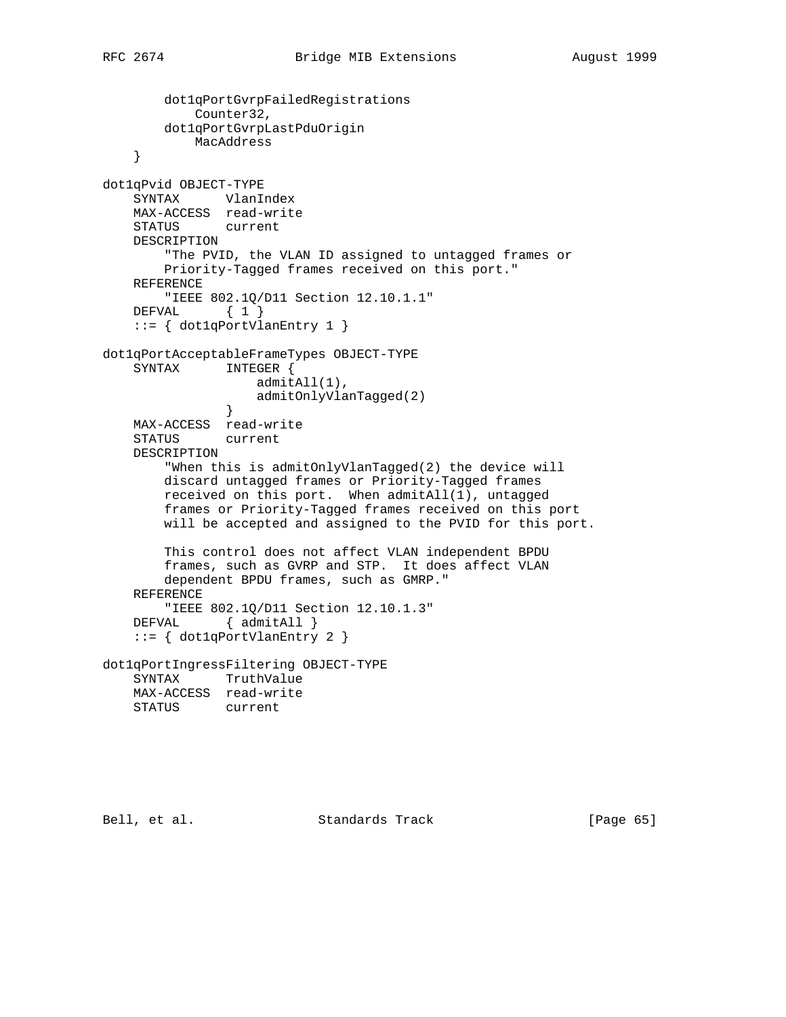```
 dot1qPortGvrpFailedRegistrations
            Counter32,
        dot1qPortGvrpLastPduOrigin
            MacAddress
     }
dot1qPvid OBJECT-TYPE
    SYNTAX VlanIndex
    MAX-ACCESS read-write
    STATUS current
    DESCRIPTION
         "The PVID, the VLAN ID assigned to untagged frames or
        Priority-Tagged frames received on this port."
    REFERENCE
        "IEEE 802.1Q/D11 Section 12.10.1.1"
   DEFVAL { 1 }
     ::= { dot1qPortVlanEntry 1 }
dot1qPortAcceptableFrameTypes OBJECT-TYPE
    SYNTAX INTEGER {
                   admitAll(1),
               admitOnlyVlanTagged(2)<br>}
 }
    MAX-ACCESS read-write
    STATUS current
    DESCRIPTION
         "When this is admitOnlyVlanTagged(2) the device will
        discard untagged frames or Priority-Tagged frames
        received on this port. When admitAll(1), untagged
        frames or Priority-Tagged frames received on this port
        will be accepted and assigned to the PVID for this port.
        This control does not affect VLAN independent BPDU
        frames, such as GVRP and STP. It does affect VLAN
        dependent BPDU frames, such as GMRP."
    REFERENCE
        "IEEE 802.1Q/D11 Section 12.10.1.3"
   DEFVAL { admitAll }
     ::= { dot1qPortVlanEntry 2 }
dot1qPortIngressFiltering OBJECT-TYPE
    SYNTAX TruthValue
    MAX-ACCESS read-write
    STATUS current
```
Bell, et al. Standards Track [Page 65]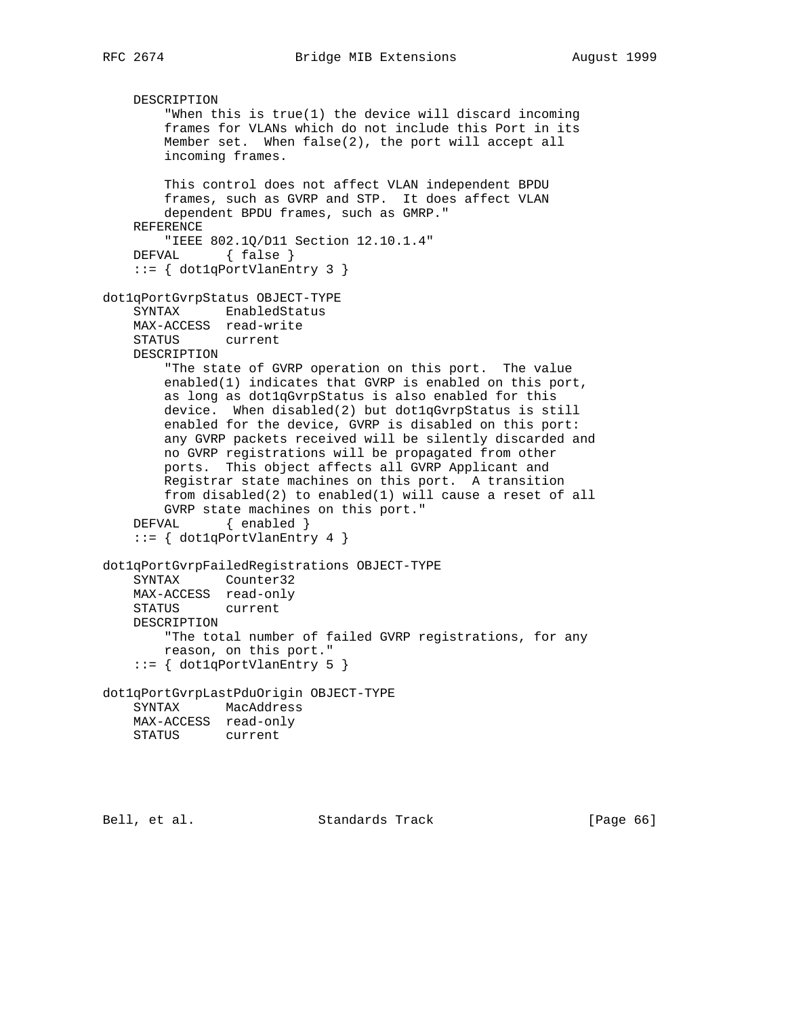```
 DESCRIPTION
         "When this is true(1) the device will discard incoming
         frames for VLANs which do not include this Port in its
        Member set. When false(2), the port will accept all
         incoming frames.
        This control does not affect VLAN independent BPDU
        frames, such as GVRP and STP. It does affect VLAN
        dependent BPDU frames, such as GMRP."
    REFERENCE
         "IEEE 802.1Q/D11 Section 12.10.1.4"
   DEFVAL { false }
     ::= { dot1qPortVlanEntry 3 }
dot1qPortGvrpStatus OBJECT-TYPE
     SYNTAX EnabledStatus
    MAX-ACCESS read-write
    STATUS current
    DESCRIPTION
        "The state of GVRP operation on this port. The value
        enabled(1) indicates that GVRP is enabled on this port,
        as long as dot1qGvrpStatus is also enabled for this
        device. When disabled(2) but dot1qGvrpStatus is still
        enabled for the device, GVRP is disabled on this port:
        any GVRP packets received will be silently discarded and
        no GVRP registrations will be propagated from other
        ports. This object affects all GVRP Applicant and
        Registrar state machines on this port. A transition
        from disabled(2) to enabled(1) will cause a reset of all
        GVRP state machines on this port."
    DEFVAL { enabled }
     ::= { dot1qPortVlanEntry 4 }
dot1qPortGvrpFailedRegistrations OBJECT-TYPE
    SYNTAX Counter32
    MAX-ACCESS read-only
    STATUS current
    DESCRIPTION
        "The total number of failed GVRP registrations, for any
        reason, on this port."
     ::= { dot1qPortVlanEntry 5 }
dot1qPortGvrpLastPduOrigin OBJECT-TYPE
    SYNTAX MacAddress
    MAX-ACCESS read-only
    STATUS current
```
Bell, et al. Standards Track [Page 66]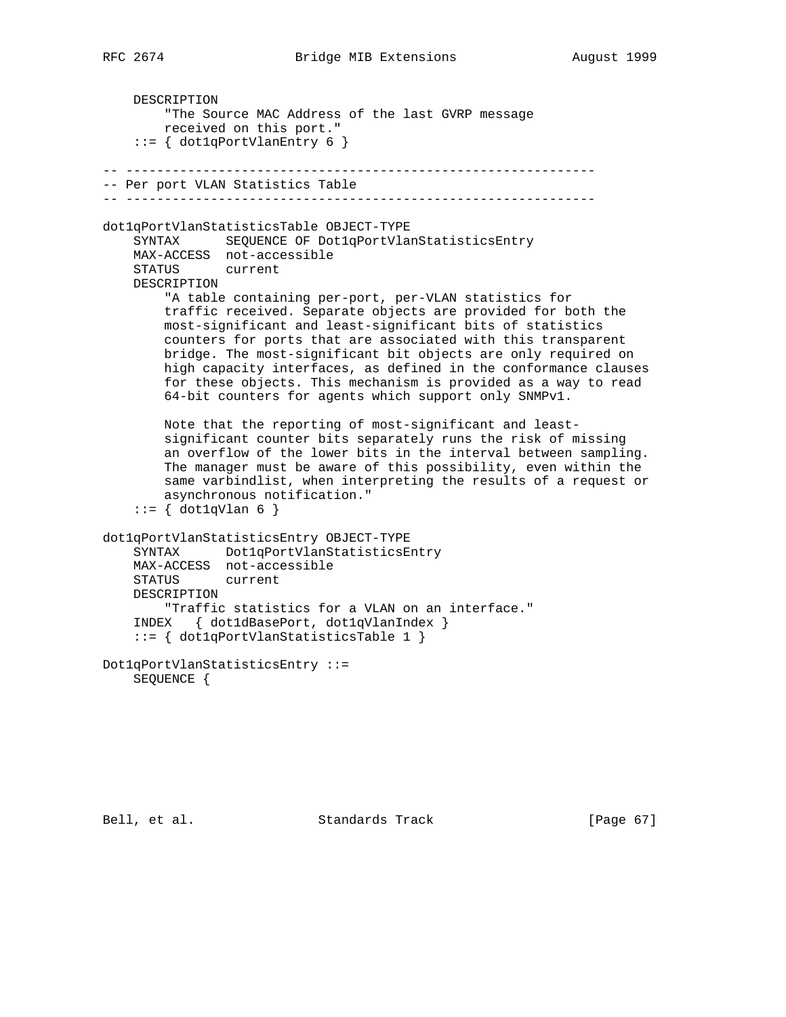DESCRIPTION "The Source MAC Address of the last GVRP message received on this port." ::= { dot1qPortVlanEntry 6 } -- ------------------------------------------------------------- -- Per port VLAN Statistics Table -- ------------------------------------------------------------ dot1qPortVlanStatisticsTable OBJECT-TYPE SYNTAX SEQUENCE OF Dot1qPortVlanStatisticsEntry MAX-ACCESS not-accessible STATUS current DESCRIPTION "A table containing per-port, per-VLAN statistics for traffic received. Separate objects are provided for both the most-significant and least-significant bits of statistics counters for ports that are associated with this transparent bridge. The most-significant bit objects are only required on high capacity interfaces, as defined in the conformance clauses for these objects. This mechanism is provided as a way to read 64-bit counters for agents which support only SNMPv1. Note that the reporting of most-significant and least significant counter bits separately runs the risk of missing an overflow of the lower bits in the interval between sampling. The manager must be aware of this possibility, even within the same varbindlist, when interpreting the results of a request or asynchronous notification."  $::= \{ dot1qVlan 6 \}$ dot1qPortVlanStatisticsEntry OBJECT-TYPE SYNTAX Dot1qPortVlanStatisticsEntry MAX-ACCESS not-accessible STATUS current DESCRIPTION "Traffic statistics for a VLAN on an interface." INDEX { dot1dBasePort, dot1qVlanIndex } ::= { dot1qPortVlanStatisticsTable 1 } Dot1qPortVlanStatisticsEntry ::= SEQUENCE {

Bell, et al. Standards Track [Page 67]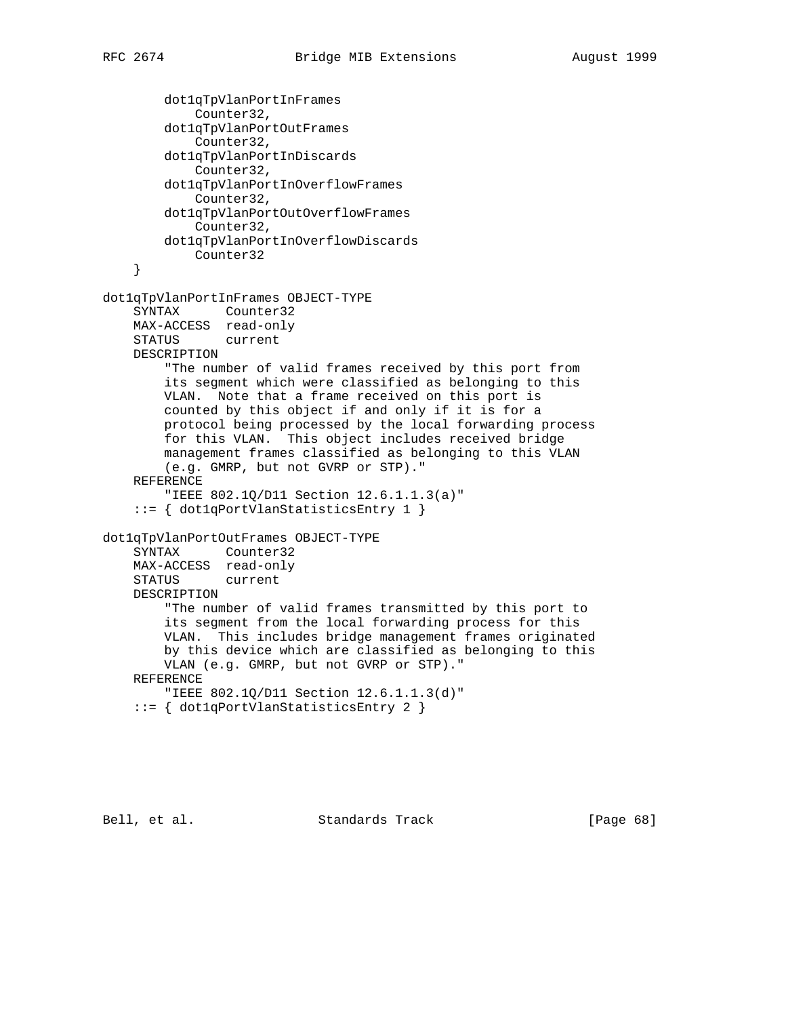dot1qTpVlanPortInFrames Counter32, dot1qTpVlanPortOutFrames Counter32, dot1qTpVlanPortInDiscards Counter32, dot1qTpVlanPortInOverflowFrames Counter32, dot1qTpVlanPortOutOverflowFrames Counter32, dot1qTpVlanPortInOverflowDiscards Counter32 } dot1qTpVlanPortInFrames OBJECT-TYPE SYNTAX Counter32 MAX-ACCESS read-only STATUS current DESCRIPTION "The number of valid frames received by this port from its segment which were classified as belonging to this VLAN. Note that a frame received on this port is counted by this object if and only if it is for a protocol being processed by the local forwarding process for this VLAN. This object includes received bridge management frames classified as belonging to this VLAN (e.g. GMRP, but not GVRP or STP)." REFERENCE "IEEE 802.1Q/D11 Section 12.6.1.1.3(a)" ::= { dot1qPortVlanStatisticsEntry 1 } dot1qTpVlanPortOutFrames OBJECT-TYPE SYNTAX Counter32 MAX-ACCESS read-only STATUS current DESCRIPTION "The number of valid frames transmitted by this port to its segment from the local forwarding process for this VLAN. This includes bridge management frames originated by this device which are classified as belonging to this VLAN (e.g. GMRP, but not GVRP or STP)." REFERENCE "IEEE 802.1Q/D11 Section 12.6.1.1.3(d)" ::= { dot1qPortVlanStatisticsEntry 2 }

Bell, et al. Standards Track [Page 68]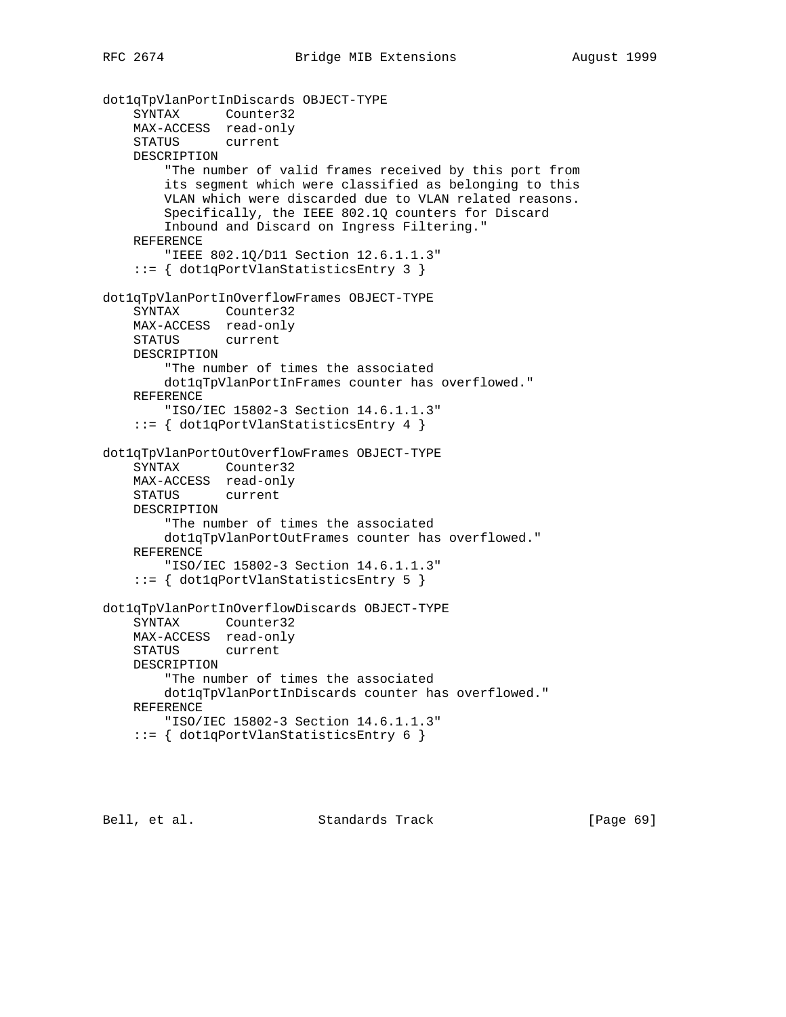```
dot1qTpVlanPortInDiscards OBJECT-TYPE
     SYNTAX Counter32
    MAX-ACCESS read-only
     STATUS current
    DESCRIPTION
         "The number of valid frames received by this port from
        its segment which were classified as belonging to this
        VLAN which were discarded due to VLAN related reasons.
        Specifically, the IEEE 802.1Q counters for Discard
        Inbound and Discard on Ingress Filtering."
    REFERENCE
         "IEEE 802.1Q/D11 Section 12.6.1.1.3"
     ::= { dot1qPortVlanStatisticsEntry 3 }
dot1qTpVlanPortInOverflowFrames OBJECT-TYPE
     SYNTAX Counter32
    MAX-ACCESS read-only
    STATUS current
    DESCRIPTION
        "The number of times the associated
        dot1qTpVlanPortInFrames counter has overflowed."
     REFERENCE
         "ISO/IEC 15802-3 Section 14.6.1.1.3"
     ::= { dot1qPortVlanStatisticsEntry 4 }
dot1qTpVlanPortOutOverflowFrames OBJECT-TYPE
     SYNTAX Counter32
    MAX-ACCESS read-only
    STATUS current
    DESCRIPTION
         "The number of times the associated
        dot1qTpVlanPortOutFrames counter has overflowed."
    REFERENCE
         "ISO/IEC 15802-3 Section 14.6.1.1.3"
     ::= { dot1qPortVlanStatisticsEntry 5 }
dot1qTpVlanPortInOverflowDiscards OBJECT-TYPE
     SYNTAX Counter32
    MAX-ACCESS read-only
    STATUS current
    DESCRIPTION
         "The number of times the associated
        dot1qTpVlanPortInDiscards counter has overflowed."
    REFERENCE
        "ISO/IEC 15802-3 Section 14.6.1.1.3"
     ::= { dot1qPortVlanStatisticsEntry 6 }
```
Bell, et al. Standards Track [Page 69]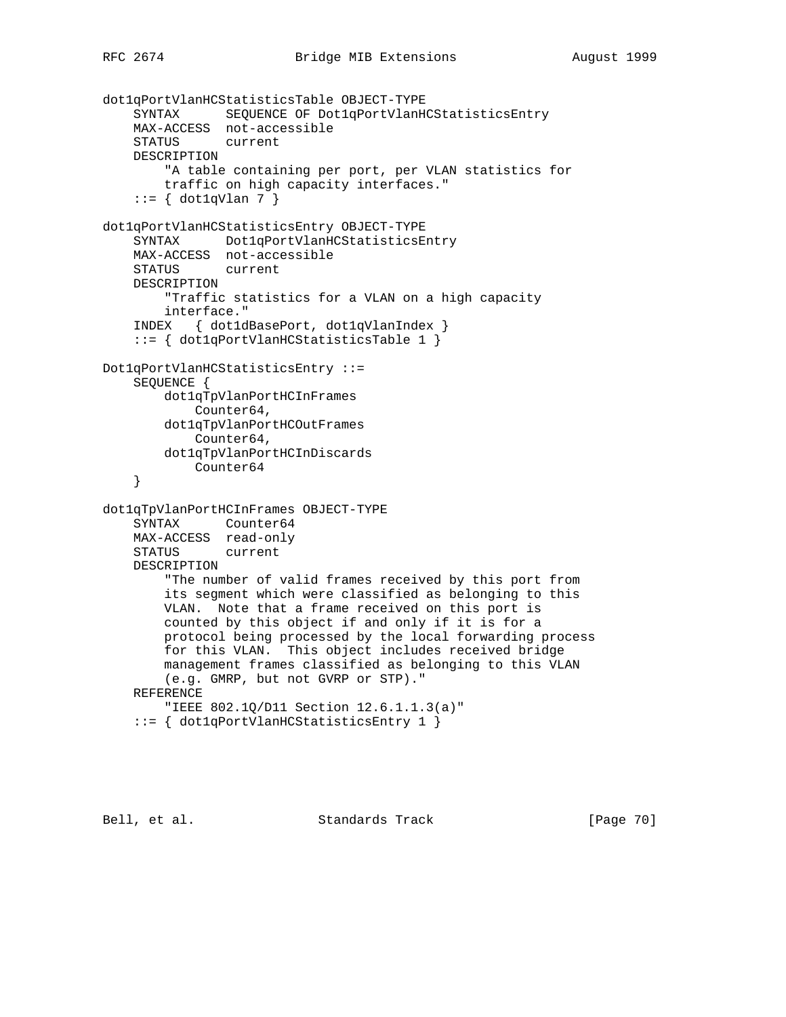```
dot1qPortVlanHCStatisticsTable OBJECT-TYPE
     SYNTAX SEQUENCE OF Dot1qPortVlanHCStatisticsEntry
    MAX-ACCESS not-accessible
     STATUS current
    DESCRIPTION
         "A table containing per port, per VLAN statistics for
         traffic on high capacity interfaces."
    ::= \{ dot1qVlan 7 \}dot1qPortVlanHCStatisticsEntry OBJECT-TYPE
     SYNTAX Dot1qPortVlanHCStatisticsEntry
    MAX-ACCESS not-accessible
    STATUS current
    DESCRIPTION
         "Traffic statistics for a VLAN on a high capacity
        interface."
     INDEX { dot1dBasePort, dot1qVlanIndex }
     ::= { dot1qPortVlanHCStatisticsTable 1 }
Dot1qPortVlanHCStatisticsEntry ::=
     SEQUENCE {
        dot1qTpVlanPortHCInFrames
            Counter64,
        dot1qTpVlanPortHCOutFrames
            Counter64,
        dot1qTpVlanPortHCInDiscards
            Counter64
     }
dot1qTpVlanPortHCInFrames OBJECT-TYPE
     SYNTAX Counter64
    MAX-ACCESS read-only
    STATUS current
    DESCRIPTION
         "The number of valid frames received by this port from
         its segment which were classified as belonging to this
        VLAN. Note that a frame received on this port is
        counted by this object if and only if it is for a
        protocol being processed by the local forwarding process
         for this VLAN. This object includes received bridge
        management frames classified as belonging to this VLAN
        (e.g. GMRP, but not GVRP or STP)."
    REFERENCE
        "IEEE 802.1Q/D11 Section 12.6.1.1.3(a)"
     ::= { dot1qPortVlanHCStatisticsEntry 1 }
```
Bell, et al. Standards Track [Page 70]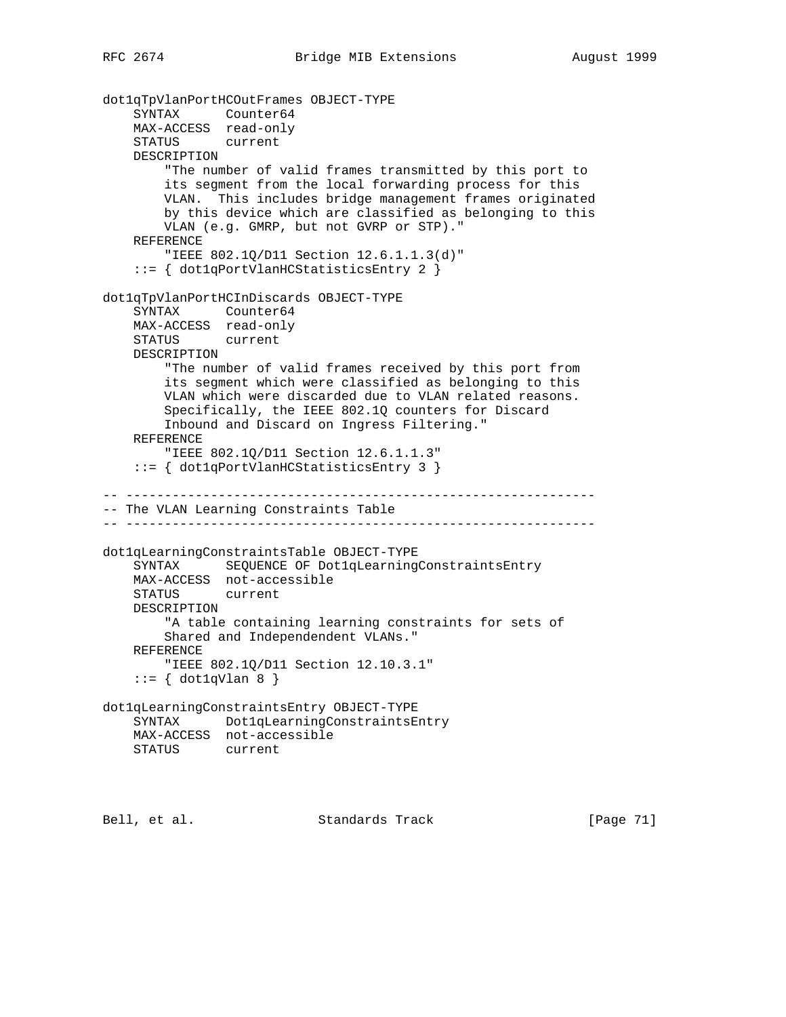```
dot1qTpVlanPortHCOutFrames OBJECT-TYPE
     SYNTAX Counter64
    MAX-ACCESS read-only
     STATUS current
    DESCRIPTION
         "The number of valid frames transmitted by this port to
        its segment from the local forwarding process for this
        VLAN. This includes bridge management frames originated
        by this device which are classified as belonging to this
        VLAN (e.g. GMRP, but not GVRP or STP)."
    REFERENCE
         "IEEE 802.1Q/D11 Section 12.6.1.1.3(d)"
     ::= { dot1qPortVlanHCStatisticsEntry 2 }
dot1qTpVlanPortHCInDiscards OBJECT-TYPE
     SYNTAX Counter64
    MAX-ACCESS read-only
    STATUS current
    DESCRIPTION
         "The number of valid frames received by this port from
         its segment which were classified as belonging to this
        VLAN which were discarded due to VLAN related reasons.
        Specifically, the IEEE 802.1Q counters for Discard
        Inbound and Discard on Ingress Filtering."
    REFERENCE
         "IEEE 802.1Q/D11 Section 12.6.1.1.3"
     ::= { dot1qPortVlanHCStatisticsEntry 3 }
-- -------------------------------------------------------------
-- The VLAN Learning Constraints Table
-- -------------------------------------------------------------
dot1qLearningConstraintsTable OBJECT-TYPE
    SYNTAX SEQUENCE OF Dot1qLearningConstraintsEntry
    MAX-ACCESS not-accessible
    STATUS current
    DESCRIPTION
         "A table containing learning constraints for sets of
        Shared and Independendent VLANs."
    REFERENCE
        "IEEE 802.1Q/D11 Section 12.10.3.1"
    ::= { dot1qVlan 8 }
dot1qLearningConstraintsEntry OBJECT-TYPE
     SYNTAX Dot1qLearningConstraintsEntry
    MAX-ACCESS not-accessible
    STATUS current
```
Bell, et al. Standards Track [Page 71]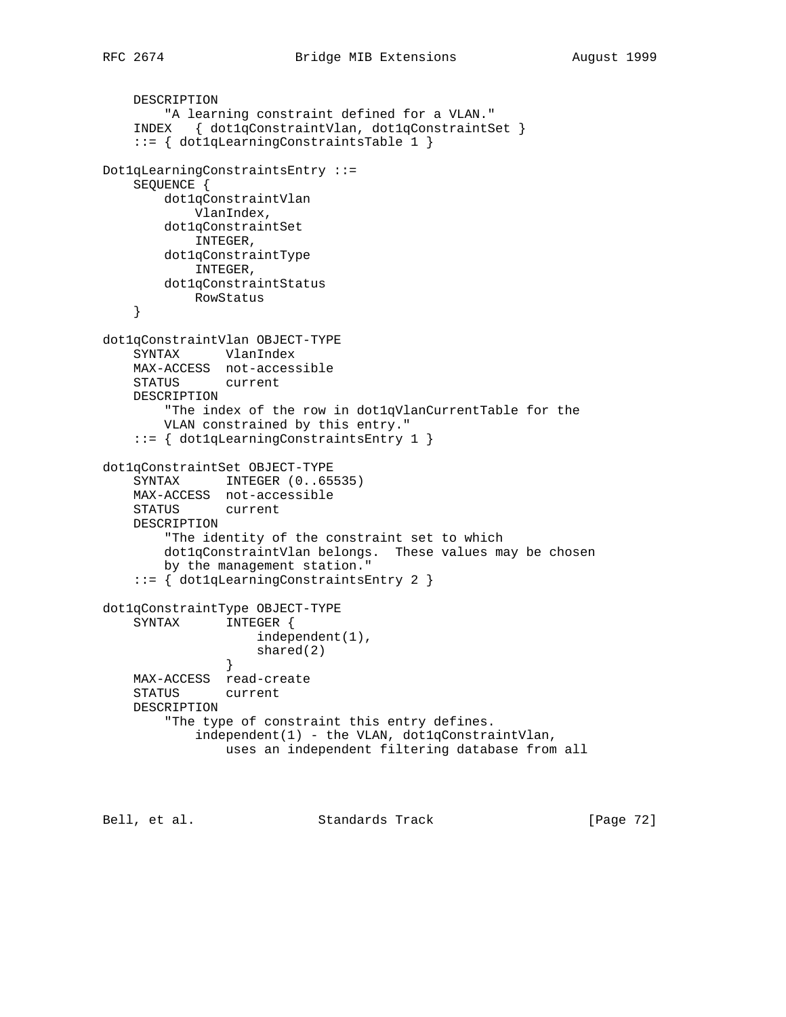```
 DESCRIPTION
         "A learning constraint defined for a VLAN."
     INDEX { dot1qConstraintVlan, dot1qConstraintSet }
     ::= { dot1qLearningConstraintsTable 1 }
Dot1qLearningConstraintsEntry ::=
     SEQUENCE {
        dot1qConstraintVlan
            VlanIndex,
         dot1qConstraintSet
            INTEGER,
        dot1qConstraintType
            INTEGER,
        dot1qConstraintStatus
            RowStatus
     }
dot1qConstraintVlan OBJECT-TYPE
     SYNTAX VlanIndex
     MAX-ACCESS not-accessible
     STATUS current
     DESCRIPTION
         "The index of the row in dot1qVlanCurrentTable for the
        VLAN constrained by this entry."
     ::= { dot1qLearningConstraintsEntry 1 }
dot1qConstraintSet OBJECT-TYPE
     SYNTAX INTEGER (0..65535)
     MAX-ACCESS not-accessible
     STATUS current
     DESCRIPTION
         "The identity of the constraint set to which
         dot1qConstraintVlan belongs. These values may be chosen
        by the management station."
     ::= { dot1qLearningConstraintsEntry 2 }
dot1qConstraintType OBJECT-TYPE
     SYNTAX INTEGER {
                   independent(1),
               shared(2)<br>}
 }
     MAX-ACCESS read-create
     STATUS current
     DESCRIPTION
         "The type of constraint this entry defines.
             independent(1) - the VLAN, dot1qConstraintVlan,
                 uses an independent filtering database from all
```
Bell, et al. Standards Track [Page 72]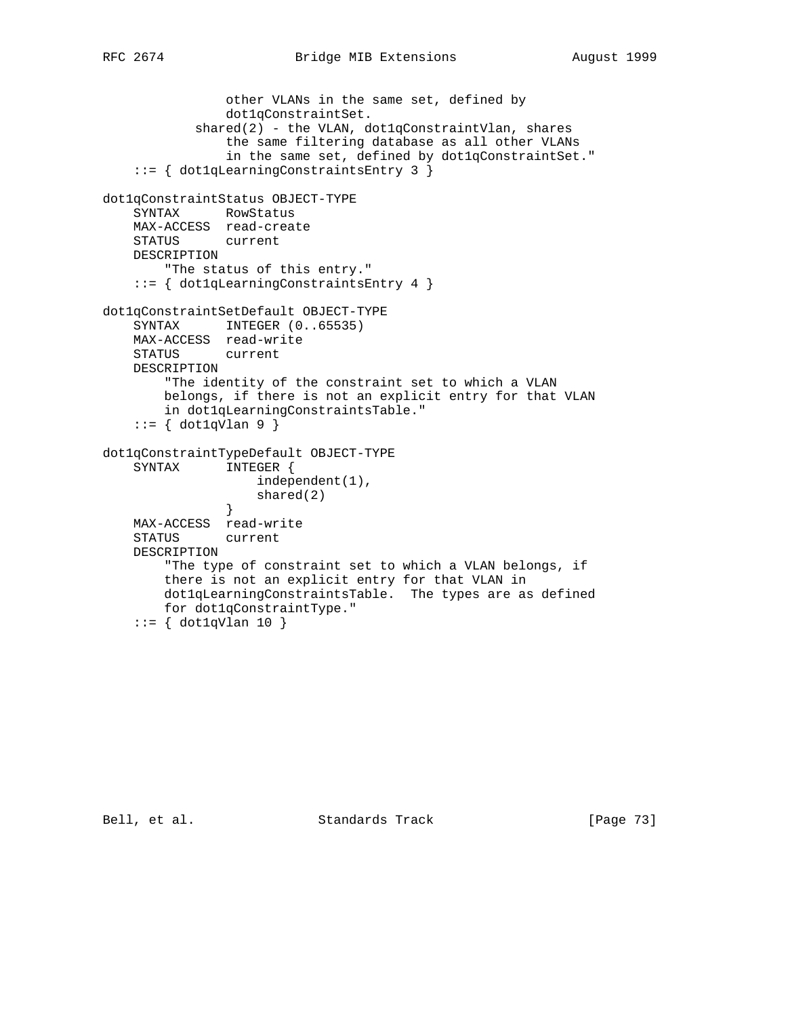```
 other VLANs in the same set, defined by
                dot1qConstraintSet.
           shared(2) - the VLAN, dot1qConstraintVlan, shares
                the same filtering database as all other VLANs
                in the same set, defined by dot1qConstraintSet."
     ::= { dot1qLearningConstraintsEntry 3 }
dot1qConstraintStatus OBJECT-TYPE
    SYNTAX RowStatus
    MAX-ACCESS read-create
    STATUS current
    DESCRIPTION
        "The status of this entry."
     ::= { dot1qLearningConstraintsEntry 4 }
dot1qConstraintSetDefault OBJECT-TYPE
    SYNTAX INTEGER (0..65535)
    MAX-ACCESS read-write
    STATUS current
    DESCRIPTION
         "The identity of the constraint set to which a VLAN
        belongs, if there is not an explicit entry for that VLAN
        in dot1qLearningConstraintsTable."
     ::= { dot1qVlan 9 }
dot1qConstraintTypeDefault OBJECT-TYPE
    SYNTAX INTEGER {
                    independent(1),
                   shared(2)
 }
    MAX-ACCESS read-write
    STATUS current
    DESCRIPTION
         "The type of constraint set to which a VLAN belongs, if
```
there is not an explicit entry for that VLAN in

for dot1qConstraintType."

 $::=$  { dot1qVlan 10 }

dot1qLearningConstraintsTable. The types are as defined

Bell, et al. Standards Track [Page 73]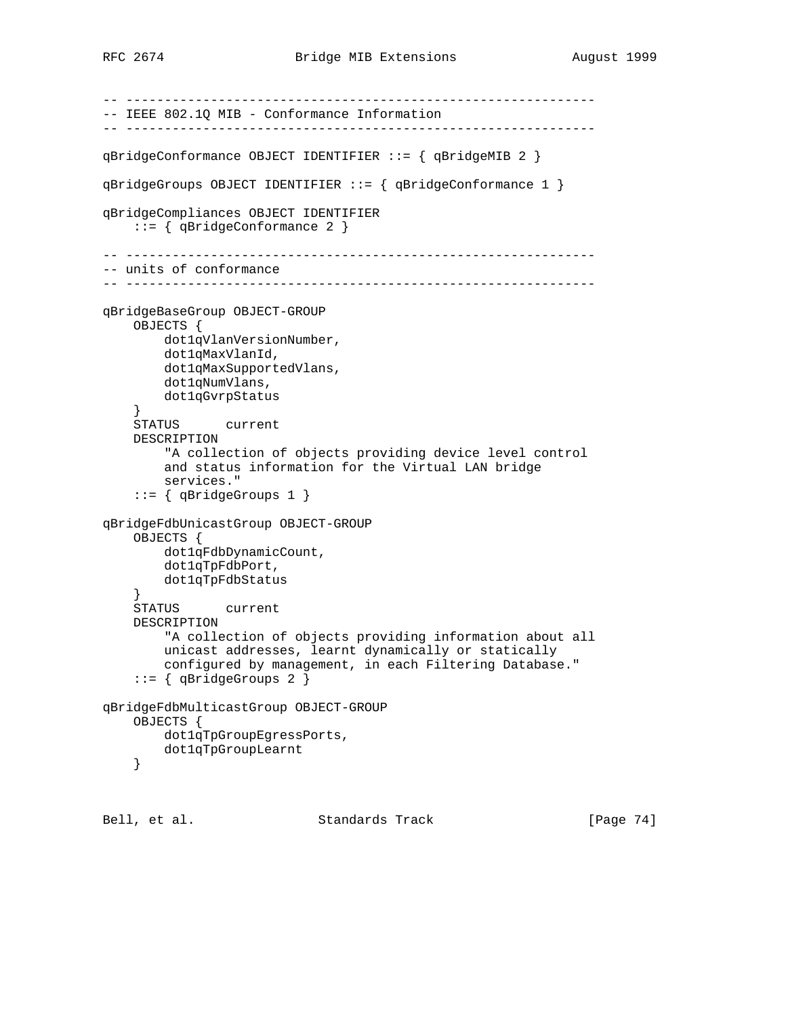```
-- -------------------------------------------------------------
-- IEEE 802.1Q MIB - Conformance Information
-- -------------------------------------------------------------
qBridgeConformance OBJECT IDENTIFIER ::= { qBridgeMIB 2 }
qBridgeGroups OBJECT IDENTIFIER ::= { qBridgeConformance 1 }
qBridgeCompliances OBJECT IDENTIFIER
     ::= { qBridgeConformance 2 }
-- -------------------------------------------------------------
-- units of conformance
-- -------------------------------------------------------------
qBridgeBaseGroup OBJECT-GROUP
    OBJECTS {
        dot1qVlanVersionNumber,
        dot1qMaxVlanId,
        dot1qMaxSupportedVlans,
        dot1qNumVlans,
        dot1qGvrpStatus
 }
    STATUS current
    DESCRIPTION
         "A collection of objects providing device level control
         and status information for the Virtual LAN bridge
         services."
     ::= { qBridgeGroups 1 }
qBridgeFdbUnicastGroup OBJECT-GROUP
     OBJECTS {
        dot1qFdbDynamicCount,
        dot1qTpFdbPort,
        dot1qTpFdbStatus
     }
     STATUS current
    DESCRIPTION
         "A collection of objects providing information about all
        unicast addresses, learnt dynamically or statically
         configured by management, in each Filtering Database."
     ::= { qBridgeGroups 2 }
qBridgeFdbMulticastGroup OBJECT-GROUP
     OBJECTS {
        dot1qTpGroupEgressPorts,
        dot1qTpGroupLearnt
     }
```
Bell, et al. Standards Track [Page 74]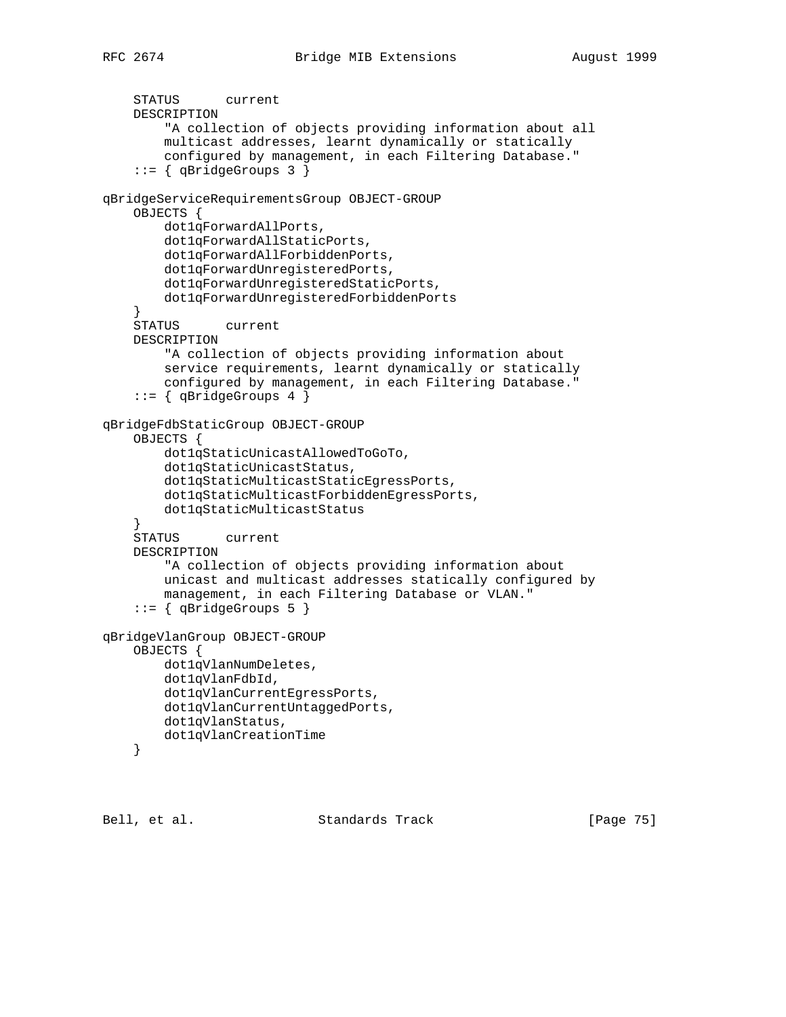```
 STATUS current
     DESCRIPTION
         "A collection of objects providing information about all
         multicast addresses, learnt dynamically or statically
         configured by management, in each Filtering Database."
     ::= { qBridgeGroups 3 }
qBridgeServiceRequirementsGroup OBJECT-GROUP
     OBJECTS {
         dot1qForwardAllPorts,
         dot1qForwardAllStaticPorts,
         dot1qForwardAllForbiddenPorts,
         dot1qForwardUnregisteredPorts,
         dot1qForwardUnregisteredStaticPorts,
         dot1qForwardUnregisteredForbiddenPorts
     }
     STATUS current
     DESCRIPTION
         "A collection of objects providing information about
         service requirements, learnt dynamically or statically
         configured by management, in each Filtering Database."
     ::= { qBridgeGroups 4 }
qBridgeFdbStaticGroup OBJECT-GROUP
     OBJECTS {
         dot1qStaticUnicastAllowedToGoTo,
         dot1qStaticUnicastStatus,
         dot1qStaticMulticastStaticEgressPorts,
         dot1qStaticMulticastForbiddenEgressPorts,
         dot1qStaticMulticastStatus
     }
     STATUS current
     DESCRIPTION
         "A collection of objects providing information about
         unicast and multicast addresses statically configured by
         management, in each Filtering Database or VLAN."
     ::= { qBridgeGroups 5 }
qBridgeVlanGroup OBJECT-GROUP
     OBJECTS {
         dot1qVlanNumDeletes,
         dot1qVlanFdbId,
         dot1qVlanCurrentEgressPorts,
         dot1qVlanCurrentUntaggedPorts,
         dot1qVlanStatus,
         dot1qVlanCreationTime
     }
```
Bell, et al. Standards Track [Page 75]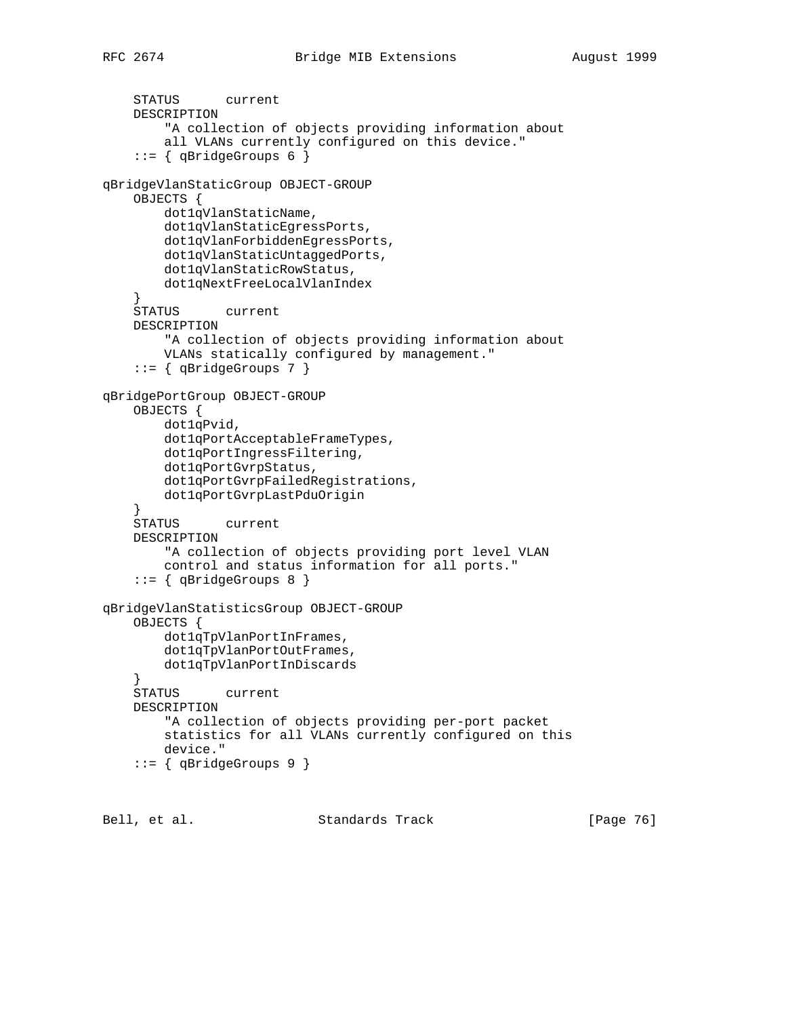```
 STATUS current
     DESCRIPTION
         "A collection of objects providing information about
         all VLANs currently configured on this device."
     ::= { qBridgeGroups 6 }
qBridgeVlanStaticGroup OBJECT-GROUP
     OBJECTS {
         dot1qVlanStaticName,
         dot1qVlanStaticEgressPorts,
         dot1qVlanForbiddenEgressPorts,
         dot1qVlanStaticUntaggedPorts,
         dot1qVlanStaticRowStatus,
         dot1qNextFreeLocalVlanIndex
     }
     STATUS current
     DESCRIPTION
         "A collection of objects providing information about
         VLANs statically configured by management."
     ::= { qBridgeGroups 7 }
qBridgePortGroup OBJECT-GROUP
     OBJECTS {
         dot1qPvid,
         dot1qPortAcceptableFrameTypes,
         dot1qPortIngressFiltering,
         dot1qPortGvrpStatus,
         dot1qPortGvrpFailedRegistrations,
         dot1qPortGvrpLastPduOrigin
     }
     STATUS current
     DESCRIPTION
         "A collection of objects providing port level VLAN
         control and status information for all ports."
     ::= { qBridgeGroups 8 }
qBridgeVlanStatisticsGroup OBJECT-GROUP
     OBJECTS {
         dot1qTpVlanPortInFrames,
         dot1qTpVlanPortOutFrames,
         dot1qTpVlanPortInDiscards
     }
     STATUS current
     DESCRIPTION
         "A collection of objects providing per-port packet
         statistics for all VLANs currently configured on this
         device."
     ::= { qBridgeGroups 9 }
```
Bell, et al. Standards Track [Page 76]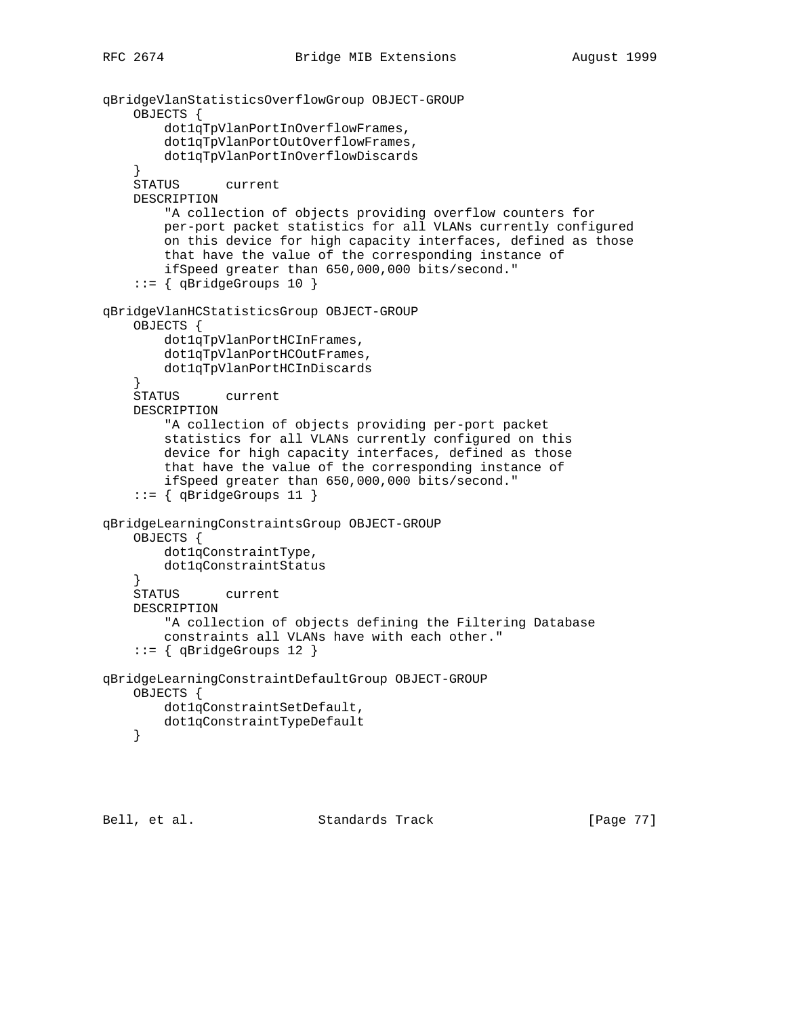```
qBridgeVlanStatisticsOverflowGroup OBJECT-GROUP
     OBJECTS {
         dot1qTpVlanPortInOverflowFrames,
         dot1qTpVlanPortOutOverflowFrames,
         dot1qTpVlanPortInOverflowDiscards
     }
     STATUS current
     DESCRIPTION
         "A collection of objects providing overflow counters for
         per-port packet statistics for all VLANs currently configured
         on this device for high capacity interfaces, defined as those
         that have the value of the corresponding instance of
         ifSpeed greater than 650,000,000 bits/second."
     ::= \{ qBridgeGroups 10 \}qBridgeVlanHCStatisticsGroup OBJECT-GROUP
     OBJECTS {
         dot1qTpVlanPortHCInFrames,
         dot1qTpVlanPortHCOutFrames,
         dot1qTpVlanPortHCInDiscards
     }
     STATUS current
     DESCRIPTION
         "A collection of objects providing per-port packet
         statistics for all VLANs currently configured on this
         device for high capacity interfaces, defined as those
         that have the value of the corresponding instance of
         ifSpeed greater than 650,000,000 bits/second."
     ::= { qBridgeGroups 11 }
qBridgeLearningConstraintsGroup OBJECT-GROUP
     OBJECTS {
         dot1qConstraintType,
         dot1qConstraintStatus
 }
     STATUS current
     DESCRIPTION
         "A collection of objects defining the Filtering Database
         constraints all VLANs have with each other."
     ::= { qBridgeGroups 12 }
qBridgeLearningConstraintDefaultGroup OBJECT-GROUP
     OBJECTS {
         dot1qConstraintSetDefault,
         dot1qConstraintTypeDefault
     }
```
Bell, et al. Standards Track [Page 77]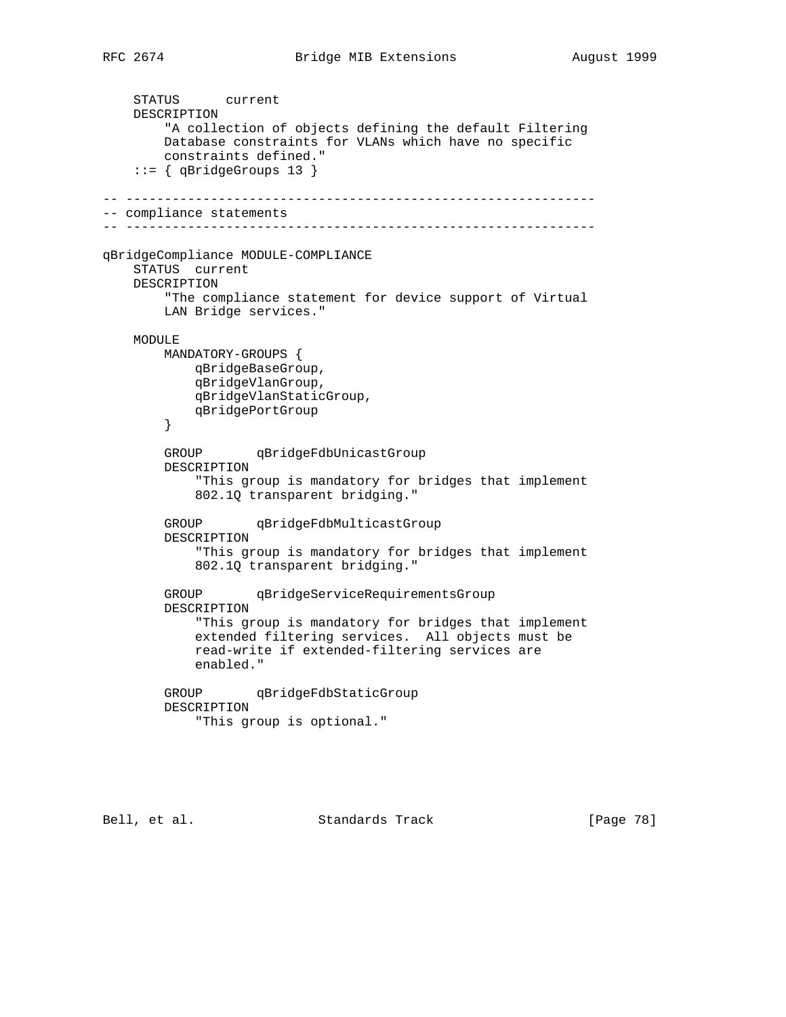STATUS current DESCRIPTION "A collection of objects defining the default Filtering Database constraints for VLANs which have no specific constraints defined." ::= { qBridgeGroups 13 } -- ------------------------------------------------------------- -- compliance statements -- ------------------------------------------------------------ qBridgeCompliance MODULE-COMPLIANCE STATUS current DESCRIPTION "The compliance statement for device support of Virtual LAN Bridge services." MODULE MANDATORY-GROUPS { qBridgeBaseGroup, qBridgeVlanGroup, qBridgeVlanStaticGroup, qBridgePortGroup } GROUP qBridgeFdbUnicastGroup DESCRIPTION "This group is mandatory for bridges that implement 802.1Q transparent bridging." GROUP qBridgeFdbMulticastGroup DESCRIPTION "This group is mandatory for bridges that implement 802.1Q transparent bridging." GROUP qBridgeServiceRequirementsGroup DESCRIPTION "This group is mandatory for bridges that implement extended filtering services. All objects must be read-write if extended-filtering services are enabled." GROUP qBridgeFdbStaticGroup DESCRIPTION "This group is optional."

Bell, et al. Standards Track [Page 78]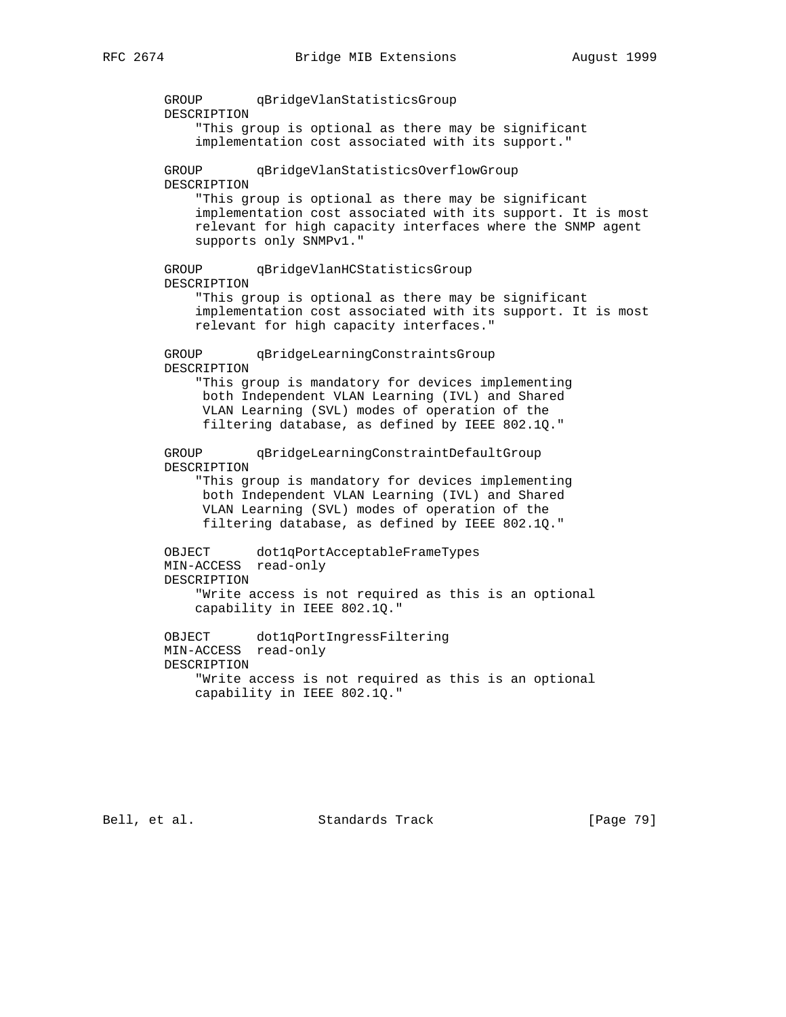GROUP qBridgeVlanStatisticsGroup DESCRIPTION "This group is optional as there may be significant implementation cost associated with its support." GROUP qBridgeVlanStatisticsOverflowGroup DESCRIPTION "This group is optional as there may be significant implementation cost associated with its support. It is most relevant for high capacity interfaces where the SNMP agent supports only SNMPv1." GROUP qBridgeVlanHCStatisticsGroup DESCRIPTION "This group is optional as there may be significant implementation cost associated with its support. It is most relevant for high capacity interfaces." GROUP qBridgeLearningConstraintsGroup DESCRIPTION "This group is mandatory for devices implementing both Independent VLAN Learning (IVL) and Shared VLAN Learning (SVL) modes of operation of the filtering database, as defined by IEEE 802.1Q." GROUP qBridgeLearningConstraintDefaultGroup DESCRIPTION "This group is mandatory for devices implementing both Independent VLAN Learning (IVL) and Shared VLAN Learning (SVL) modes of operation of the filtering database, as defined by IEEE 802.1Q." OBJECT dot1qPortAcceptableFrameTypes MIN-ACCESS read-only DESCRIPTION "Write access is not required as this is an optional capability in IEEE 802.1Q." OBJECT dot1qPortIngressFiltering MIN-ACCESS read-only DESCRIPTION "Write access is not required as this is an optional capability in IEEE 802.1Q."

Bell, et al. Standards Track [Page 79]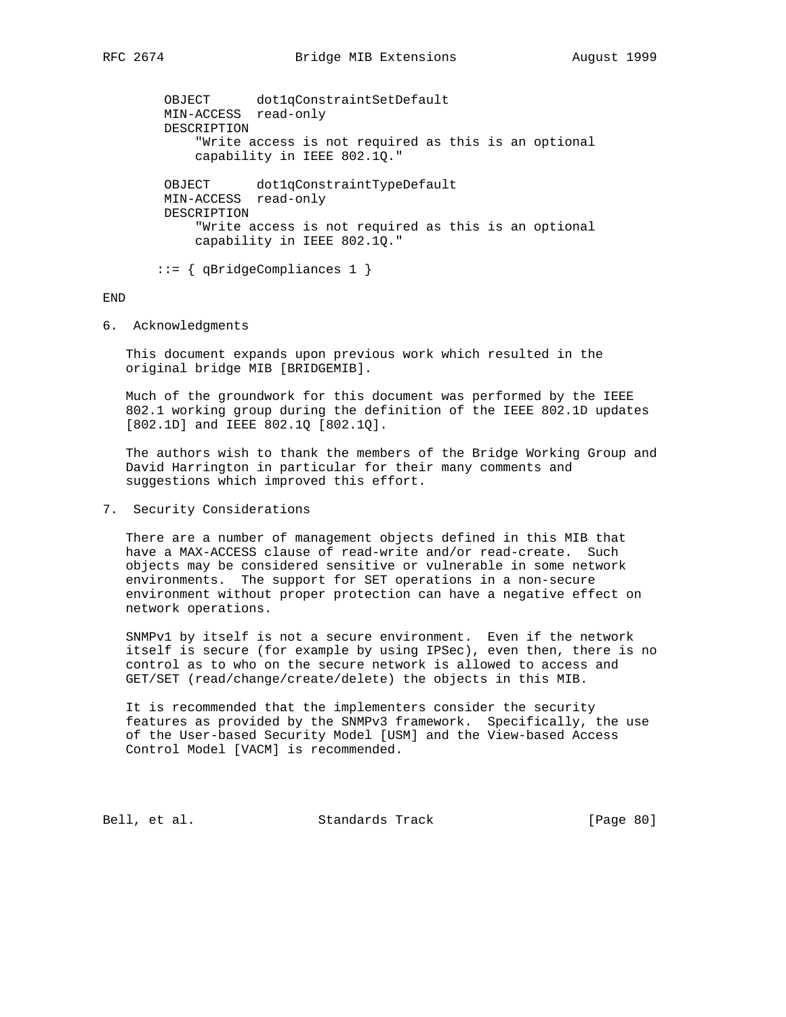OBJECT dot1qConstraintSetDefault MIN-ACCESS read-only DESCRIPTION "Write access is not required as this is an optional capability in IEEE 802.1Q." OBJECT dot1qConstraintTypeDefault MIN-ACCESS read-only DESCRIPTION "Write access is not required as this is an optional capability in IEEE 802.1Q." ::= { qBridgeCompliances 1 }

## END

6. Acknowledgments

 This document expands upon previous work which resulted in the original bridge MIB [BRIDGEMIB].

 Much of the groundwork for this document was performed by the IEEE 802.1 working group during the definition of the IEEE 802.1D updates [802.1D] and IEEE 802.1Q [802.1Q].

 The authors wish to thank the members of the Bridge Working Group and David Harrington in particular for their many comments and suggestions which improved this effort.

7. Security Considerations

 There are a number of management objects defined in this MIB that have a MAX-ACCESS clause of read-write and/or read-create. Such objects may be considered sensitive or vulnerable in some network environments. The support for SET operations in a non-secure environment without proper protection can have a negative effect on network operations.

 SNMPv1 by itself is not a secure environment. Even if the network itself is secure (for example by using IPSec), even then, there is no control as to who on the secure network is allowed to access and GET/SET (read/change/create/delete) the objects in this MIB.

 It is recommended that the implementers consider the security features as provided by the SNMPv3 framework. Specifically, the use of the User-based Security Model [USM] and the View-based Access Control Model [VACM] is recommended.

Bell, et al. Standards Track [Page 80]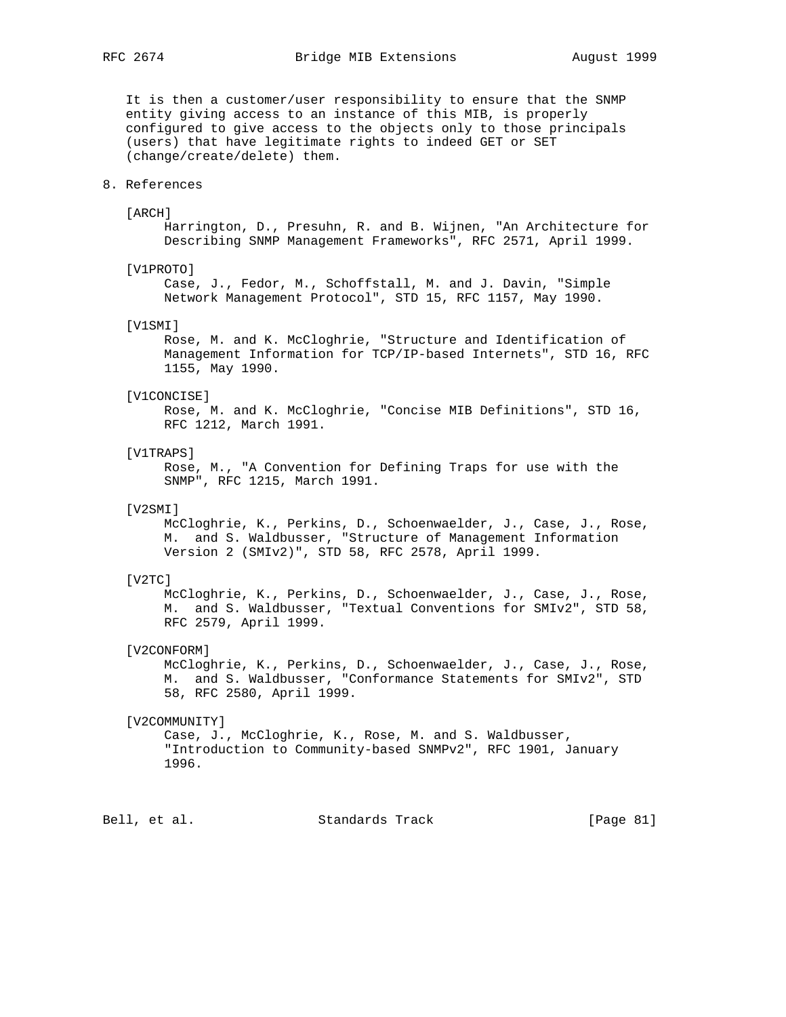It is then a customer/user responsibility to ensure that the SNMP entity giving access to an instance of this MIB, is properly configured to give access to the objects only to those principals (users) that have legitimate rights to indeed GET or SET (change/create/delete) them.

## 8. References

#### [ARCH]

 Harrington, D., Presuhn, R. and B. Wijnen, "An Architecture for Describing SNMP Management Frameworks", RFC 2571, April 1999.

## [V1PROTO]

 Case, J., Fedor, M., Schoffstall, M. and J. Davin, "Simple Network Management Protocol", STD 15, RFC 1157, May 1990.

#### [V1SMI]

 Rose, M. and K. McCloghrie, "Structure and Identification of Management Information for TCP/IP-based Internets", STD 16, RFC 1155, May 1990.

## [V1CONCISE]

 Rose, M. and K. McCloghrie, "Concise MIB Definitions", STD 16, RFC 1212, March 1991.

#### [V1TRAPS]

 Rose, M., "A Convention for Defining Traps for use with the SNMP", RFC 1215, March 1991.

# [V2SMI]

 McCloghrie, K., Perkins, D., Schoenwaelder, J., Case, J., Rose, M. and S. Waldbusser, "Structure of Management Information Version 2 (SMIv2)", STD 58, RFC 2578, April 1999.

#### [V2TC]

 McCloghrie, K., Perkins, D., Schoenwaelder, J., Case, J., Rose, M. and S. Waldbusser, "Textual Conventions for SMIv2", STD 58, RFC 2579, April 1999.

# [V2CONFORM]

 McCloghrie, K., Perkins, D., Schoenwaelder, J., Case, J., Rose, M. and S. Waldbusser, "Conformance Statements for SMIv2", STD 58, RFC 2580, April 1999.

## [V2COMMUNITY]

 Case, J., McCloghrie, K., Rose, M. and S. Waldbusser, "Introduction to Community-based SNMPv2", RFC 1901, January 1996.

Bell, et al. Standards Track [Page 81]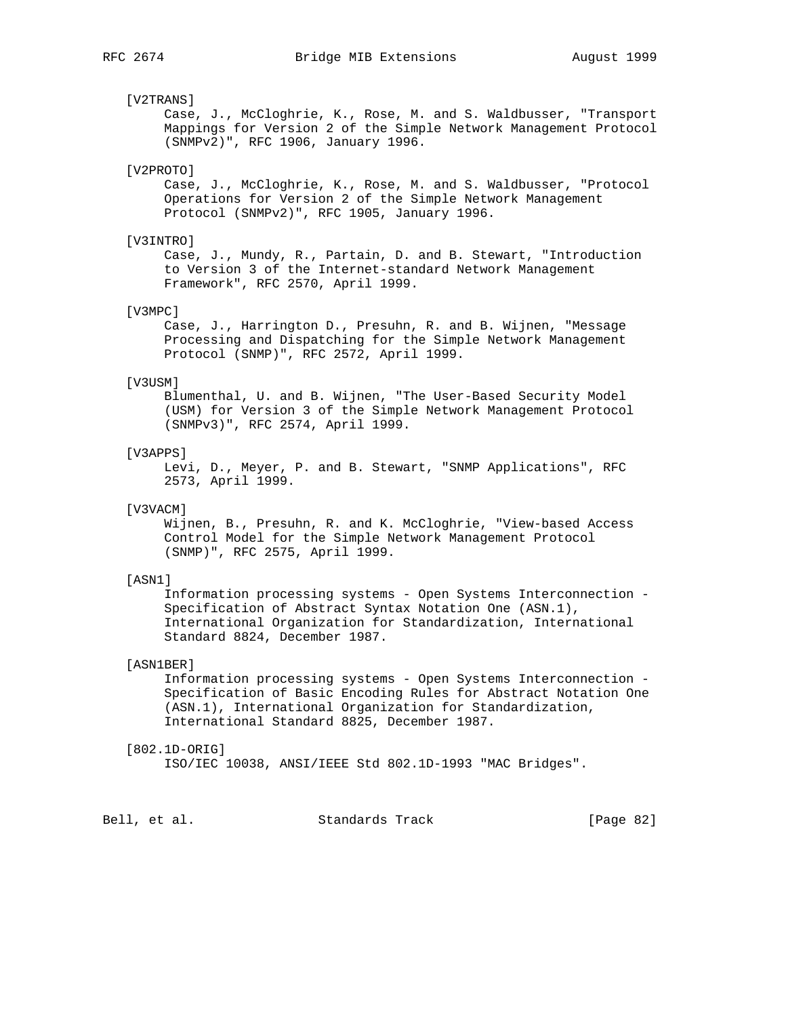## [V2TRANS]

 Case, J., McCloghrie, K., Rose, M. and S. Waldbusser, "Transport Mappings for Version 2 of the Simple Network Management Protocol (SNMPv2)", RFC 1906, January 1996.

# [V2PROTO]

 Case, J., McCloghrie, K., Rose, M. and S. Waldbusser, "Protocol Operations for Version 2 of the Simple Network Management Protocol (SNMPv2)", RFC 1905, January 1996.

# [V3INTRO]

 Case, J., Mundy, R., Partain, D. and B. Stewart, "Introduction to Version 3 of the Internet-standard Network Management Framework", RFC 2570, April 1999.

# [V3MPC]

 Case, J., Harrington D., Presuhn, R. and B. Wijnen, "Message Processing and Dispatching for the Simple Network Management Protocol (SNMP)", RFC 2572, April 1999.

#### [V3USM]

 Blumenthal, U. and B. Wijnen, "The User-Based Security Model (USM) for Version 3 of the Simple Network Management Protocol (SNMPv3)", RFC 2574, April 1999.

## [V3APPS]

 Levi, D., Meyer, P. and B. Stewart, "SNMP Applications", RFC 2573, April 1999.

# [V3VACM]

 Wijnen, B., Presuhn, R. and K. McCloghrie, "View-based Access Control Model for the Simple Network Management Protocol (SNMP)", RFC 2575, April 1999.

## [ASN1]

 Information processing systems - Open Systems Interconnection - Specification of Abstract Syntax Notation One (ASN.1), International Organization for Standardization, International Standard 8824, December 1987.

## [ASN1BER]

 Information processing systems - Open Systems Interconnection - Specification of Basic Encoding Rules for Abstract Notation One (ASN.1), International Organization for Standardization, International Standard 8825, December 1987.

## [802.1D-ORIG]

ISO/IEC 10038, ANSI/IEEE Std 802.1D-1993 "MAC Bridges".

Bell, et al. Standards Track [Page 82]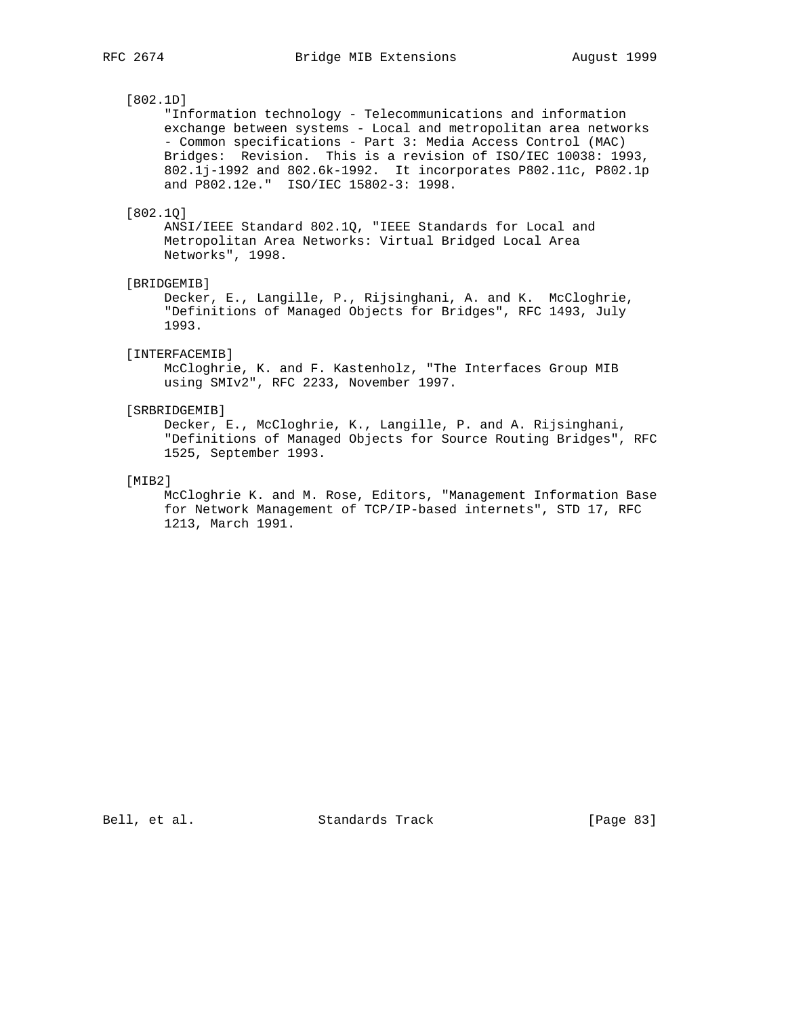# [802.1D]

 "Information technology - Telecommunications and information exchange between systems - Local and metropolitan area networks - Common specifications - Part 3: Media Access Control (MAC) Bridges: Revision. This is a revision of ISO/IEC 10038: 1993, 802.1j-1992 and 802.6k-1992. It incorporates P802.11c, P802.1p and P802.12e." ISO/IEC 15802-3: 1998.

## [802.1Q]

 ANSI/IEEE Standard 802.1Q, "IEEE Standards for Local and Metropolitan Area Networks: Virtual Bridged Local Area Networks", 1998.

# [BRIDGEMIB]

 Decker, E., Langille, P., Rijsinghani, A. and K. McCloghrie, "Definitions of Managed Objects for Bridges", RFC 1493, July 1993.

# [INTERFACEMIB]

 McCloghrie, K. and F. Kastenholz, "The Interfaces Group MIB using SMIv2", RFC 2233, November 1997.

# [SRBRIDGEMIB]

 Decker, E., McCloghrie, K., Langille, P. and A. Rijsinghani, "Definitions of Managed Objects for Source Routing Bridges", RFC 1525, September 1993.

## [MIB2]

 McCloghrie K. and M. Rose, Editors, "Management Information Base for Network Management of TCP/IP-based internets", STD 17, RFC 1213, March 1991.

Bell, et al. Standards Track [Page 83]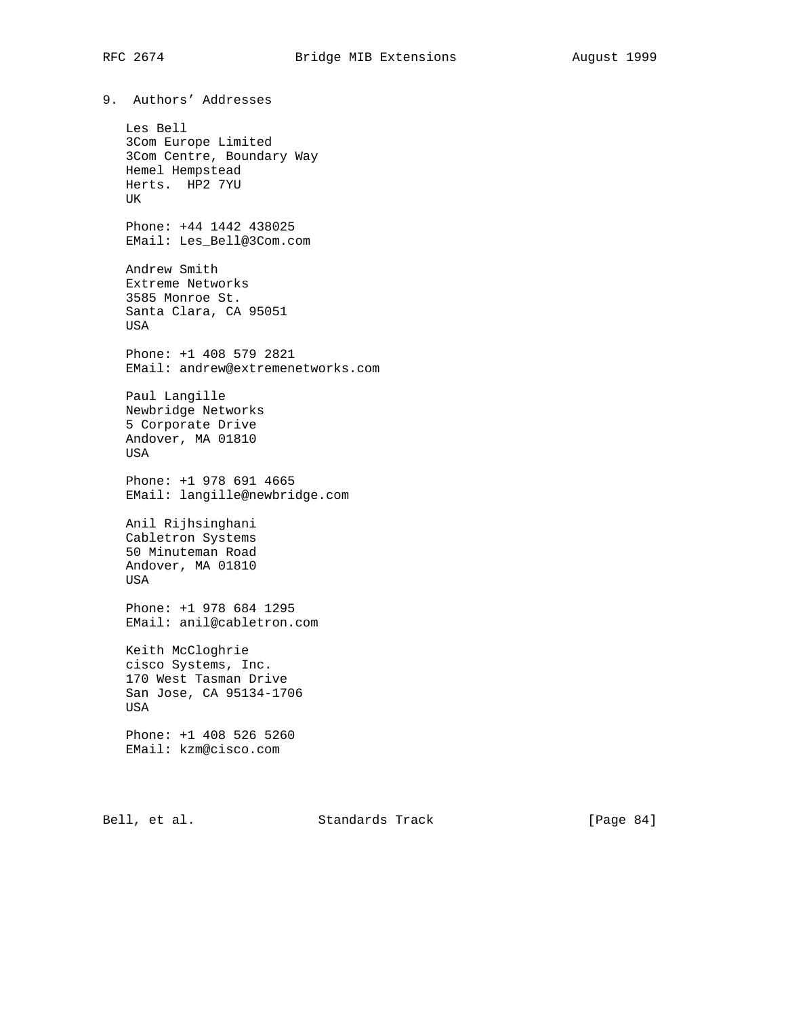9. Authors' Addresses Les Bell 3Com Europe Limited 3Com Centre, Boundary Way Hemel Hempstead Herts. HP2 7YU UK Phone: +44 1442 438025 EMail: Les\_Bell@3Com.com Andrew Smith Extreme Networks 3585 Monroe St. Santa Clara, CA 95051 USA Phone: +1 408 579 2821 EMail: andrew@extremenetworks.com Paul Langille Newbridge Networks 5 Corporate Drive Andover, MA 01810 USA Phone: +1 978 691 4665 EMail: langille@newbridge.com Anil Rijhsinghani Cabletron Systems 50 Minuteman Road Andover, MA 01810 USA Phone: +1 978 684 1295 EMail: anil@cabletron.com Keith McCloghrie cisco Systems, Inc. 170 West Tasman Drive San Jose, CA 95134-1706 USA Phone: +1 408 526 5260 EMail: kzm@cisco.com

Bell, et al. Standards Track [Page 84]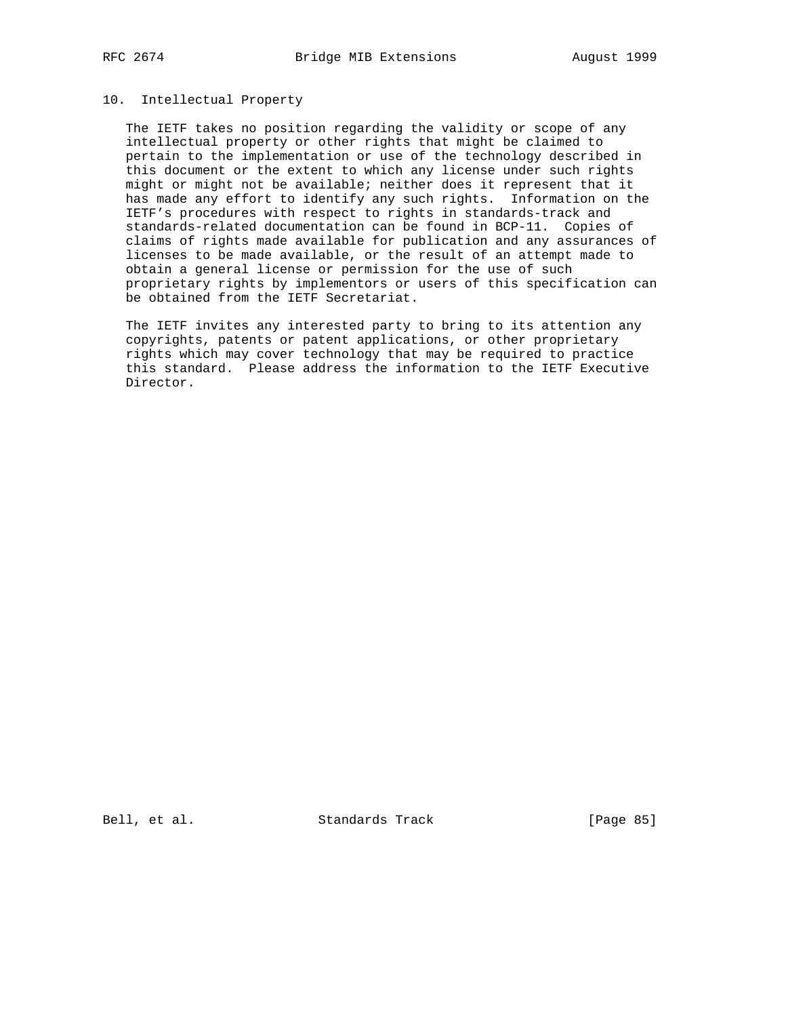# 10. Intellectual Property

 The IETF takes no position regarding the validity or scope of any intellectual property or other rights that might be claimed to pertain to the implementation or use of the technology described in this document or the extent to which any license under such rights might or might not be available; neither does it represent that it has made any effort to identify any such rights. Information on the IETF's procedures with respect to rights in standards-track and standards-related documentation can be found in BCP-11. Copies of claims of rights made available for publication and any assurances of licenses to be made available, or the result of an attempt made to obtain a general license or permission for the use of such proprietary rights by implementors or users of this specification can be obtained from the IETF Secretariat.

 The IETF invites any interested party to bring to its attention any copyrights, patents or patent applications, or other proprietary rights which may cover technology that may be required to practice this standard. Please address the information to the IETF Executive Director.

Bell, et al. Standards Track [Page 85]